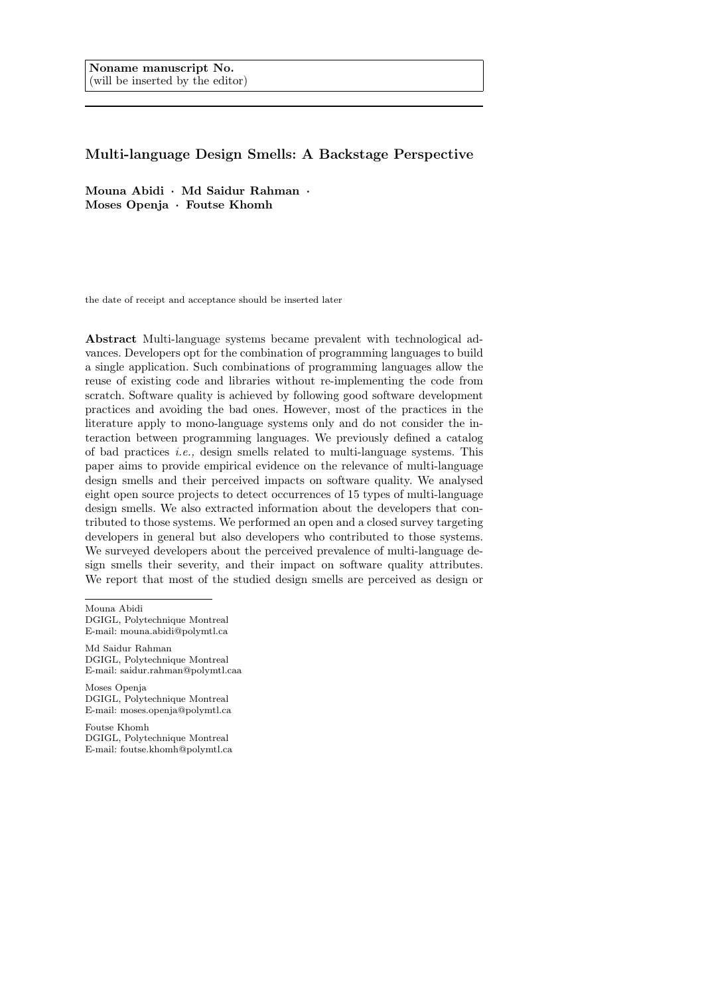# Multi-language Design Smells: A Backstage Perspective

Mouna Abidi · Md Saidur Rahman · Moses Openja · Foutse Khomh

the date of receipt and acceptance should be inserted later

Abstract Multi-language systems became prevalent with technological advances. Developers opt for the combination of programming languages to build a single application. Such combinations of programming languages allow the reuse of existing code and libraries without re-implementing the code from scratch. Software quality is achieved by following good software development practices and avoiding the bad ones. However, most of the practices in the literature apply to mono-language systems only and do not consider the interaction between programming languages. We previously defined a catalog of bad practices i.e., design smells related to multi-language systems. This paper aims to provide empirical evidence on the relevance of multi-language design smells and their perceived impacts on software quality. We analysed eight open source projects to detect occurrences of 15 types of multi-language design smells. We also extracted information about the developers that contributed to those systems. We performed an open and a closed survey targeting developers in general but also developers who contributed to those systems. We surveyed developers about the perceived prevalence of multi-language design smells their severity, and their impact on software quality attributes. We report that most of the studied design smells are perceived as design or

Mouna Abidi DGIGL, Polytechnique Montreal E-mail: mouna.abidi@polymtl.ca

Md Saidur Rahman DGIGL, Polytechnique Montreal E-mail: saidur.rahman@polymtl.caa

Moses Openja DGIGL, Polytechnique Montreal E-mail: moses.openja@polymtl.ca

Foutse Khomh DGIGL, Polytechnique Montreal E-mail: foutse.khomh@polymtl.ca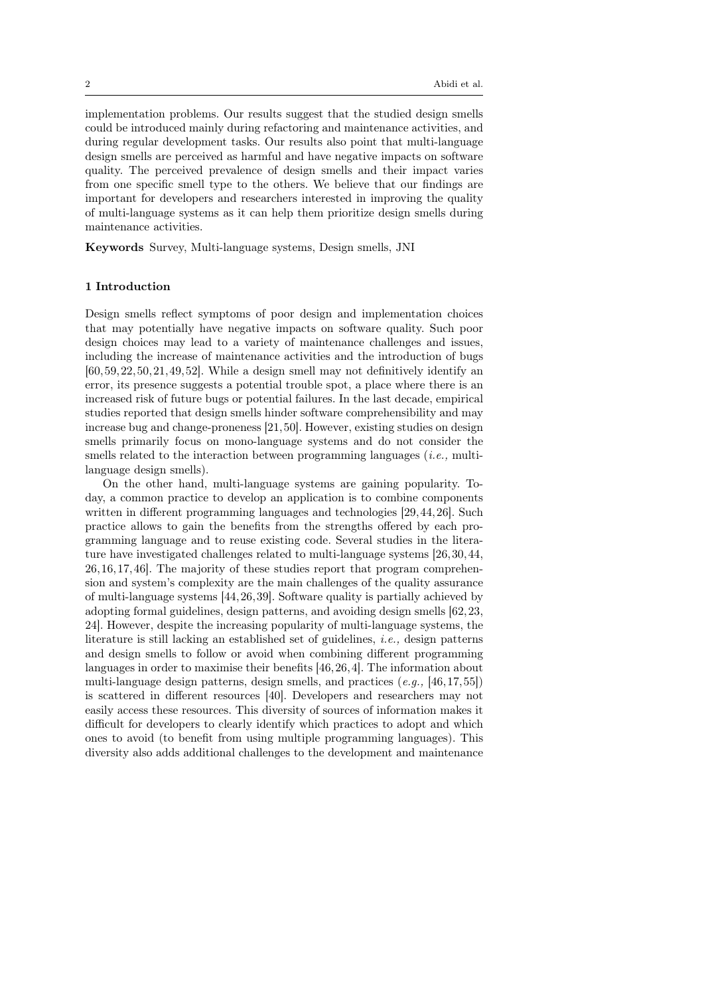implementation problems. Our results suggest that the studied design smells could be introduced mainly during refactoring and maintenance activities, and during regular development tasks. Our results also point that multi-language design smells are perceived as harmful and have negative impacts on software quality. The perceived prevalence of design smells and their impact varies from one specific smell type to the others. We believe that our findings are important for developers and researchers interested in improving the quality of multi-language systems as it can help them prioritize design smells during maintenance activities.

Keywords Survey, Multi-language systems, Design smells, JNI

### 1 Introduction

Design smells reflect symptoms of poor design and implementation choices that may potentially have negative impacts on software quality. Such poor design choices may lead to a variety of maintenance challenges and issues, including the increase of maintenance activities and the introduction of bugs [60,59,22,50,21,49,52]. While a design smell may not definitively identify an error, its presence suggests a potential trouble spot, a place where there is an increased risk of future bugs or potential failures. In the last decade, empirical studies reported that design smells hinder software comprehensibility and may increase bug and change-proneness [21,50]. However, existing studies on design smells primarily focus on mono-language systems and do not consider the smells related to the interaction between programming languages *(i.e., multi*language design smells).

On the other hand, multi-language systems are gaining popularity. Today, a common practice to develop an application is to combine components written in different programming languages and technologies [29,44,26]. Such practice allows to gain the benefits from the strengths offered by each programming language and to reuse existing code. Several studies in the literature have investigated challenges related to multi-language systems [26,30,44, 26,16,17,46]. The majority of these studies report that program comprehension and system's complexity are the main challenges of the quality assurance of multi-language systems [44,26,39]. Software quality is partially achieved by adopting formal guidelines, design patterns, and avoiding design smells [62,23, 24]. However, despite the increasing popularity of multi-language systems, the literature is still lacking an established set of guidelines, i.e., design patterns and design smells to follow or avoid when combining different programming languages in order to maximise their benefits [46,26,4]. The information about multi-language design patterns, design smells, and practices  $(e.g., [46, 17, 55])$ is scattered in different resources [40]. Developers and researchers may not easily access these resources. This diversity of sources of information makes it difficult for developers to clearly identify which practices to adopt and which ones to avoid (to benefit from using multiple programming languages). This diversity also adds additional challenges to the development and maintenance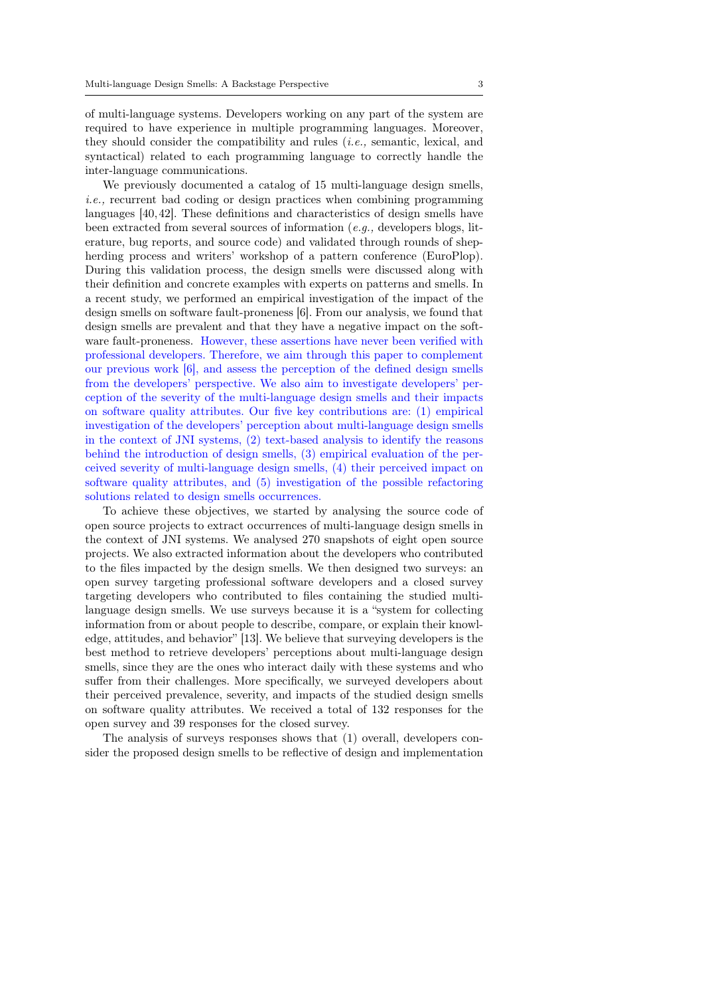of multi-language systems. Developers working on any part of the system are required to have experience in multiple programming languages. Moreover, they should consider the compatibility and rules (i.e., semantic, lexical, and syntactical) related to each programming language to correctly handle the inter-language communications.

We previously documented a catalog of 15 multi-language design smells, i.e., recurrent bad coding or design practices when combining programming languages [40,42]. These definitions and characteristics of design smells have been extracted from several sources of information  $(e.q.,$  developers blogs, literature, bug reports, and source code) and validated through rounds of shepherding process and writers' workshop of a pattern conference (EuroPlop). During this validation process, the design smells were discussed along with their definition and concrete examples with experts on patterns and smells. In a recent study, we performed an empirical investigation of the impact of the design smells on software fault-proneness [6]. From our analysis, we found that design smells are prevalent and that they have a negative impact on the software fault-proneness. However, these assertions have never been verified with professional developers. Therefore, we aim through this paper to complement our previous work [6], and assess the perception of the defined design smells from the developers' perspective. We also aim to investigate developers' perception of the severity of the multi-language design smells and their impacts on software quality attributes. Our five key contributions are: (1) empirical investigation of the developers' perception about multi-language design smells in the context of JNI systems, (2) text-based analysis to identify the reasons behind the introduction of design smells, (3) empirical evaluation of the perceived severity of multi-language design smells, (4) their perceived impact on software quality attributes, and (5) investigation of the possible refactoring solutions related to design smells occurrences.

To achieve these objectives, we started by analysing the source code of open source projects to extract occurrences of multi-language design smells in the context of JNI systems. We analysed 270 snapshots of eight open source projects. We also extracted information about the developers who contributed to the files impacted by the design smells. We then designed two surveys: an open survey targeting professional software developers and a closed survey targeting developers who contributed to files containing the studied multilanguage design smells. We use surveys because it is a "system for collecting information from or about people to describe, compare, or explain their knowledge, attitudes, and behavior" [13]. We believe that surveying developers is the best method to retrieve developers' perceptions about multi-language design smells, since they are the ones who interact daily with these systems and who suffer from their challenges. More specifically, we surveyed developers about their perceived prevalence, severity, and impacts of the studied design smells on software quality attributes. We received a total of 132 responses for the open survey and 39 responses for the closed survey.

The analysis of surveys responses shows that (1) overall, developers consider the proposed design smells to be reflective of design and implementation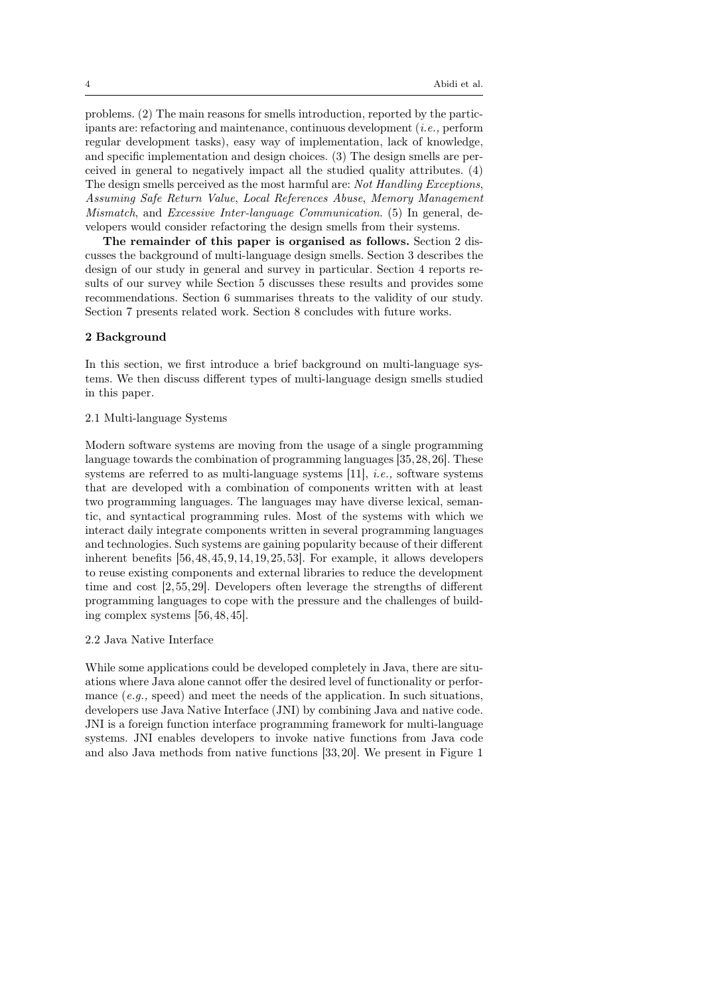problems. (2) The main reasons for smells introduction, reported by the participants are: refactoring and maintenance, continuous development  $(i.e.,$  perform regular development tasks), easy way of implementation, lack of knowledge, and specific implementation and design choices. (3) The design smells are perceived in general to negatively impact all the studied quality attributes. (4) The design smells perceived as the most harmful are: Not Handling Exceptions, Assuming Safe Return Value, Local References Abuse, Memory Management Mismatch, and Excessive Inter-language Communication. (5) In general, developers would consider refactoring the design smells from their systems.

The remainder of this paper is organised as follows. Section 2 discusses the background of multi-language design smells. Section 3 describes the design of our study in general and survey in particular. Section 4 reports results of our survey while Section 5 discusses these results and provides some recommendations. Section 6 summarises threats to the validity of our study. Section 7 presents related work. Section 8 concludes with future works.

#### 2 Background

In this section, we first introduce a brief background on multi-language systems. We then discuss different types of multi-language design smells studied in this paper.

### 2.1 Multi-language Systems

Modern software systems are moving from the usage of a single programming language towards the combination of programming languages [35,28,26]. These systems are referred to as multi-language systems [11], i.e., software systems that are developed with a combination of components written with at least two programming languages. The languages may have diverse lexical, semantic, and syntactical programming rules. Most of the systems with which we interact daily integrate components written in several programming languages and technologies. Such systems are gaining popularity because of their different inherent benefits [56,48,45,9,14,19,25,53]. For example, it allows developers to reuse existing components and external libraries to reduce the development time and cost [2,55,29]. Developers often leverage the strengths of different programming languages to cope with the pressure and the challenges of building complex systems [56,48,45].

### 2.2 Java Native Interface

While some applications could be developed completely in Java, there are situations where Java alone cannot offer the desired level of functionality or performance  $(e.g., speed)$  and meet the needs of the application. In such situations, developers use Java Native Interface (JNI) by combining Java and native code. JNI is a foreign function interface programming framework for multi-language systems. JNI enables developers to invoke native functions from Java code and also Java methods from native functions [33,20]. We present in Figure 1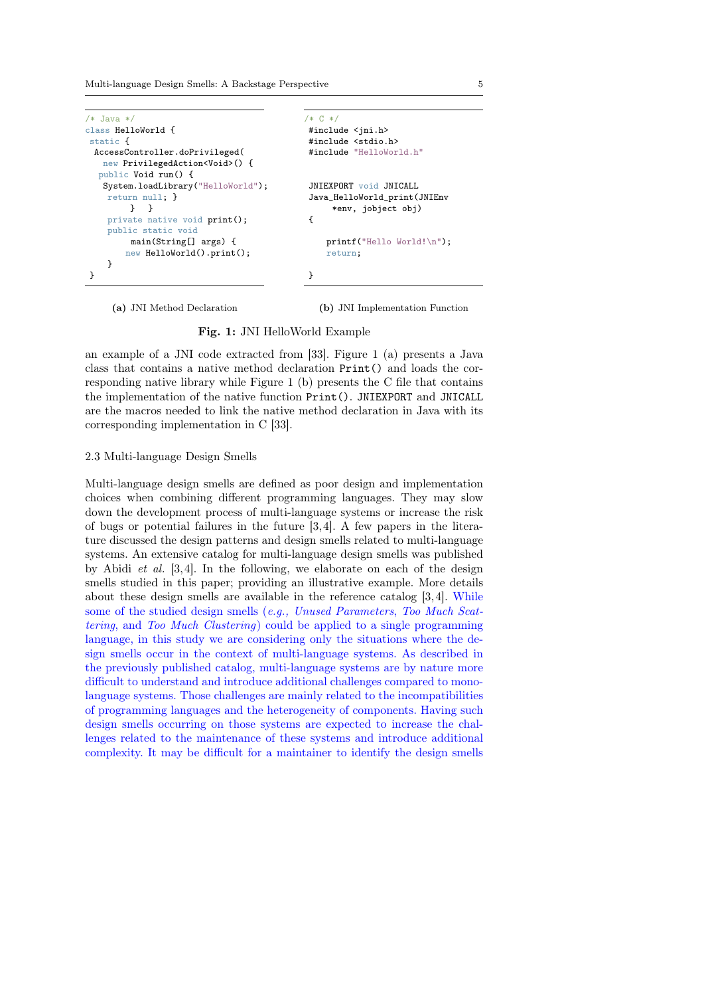Multi-language Design Smells: A Backstage Perspective 5

```
/* Java */class HelloWorld {
static {
  AccessController.doPrivileged(
   new PrivilegedAction<Void>() {
  public Void run() {
   System.loadLibrary("HelloWorld");
    return null; }
         } }
    private native void print();
    public static void
         main(String[] args) {
        new HelloWorld().print();
    }
}
                                             /* C */
                                             #include <ini.h>
                                             #include <stdio.h>
                                             #include "HelloWorld.h"
                                              JNIEXPORT void JNICALL
                                             Java_HelloWorld_print(JNIEnv
                                                  *env, jobject obj)
                                             {
                                                 printf("Hello World!\n");
                                                 return;
                                             }
```
(a) JNI Method Declaration

(b) JNI Implementation Function

Fig. 1: JNI HelloWorld Example

an example of a JNI code extracted from [33]. Figure 1 (a) presents a Java class that contains a native method declaration Print() and loads the corresponding native library while Figure 1 (b) presents the C file that contains the implementation of the native function Print(). JNIEXPORT and JNICALL are the macros needed to link the native method declaration in Java with its corresponding implementation in C [33].

#### 2.3 Multi-language Design Smells

Multi-language design smells are defined as poor design and implementation choices when combining different programming languages. They may slow down the development process of multi-language systems or increase the risk of bugs or potential failures in the future [3,4]. A few papers in the literature discussed the design patterns and design smells related to multi-language systems. An extensive catalog for multi-language design smells was published by Abidi et al. [3,4]. In the following, we elaborate on each of the design smells studied in this paper; providing an illustrative example. More details about these design smells are available in the reference catalog [3,4]. While some of the studied design smells (e.g., Unused Parameters, Too Much Scattering, and Too Much Clustering) could be applied to a single programming language, in this study we are considering only the situations where the design smells occur in the context of multi-language systems. As described in the previously published catalog, multi-language systems are by nature more difficult to understand and introduce additional challenges compared to monolanguage systems. Those challenges are mainly related to the incompatibilities of programming languages and the heterogeneity of components. Having such design smells occurring on those systems are expected to increase the challenges related to the maintenance of these systems and introduce additional complexity. It may be difficult for a maintainer to identify the design smells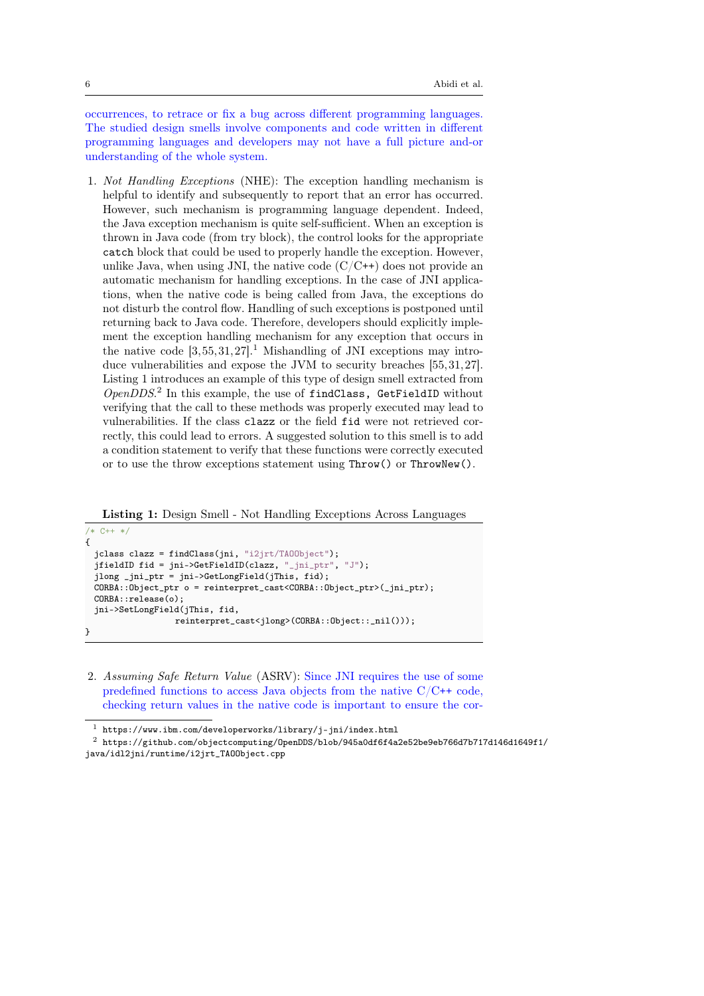occurrences, to retrace or fix a bug across different programming languages. The studied design smells involve components and code written in different programming languages and developers may not have a full picture and-or understanding of the whole system.

1. Not Handling Exceptions (NHE): The exception handling mechanism is helpful to identify and subsequently to report that an error has occurred. However, such mechanism is programming language dependent. Indeed, the Java exception mechanism is quite self-sufficient. When an exception is thrown in Java code (from try block), the control looks for the appropriate catch block that could be used to properly handle the exception. However, unlike Java, when using JNI, the native code  $(C/C^{++})$  does not provide an automatic mechanism for handling exceptions. In the case of JNI applications, when the native code is being called from Java, the exceptions do not disturb the control flow. Handling of such exceptions is postponed until returning back to Java code. Therefore, developers should explicitly implement the exception handling mechanism for any exception that occurs in the native code  $[3,55,31,27]$ .<sup>1</sup> Mishandling of JNI exceptions may introduce vulnerabilities and expose the JVM to security breaches [55,31,27]. Listing 1 introduces an example of this type of design smell extracted from OpenDDS.<sup>2</sup> In this example, the use of findClass, GetFieldID without verifying that the call to these methods was properly executed may lead to vulnerabilities. If the class clazz or the field fid were not retrieved correctly, this could lead to errors. A suggested solution to this smell is to add a condition statement to verify that these functions were correctly executed or to use the throw exceptions statement using Throw() or ThrowNew().

Listing 1: Design Smell - Not Handling Exceptions Across Languages

```
/* C++ */
{
 jclass clazz = findClass(jni, "i2jrt/TAOObject");
 jfieldID fid = jni->GetFieldID(clazz, "_jni_ptr", "J");
 jlong _jni_ptr = jni->GetLongField(jThis, fid);
 CORBA::Object_ptr o = reinterpret_cast<CORBA::Object_ptr>(_jni_ptr);
 CORBA::release(o);
 jni->SetLongField(jThis, fid,
                  reinterpret_cast<jlong>(CORBA::Object::_nil()));
}
```
2. Assuming Safe Return Value (ASRV): Since JNI requires the use of some predefined functions to access Java objects from the native  $C/C++$  code, checking return values in the native code is important to ensure the cor-

 $^{\rm 1}$ https://www.ibm.com/developerworks/library/j-jni/index.html

 $^2$ https://github.com/objectcomputing/0penDDS/blob/945a0df6f4a2e52be9eb766d7b717d146d1649f1/ java/idl2jni/runtime/i2jrt\_TAOObject.cpp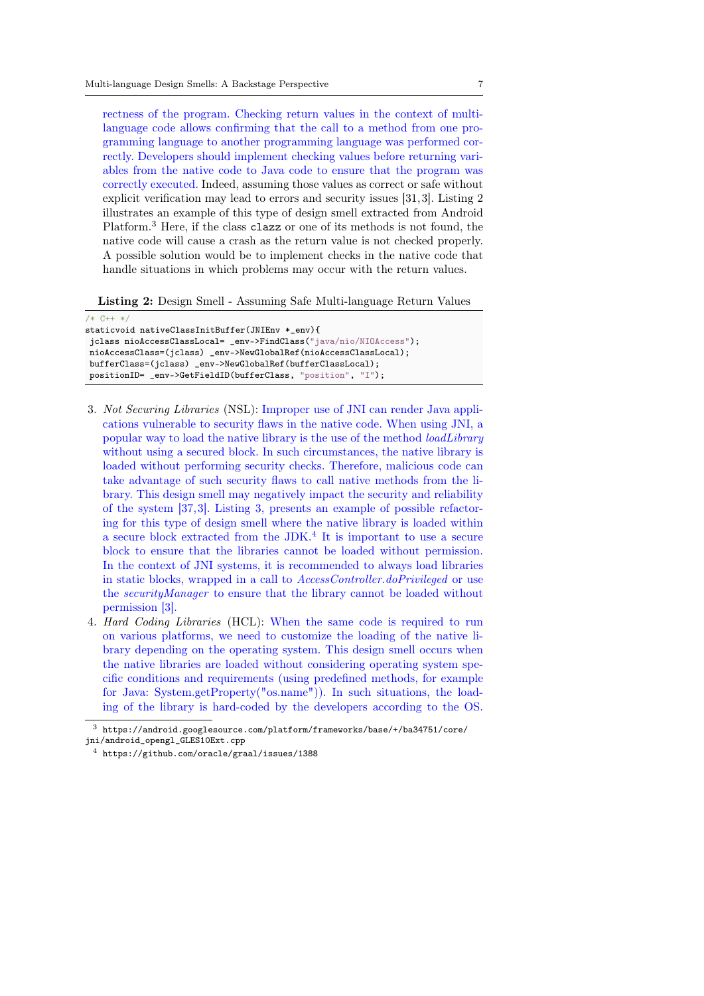rectness of the program. Checking return values in the context of multilanguage code allows confirming that the call to a method from one programming language to another programming language was performed correctly. Developers should implement checking values before returning variables from the native code to Java code to ensure that the program was correctly executed. Indeed, assuming those values as correct or safe without explicit verification may lead to errors and security issues [31,3]. Listing 2 illustrates an example of this type of design smell extracted from Android Platform.<sup>3</sup> Here, if the class clazz or one of its methods is not found, the native code will cause a crash as the return value is not checked properly. A possible solution would be to implement checks in the native code that handle situations in which problems may occur with the return values.

Listing 2: Design Smell - Assuming Safe Multi-language Return Values

```
/* C++ *staticvoid nativeClassInitBuffer(JNIEnv *_env){
jclass nioAccessClassLocal= _env->FindClass("java/nio/NIOAccess");
nioAccessClass=(jclass) _env->NewGlobalRef(nioAccessClassLocal);
bufferClass=(jclass) _env->NewGlobalRef(bufferClassLocal);
positionID= _env->GetFieldID(bufferClass, "position", "I");
```
- 3. Not Securing Libraries (NSL): Improper use of JNI can render Java applications vulnerable to security flaws in the native code. When using JNI, a popular way to load the native library is the use of the method *loadLibrary* without using a secured block. In such circumstances, the native library is loaded without performing security checks. Therefore, malicious code can take advantage of such security flaws to call native methods from the library. This design smell may negatively impact the security and reliability of the system [37,3]. Listing 3, presents an example of possible refactoring for this type of design smell where the native library is loaded within a secure block extracted from the JDK.<sup>4</sup> It is important to use a secure block to ensure that the libraries cannot be loaded without permission. In the context of JNI systems, it is recommended to always load libraries in static blocks, wrapped in a call to AccessController.doPrivileged or use the securityManager to ensure that the library cannot be loaded without permission [3].
- 4. Hard Coding Libraries (HCL): When the same code is required to run on various platforms, we need to customize the loading of the native library depending on the operating system. This design smell occurs when the native libraries are loaded without considering operating system specific conditions and requirements (using predefined methods, for example for Java: System.getProperty("os.name")). In such situations, the loading of the library is hard-coded by the developers according to the OS.

 $^3\,$ https://android.googlesource.com/platform/frameworks/base/+/ba34751/core/

jni/android\_opengl\_GLES10Ext.cpp

<sup>4</sup> https://github.com/oracle/graal/issues/1388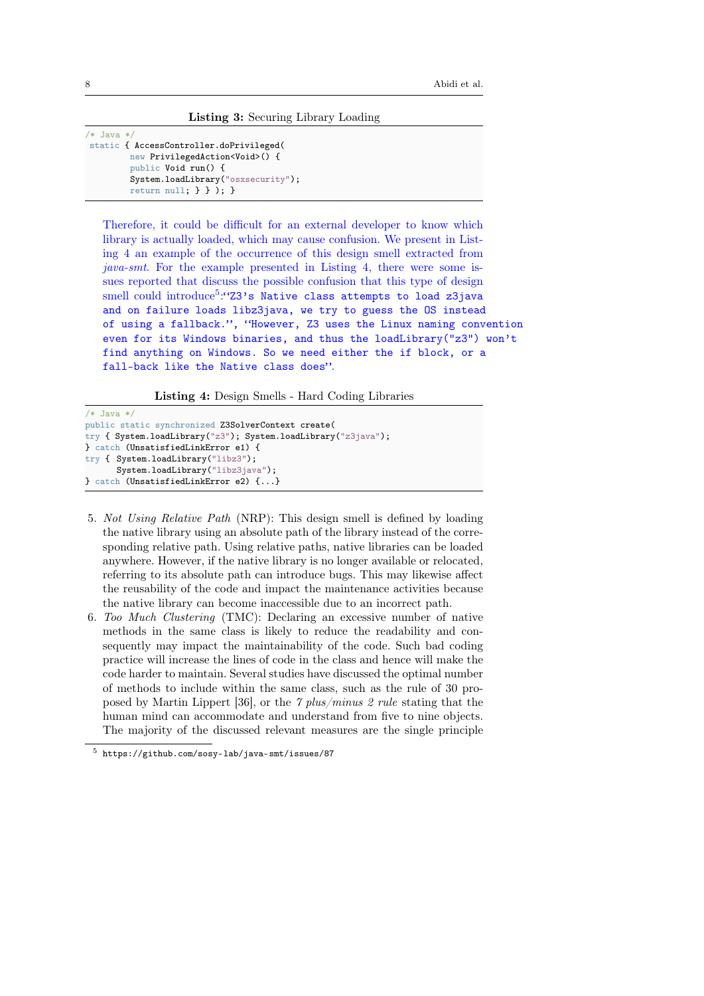Listing 3: Securing Library Loading

 $/*$  Java  $*$ static { AccessController.doPrivileged( new PrivilegedAction<Void>() { public Void run() { System.loadLibrary("osxsecurity"); return null; } } ); }

Therefore, it could be difficult for an external developer to know which library is actually loaded, which may cause confusion. We present in Listing 4 an example of the occurrence of this design smell extracted from java-smt. For the example presented in Listing 4, there were some issues reported that discuss the possible confusion that this type of design  $small\ could\ introduce^5$ :"Z3's Native class attempts to load z3java and on failure loads libz3java, we try to guess the OS instead of using a fallback.", "However, Z3 uses the Linux naming convention even for its Windows binaries, and thus the loadLibrary("z3") won't find anything on Windows. So we need either the if block, or a fall-back like the Native class does".

Listing 4: Design Smells - Hard Coding Libraries

```
/* Java */public static synchronized Z3SolverContext create(
try { System.loadLibrary("z3"); System.loadLibrary("z3java");
} catch (UnsatisfiedLinkError e1) {
try { System.loadLibrary("libz3");
      System.loadLibrary("libz3java");
} catch (UnsatisfiedLinkError e2) {...}
```
- 5. Not Using Relative Path (NRP): This design smell is defined by loading the native library using an absolute path of the library instead of the corresponding relative path. Using relative paths, native libraries can be loaded anywhere. However, if the native library is no longer available or relocated, referring to its absolute path can introduce bugs. This may likewise affect the reusability of the code and impact the maintenance activities because the native library can become inaccessible due to an incorrect path.
- 6. Too Much Clustering (TMC): Declaring an excessive number of native methods in the same class is likely to reduce the readability and consequently may impact the maintainability of the code. Such bad coding practice will increase the lines of code in the class and hence will make the code harder to maintain. Several studies have discussed the optimal number of methods to include within the same class, such as the rule of 30 proposed by Martin Lippert [36], or the 7 plus/minus 2 rule stating that the human mind can accommodate and understand from five to nine objects. The majority of the discussed relevant measures are the single principle

<sup>5</sup> https://github.com/sosy-lab/java-smt/issues/87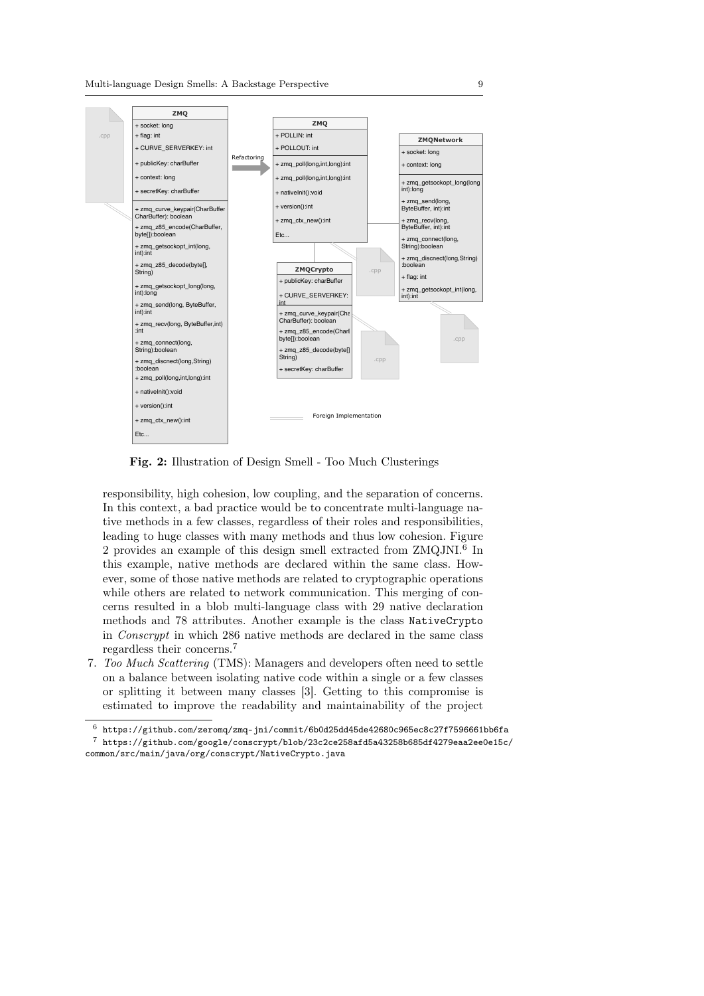

Fig. 2: Illustration of Design Smell - Too Much Clusterings

responsibility, high cohesion, low coupling, and the separation of concerns. In this context, a bad practice would be to concentrate multi-language native methods in a few classes, regardless of their roles and responsibilities, leading to huge classes with many methods and thus low cohesion. Figure 2 provides an example of this design smell extracted from ZMQJNI.<sup>6</sup> In this example, native methods are declared within the same class. However, some of those native methods are related to cryptographic operations while others are related to network communication. This merging of concerns resulted in a blob multi-language class with 29 native declaration methods and 78 attributes. Another example is the class NativeCrypto in Conscrypt in which 286 native methods are declared in the same class regardless their concerns.<sup>7</sup>

7. Too Much Scattering (TMS): Managers and developers often need to settle on a balance between isolating native code within a single or a few classes or splitting it between many classes [3]. Getting to this compromise is estimated to improve the readability and maintainability of the project

 $^6$ https://github.com/zeromq/zmq-jni/commit/6b0d25dd45de42680c965ec8c27f7596661bb6fa

 $^7$ https://github.com/google/conscrypt/blob/23c2ce258afd5a43258b685df4279eaa2ee0e15c/ common/src/main/java/org/conscrypt/NativeCrypto.java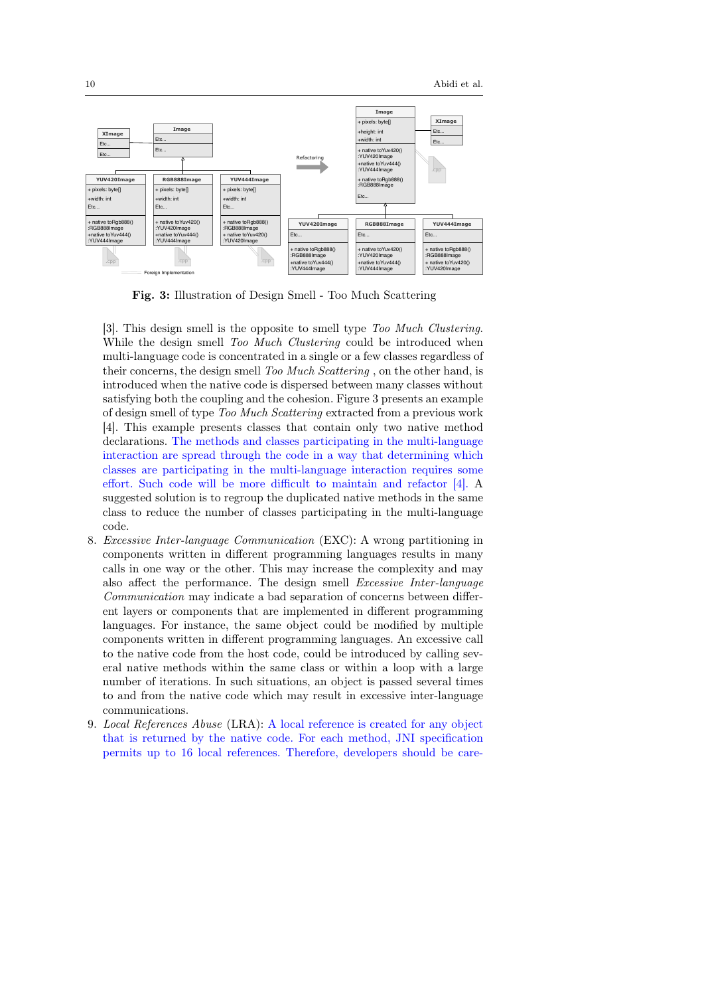

Fig. 3: Illustration of Design Smell - Too Much Scattering

[3]. This design smell is the opposite to smell type Too Much Clustering. While the design smell Too Much Clustering could be introduced when multi-language code is concentrated in a single or a few classes regardless of their concerns, the design smell Too Much Scattering, on the other hand, is introduced when the native code is dispersed between many classes without satisfying both the coupling and the cohesion. Figure 3 presents an example of design smell of type Too Much Scattering extracted from a previous work [4]. This example presents classes that contain only two native method declarations. The methods and classes participating in the multi-language interaction are spread through the code in a way that determining which classes are participating in the multi-language interaction requires some effort. Such code will be more difficult to maintain and refactor [4]. A suggested solution is to regroup the duplicated native methods in the same class to reduce the number of classes participating in the multi-language code.

- 8. Excessive Inter-language Communication (EXC): A wrong partitioning in components written in different programming languages results in many calls in one way or the other. This may increase the complexity and may also affect the performance. The design smell Excessive Inter-language Communication may indicate a bad separation of concerns between different layers or components that are implemented in different programming languages. For instance, the same object could be modified by multiple components written in different programming languages. An excessive call to the native code from the host code, could be introduced by calling several native methods within the same class or within a loop with a large number of iterations. In such situations, an object is passed several times to and from the native code which may result in excessive inter-language communications.
- 9. Local References Abuse (LRA): A local reference is created for any object that is returned by the native code. For each method, JNI specification permits up to 16 local references. Therefore, developers should be care-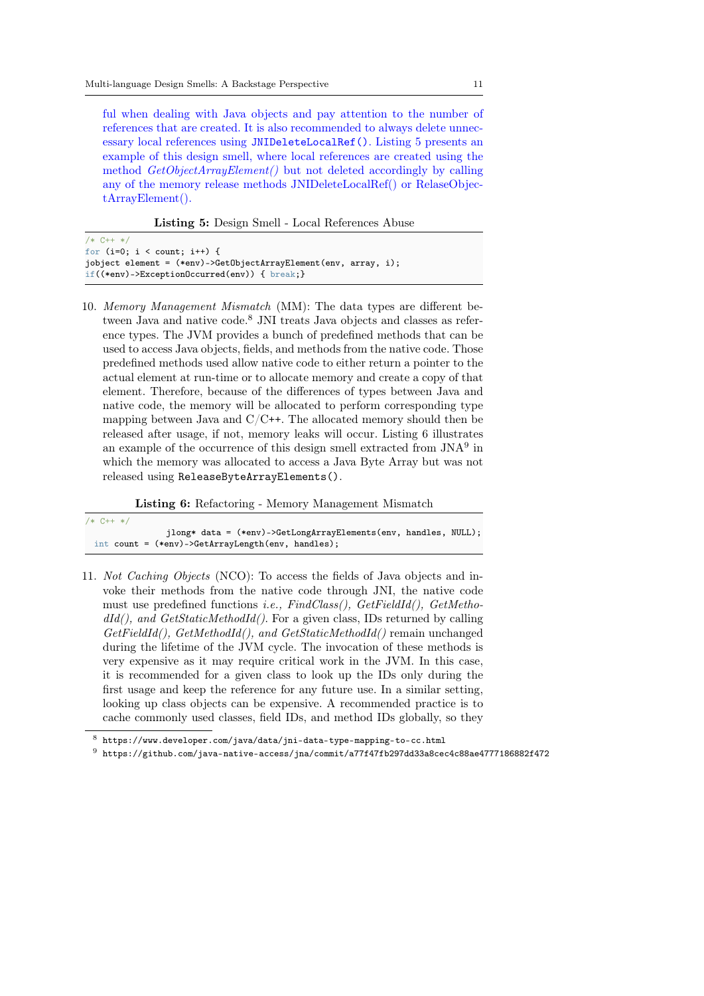ful when dealing with Java objects and pay attention to the number of references that are created. It is also recommended to always delete unnecessary local references using JNIDeleteLocalRef(). Listing 5 presents an example of this design smell, where local references are created using the method GetObjectArrayElement() but not deleted accordingly by calling any of the memory release methods JNIDeleteLocalRef() or RelaseObjectArrayElement().

Listing 5: Design Smell - Local References Abuse

| $/* C++ */$                                                        |  |
|--------------------------------------------------------------------|--|
| for $(i=0: i <$ count: $i++)$ {                                    |  |
| jobject element = $(*env)$ ->GetObjectArrayElement(env, array, i); |  |
| if((*env)->Exception0ccurred(env)) { $break$ ; }                   |  |

10. Memory Management Mismatch (MM): The data types are different between Java and native code. $8$  JNI treats Java objects and classes as reference types. The JVM provides a bunch of predefined methods that can be used to access Java objects, fields, and methods from the native code. Those predefined methods used allow native code to either return a pointer to the actual element at run-time or to allocate memory and create a copy of that element. Therefore, because of the differences of types between Java and native code, the memory will be allocated to perform corresponding type mapping between Java and  $C/C$ ++. The allocated memory should then be released after usage, if not, memory leaks will occur. Listing 6 illustrates an example of the occurrence of this design smell extracted from  $JNA<sup>9</sup>$  in which the memory was allocated to access a Java Byte Array but was not released using ReleaseByteArrayElements().

Listing 6: Refactoring - Memory Management Mismatch

| $/* C++ */$ |  |                                                                 |  |
|-------------|--|-----------------------------------------------------------------|--|
|             |  | jlong* data = (*env)->GetLongArrayElements(env, handles, NULL); |  |
|             |  | int count = $(*env)$ ->GetArrayLength(env, handles);            |  |

11. Not Caching Objects (NCO): To access the fields of Java objects and invoke their methods from the native code through JNI, the native code must use predefined functions i.e., FindClass(), GetFieldId(), GetMetho $dId()$ , and  $GetStaticMethodId()$ . For a given class, IDs returned by calling GetFieldId(), GetMethodId(), and GetStaticMethodId() remain unchanged during the lifetime of the JVM cycle. The invocation of these methods is very expensive as it may require critical work in the JVM. In this case, it is recommended for a given class to look up the IDs only during the first usage and keep the reference for any future use. In a similar setting, looking up class objects can be expensive. A recommended practice is to cache commonly used classes, field IDs, and method IDs globally, so they

<sup>8</sup> https://www.developer.com/java/data/jni-data-type-mapping-to-cc.html

 $^9\,$ https://github.com/java-native-access/jna/commit/a77f47fb297dd33a8cec4c88ae4777186882f472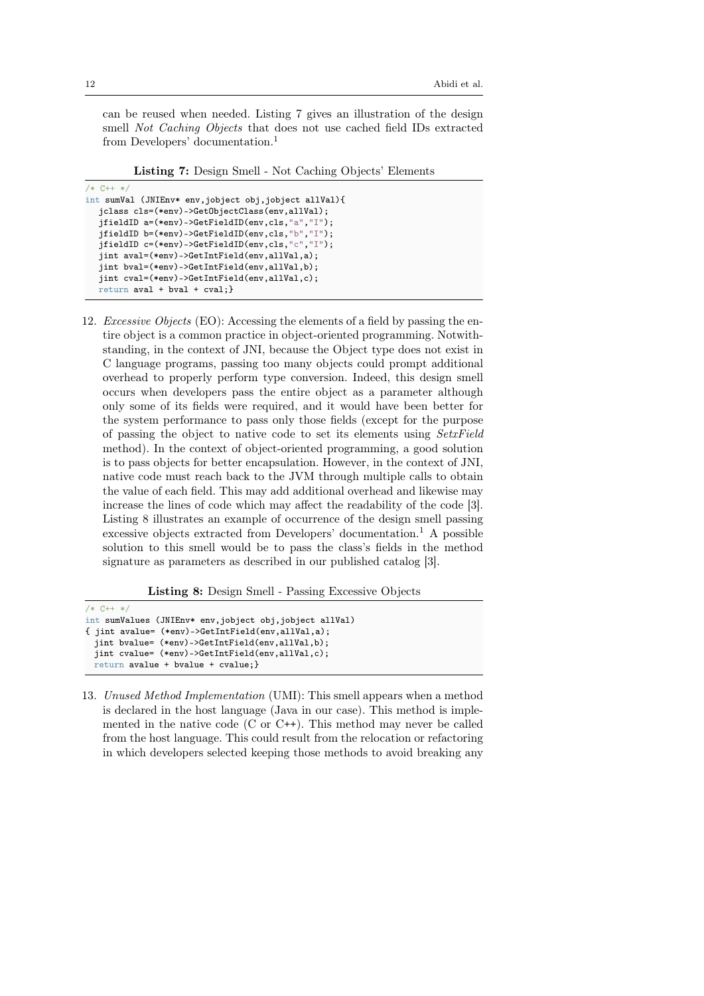can be reused when needed. Listing 7 gives an illustration of the design smell Not Caching Objects that does not use cached field IDs extracted from Developers' documentation.<sup>1</sup>

Listing 7: Design Smell - Not Caching Objects' Elements

```
/* C++ *int sumVal (JNIEnv* env,jobject obj,jobject allVal){
  jclass cls=(*env)->GetObjectClass(env,allVal);
  jfieldID a=(*env)->GetFieldID(env,cls,"a","I");
  jfieldID b=(*env)->GetFieldID(env,cls,"b","I");
  jfieldID c=(*env)->GetFieldID(env,cls,"c","I");
  jint aval=(*env)->GetIntField(env,allVal,a);
  jint bval=(*env)->GetIntField(env,allVal,b);
  jint cval=(*env)->GetIntField(env,allVal,c);
  return aval + bval + cval;}
```
12. Excessive Objects (EO): Accessing the elements of a field by passing the entire object is a common practice in object-oriented programming. Notwithstanding, in the context of JNI, because the Object type does not exist in C language programs, passing too many objects could prompt additional overhead to properly perform type conversion. Indeed, this design smell occurs when developers pass the entire object as a parameter although only some of its fields were required, and it would have been better for the system performance to pass only those fields (except for the purpose of passing the object to native code to set its elements using SetxField method). In the context of object-oriented programming, a good solution is to pass objects for better encapsulation. However, in the context of JNI, native code must reach back to the JVM through multiple calls to obtain the value of each field. This may add additional overhead and likewise may increase the lines of code which may affect the readability of the code [3]. Listing 8 illustrates an example of occurrence of the design smell passing excessive objects extracted from Developers' documentation.<sup>1</sup> A possible solution to this smell would be to pass the class's fields in the method signature as parameters as described in our published catalog [3].

Listing 8: Design Smell - Passing Excessive Objects

```
/* C++ */
int sumValues (JNIEnv* env,jobject obj,jobject allVal)
{ jint avalue= (*env)->GetIntField(env,allVal,a);
 jint bvalue= (*env)->GetIntField(env,allVal,b);
 jint cvalue= (*env)->GetIntField(env,allVal,c);
 return avalue + bvalue + cvalue;}
```
13. Unused Method Implementation (UMI): This smell appears when a method is declared in the host language (Java in our case). This method is implemented in the native code  $(C \text{ or } C^{++})$ . This method may never be called from the host language. This could result from the relocation or refactoring in which developers selected keeping those methods to avoid breaking any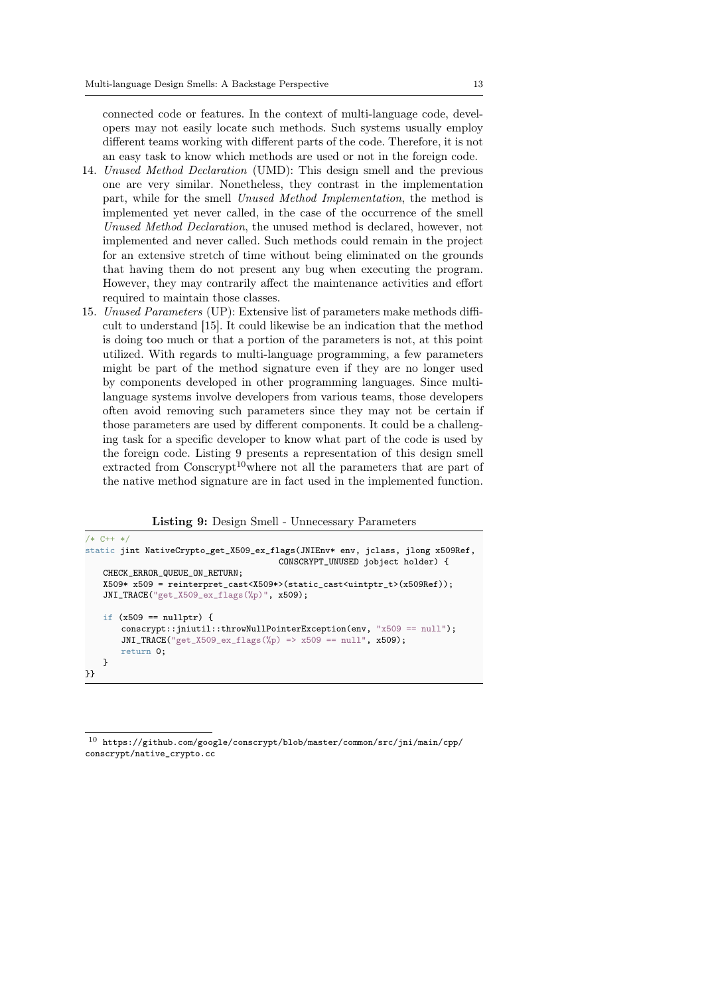connected code or features. In the context of multi-language code, developers may not easily locate such methods. Such systems usually employ different teams working with different parts of the code. Therefore, it is not an easy task to know which methods are used or not in the foreign code.

- 14. Unused Method Declaration (UMD): This design smell and the previous one are very similar. Nonetheless, they contrast in the implementation part, while for the smell Unused Method Implementation, the method is implemented yet never called, in the case of the occurrence of the smell Unused Method Declaration, the unused method is declared, however, not implemented and never called. Such methods could remain in the project for an extensive stretch of time without being eliminated on the grounds that having them do not present any bug when executing the program. However, they may contrarily affect the maintenance activities and effort required to maintain those classes.
- 15. Unused Parameters (UP): Extensive list of parameters make methods difficult to understand [15]. It could likewise be an indication that the method is doing too much or that a portion of the parameters is not, at this point utilized. With regards to multi-language programming, a few parameters might be part of the method signature even if they are no longer used by components developed in other programming languages. Since multilanguage systems involve developers from various teams, those developers often avoid removing such parameters since they may not be certain if those parameters are used by different components. It could be a challenging task for a specific developer to know what part of the code is used by the foreign code. Listing 9 presents a representation of this design smell extracted from  $\text{Conscript}^{10}$  where not all the parameters that are part of the native method signature are in fact used in the implemented function.

Listing 9: Design Smell - Unnecessary Parameters

```
/* C++ */
static jint NativeCrypto_get_X509_ex_flags(JNIEnv* env, jclass, jlong x509Ref,
                                       CONSCRYPT_UNUSED jobject holder) {
   CHECK_ERROR_QUEUE_ON_RETURN:
   X509* X509 = reinterpret_cast<X509*>(static_cast<uintptr_t>(x509Ref));
   JNI_TRACE("get_X509_ex_flags(%p)", x509);
   if (x509 == nullptr) {
       conscrypt::jniutil::throwNullPointerException(env, "x509 == null");
       JNI_TRACE("get_X509_ex_flags(%p) => x509 == null", x509);
       return 0;
   }
}}
```
 $^{10}\,$ https://github.com/google/conscrypt/blob/master/common/src/jni/main/cpp/ conscrypt/native\_crypto.cc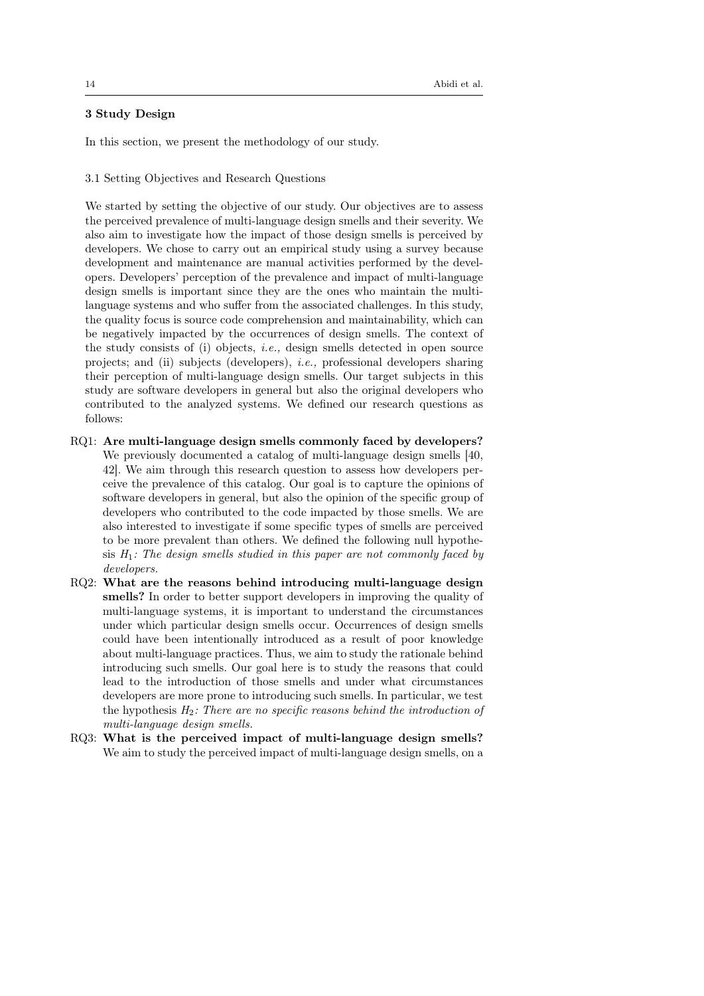# 3 Study Design

In this section, we present the methodology of our study.

3.1 Setting Objectives and Research Questions

We started by setting the objective of our study. Our objectives are to assess the perceived prevalence of multi-language design smells and their severity. We also aim to investigate how the impact of those design smells is perceived by developers. We chose to carry out an empirical study using a survey because development and maintenance are manual activities performed by the developers. Developers' perception of the prevalence and impact of multi-language design smells is important since they are the ones who maintain the multilanguage systems and who suffer from the associated challenges. In this study, the quality focus is source code comprehension and maintainability, which can be negatively impacted by the occurrences of design smells. The context of the study consists of (i) objects, *i.e.*, design smells detected in open source projects; and (ii) subjects (developers), i.e., professional developers sharing their perception of multi-language design smells. Our target subjects in this study are software developers in general but also the original developers who contributed to the analyzed systems. We defined our research questions as follows:

- RQ1: Are multi-language design smells commonly faced by developers? We previously documented a catalog of multi-language design smells [40, 42]. We aim through this research question to assess how developers perceive the prevalence of this catalog. Our goal is to capture the opinions of software developers in general, but also the opinion of the specific group of developers who contributed to the code impacted by those smells. We are also interested to investigate if some specific types of smells are perceived to be more prevalent than others. We defined the following null hypothesis  $H_1$ : The design smells studied in this paper are not commonly faced by developers.
- RQ2: What are the reasons behind introducing multi-language design smells? In order to better support developers in improving the quality of multi-language systems, it is important to understand the circumstances under which particular design smells occur. Occurrences of design smells could have been intentionally introduced as a result of poor knowledge about multi-language practices. Thus, we aim to study the rationale behind introducing such smells. Our goal here is to study the reasons that could lead to the introduction of those smells and under what circumstances developers are more prone to introducing such smells. In particular, we test the hypothesis  $H_2$ : There are no specific reasons behind the introduction of multi-language design smells.
- RQ3: What is the perceived impact of multi-language design smells? We aim to study the perceived impact of multi-language design smells, on a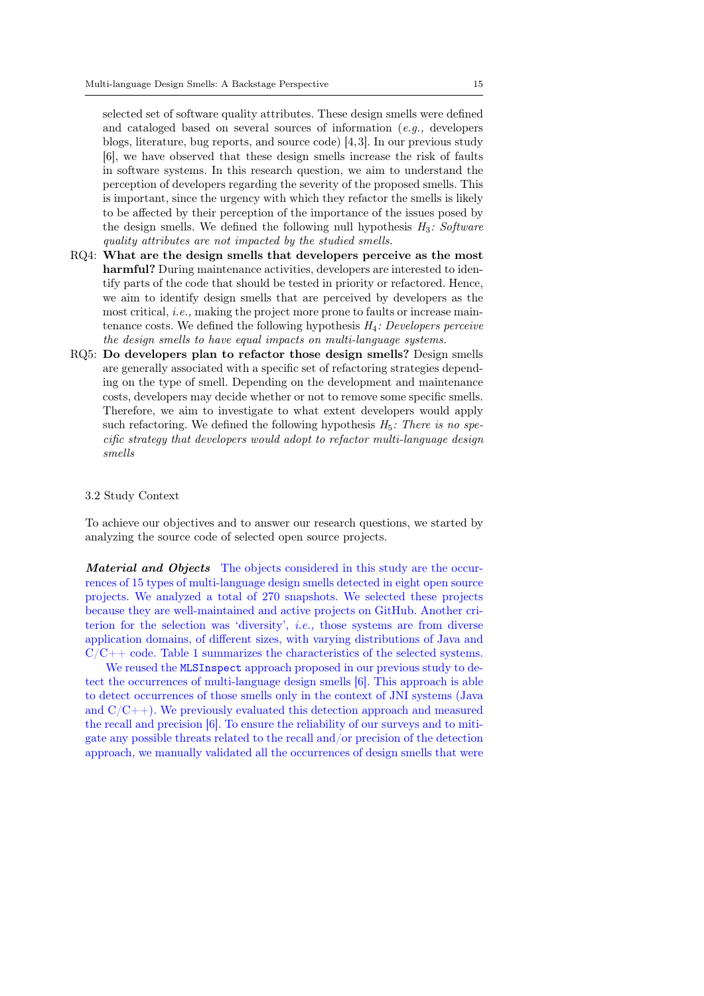selected set of software quality attributes. These design smells were defined and cataloged based on several sources of information (e.g., developers blogs, literature, bug reports, and source code) [4,3]. In our previous study [6], we have observed that these design smells increase the risk of faults in software systems. In this research question, we aim to understand the perception of developers regarding the severity of the proposed smells. This is important, since the urgency with which they refactor the smells is likely to be affected by their perception of the importance of the issues posed by the design smells. We defined the following null hypothesis  $H_3$ : Software quality attributes are not impacted by the studied smells.

- RQ4: What are the design smells that developers perceive as the most harmful? During maintenance activities, developers are interested to identify parts of the code that should be tested in priority or refactored. Hence, we aim to identify design smells that are perceived by developers as the most critical, i.e., making the project more prone to faults or increase maintenance costs. We defined the following hypothesis  $H_4$ : Developers perceive the design smells to have equal impacts on multi-language systems.
- RQ5: Do developers plan to refactor those design smells? Design smells are generally associated with a specific set of refactoring strategies depending on the type of smell. Depending on the development and maintenance costs, developers may decide whether or not to remove some specific smells. Therefore, we aim to investigate to what extent developers would apply such refactoring. We defined the following hypothesis  $H_5$ : There is no specific strategy that developers would adopt to refactor multi-language design smells

### 3.2 Study Context

To achieve our objectives and to answer our research questions, we started by analyzing the source code of selected open source projects.

Material and Objects The objects considered in this study are the occurrences of 15 types of multi-language design smells detected in eight open source projects. We analyzed a total of 270 snapshots. We selected these projects because they are well-maintained and active projects on GitHub. Another criterion for the selection was 'diversity', i.e., those systems are from diverse application domains, of different sizes, with varying distributions of Java and  $C/C++$  code. Table 1 summarizes the characteristics of the selected systems.

We reused the MLSInspect approach proposed in our previous study to detect the occurrences of multi-language design smells [6]. This approach is able to detect occurrences of those smells only in the context of JNI systems (Java and  $C/C++$ ). We previously evaluated this detection approach and measured the recall and precision [6]. To ensure the reliability of our surveys and to mitigate any possible threats related to the recall and/or precision of the detection approach, we manually validated all the occurrences of design smells that were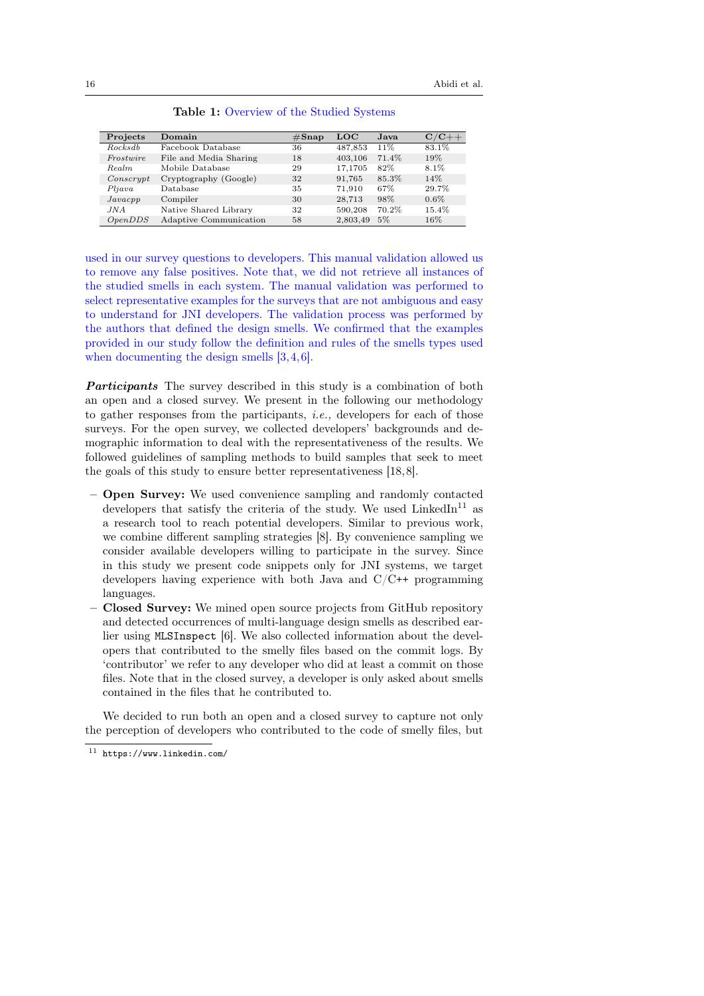| Projects  | Domain                 | $\#\mathrm{Snap}$ | LOC      | Java  | ${\rm C/C++}$ |
|-----------|------------------------|-------------------|----------|-------|---------------|
| Rocks db  | Facebook Database      | 36                | 487,853  | 11%   | 83.1%         |
| Frostwire | File and Media Sharing | 18                | 403,106  | 71.4% | 19%           |
| Realm     | Mobile Database        | 29                | 17.1705  | 82%   | 8.1%          |
| Conscript | Cryptography (Google)  | 32                | 91.765   | 85.3% | 14%           |
| Pljava    | Database               | 35                | 71.910   | 67%   | 29.7%         |
| Javacpp   | Compiler               | 30                | 28,713   | 98%   | $0.6\%$       |
| JNA       | Native Shared Library  | 32                | 590,208  | 70.2% | 15.4%         |
| OpenDDS   | Adaptive Communication | 58                | 2,803,49 | 5%    | $16\%$        |

Table 1: Overview of the Studied Systems

used in our survey questions to developers. This manual validation allowed us to remove any false positives. Note that, we did not retrieve all instances of the studied smells in each system. The manual validation was performed to select representative examples for the surveys that are not ambiguous and easy to understand for JNI developers. The validation process was performed by the authors that defined the design smells. We confirmed that the examples provided in our study follow the definition and rules of the smells types used when documenting the design smells [3, 4, 6].

**Participants** The survey described in this study is a combination of both an open and a closed survey. We present in the following our methodology to gather responses from the participants, *i.e.*, developers for each of those surveys. For the open survey, we collected developers' backgrounds and demographic information to deal with the representativeness of the results. We followed guidelines of sampling methods to build samples that seek to meet the goals of this study to ensure better representativeness [18,8].

- Open Survey: We used convenience sampling and randomly contacted developers that satisfy the criteria of the study. We used  $\text{LinkedIn}^{11}$  as a research tool to reach potential developers. Similar to previous work, we combine different sampling strategies [8]. By convenience sampling we consider available developers willing to participate in the survey. Since in this study we present code snippets only for JNI systems, we target developers having experience with both Java and  $C/C^{++}$  programming languages.
- Closed Survey: We mined open source projects from GitHub repository and detected occurrences of multi-language design smells as described earlier using MLSInspect [6]. We also collected information about the developers that contributed to the smelly files based on the commit logs. By 'contributor' we refer to any developer who did at least a commit on those files. Note that in the closed survey, a developer is only asked about smells contained in the files that he contributed to.

We decided to run both an open and a closed survey to capture not only the perception of developers who contributed to the code of smelly files, but

<sup>11</sup> https://www.linkedin.com/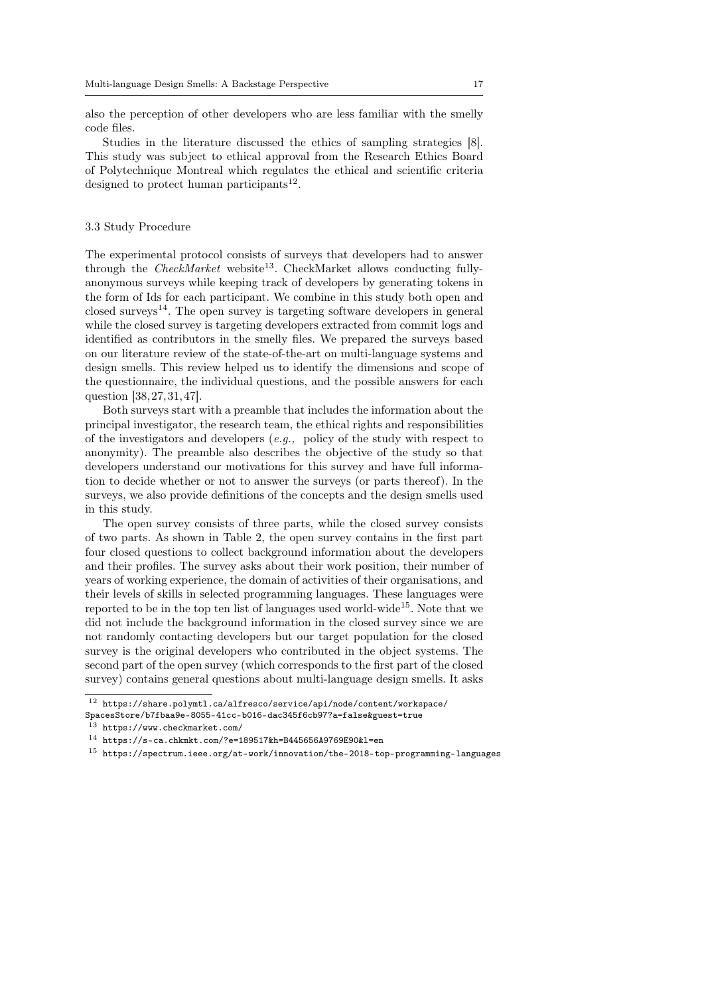also the perception of other developers who are less familiar with the smelly code files.

Studies in the literature discussed the ethics of sampling strategies [8]. This study was subject to ethical approval from the Research Ethics Board of Polytechnique Montreal which regulates the ethical and scientific criteria designed to protect human participants<sup>12</sup>.

# 3.3 Study Procedure

The experimental protocol consists of surveys that developers had to answer through the *CheckMarket* website<sup>13</sup>. CheckMarket allows conducting fullyanonymous surveys while keeping track of developers by generating tokens in the form of Ids for each participant. We combine in this study both open and closed surveys<sup>14</sup>. The open survey is targeting software developers in general while the closed survey is targeting developers extracted from commit logs and identified as contributors in the smelly files. We prepared the surveys based on our literature review of the state-of-the-art on multi-language systems and design smells. This review helped us to identify the dimensions and scope of the questionnaire, the individual questions, and the possible answers for each question [38, 27, 31, 47].

Both surveys start with a preamble that includes the information about the principal investigator, the research team, the ethical rights and responsibilities of the investigators and developers (e.g., policy of the study with respect to anonymity). The preamble also describes the objective of the study so that developers understand our motivations for this survey and have full information to decide whether or not to answer the surveys (or parts thereof). In the surveys, we also provide definitions of the concepts and the design smells used in this study.

The open survey consists of three parts, while the closed survey consists of two parts. As shown in Table 2, the open survey contains in the first part four closed questions to collect background information about the developers and their profiles. The survey asks about their work position, their number of years of working experience, the domain of activities of their organisations, and their levels of skills in selected programming languages. These languages were reported to be in the top ten list of languages used world-wide<sup>15</sup>. Note that we did not include the background information in the closed survey since we are not randomly contacting developers but our target population for the closed survey is the original developers who contributed in the object systems. The second part of the open survey (which corresponds to the first part of the closed survey) contains general questions about multi-language design smells. It asks

 $^{12}\,$ https://share.polymtl.ca/alfresco/service/api/node/content/workspace/ SpacesStore/b7fbaa9e-8055-41cc-b016-dac345f6cb97?a=false&guest=true

<sup>13</sup> https://www.checkmarket.com/

 $14$  https://s-ca.chkmkt.com/?e=189517&h=B445656A9769E90&1=en

 $15$  https://spectrum.ieee.org/at-work/innovation/the-2018-top-programming-languages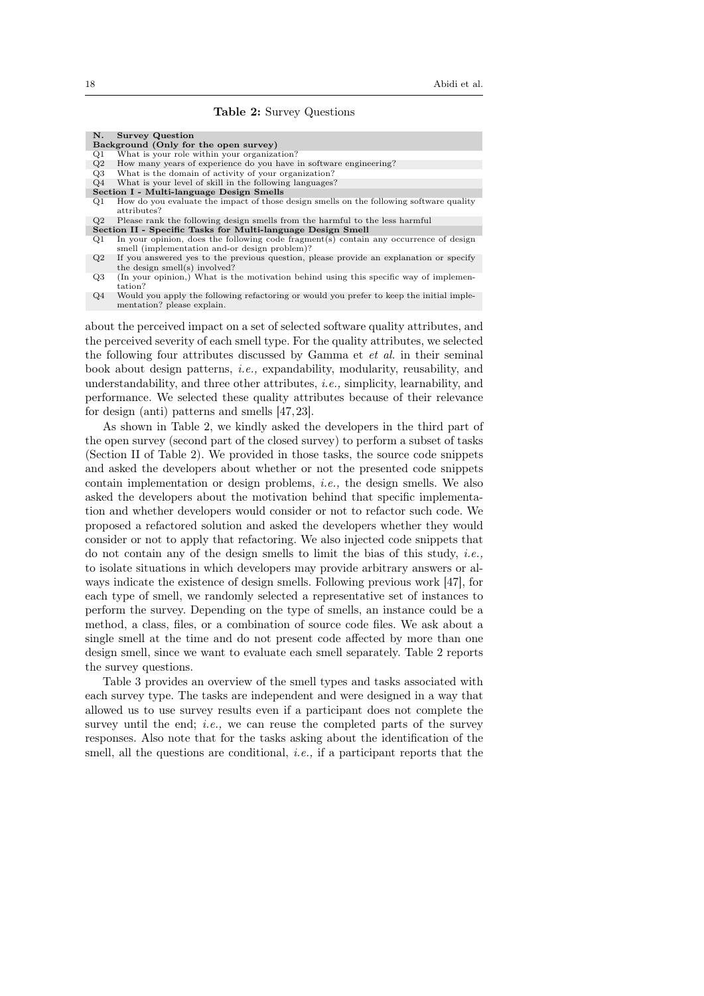# Table 2: Survey Questions

| <b>Survey Question</b><br>N.                                                                                         |
|----------------------------------------------------------------------------------------------------------------------|
| Background (Only for the open survey)                                                                                |
| What is your role within your organization?<br>Q1                                                                    |
| How many years of experience do you have in software engineering?<br>Q2                                              |
| What is the domain of activity of your organization?<br>Q3                                                           |
| What is your level of skill in the following languages?<br>$\Omega$ 4                                                |
| Section I - Multi-language Design Smells                                                                             |
| How do you evaluate the impact of those design smells on the following software quality<br>$\omega$ 1<br>attributes? |
| Please rank the following design smells from the harmful to the less harmful<br>$\Omega$                             |
| Soction II - Specific Tasks for Multi-language Design Small                                                          |

- Section II Specific Tasks for Multi-language Design Smell<br>Q1 In your opinion, does the following code fragment(s) contain any occurrence of design smell (implementation and-or design problem)?
- Q2 If you answered yes to the previous question, please provide an explanation or specify the design smell(s) involved?
- Q3 (In your opinion,) What is the motivation behind using this specific way of implementation?
- Q4 Would you apply the following refactoring or would you prefer to keep the initial implementation? please explain.

about the perceived impact on a set of selected software quality attributes, and the perceived severity of each smell type. For the quality attributes, we selected the following four attributes discussed by Gamma et et al. in their seminal book about design patterns, i.e., expandability, modularity, reusability, and understandability, and three other attributes, i.e., simplicity, learnability, and performance. We selected these quality attributes because of their relevance for design (anti) patterns and smells [47,23].

As shown in Table 2, we kindly asked the developers in the third part of the open survey (second part of the closed survey) to perform a subset of tasks (Section II of Table 2). We provided in those tasks, the source code snippets and asked the developers about whether or not the presented code snippets contain implementation or design problems, i.e., the design smells. We also asked the developers about the motivation behind that specific implementation and whether developers would consider or not to refactor such code. We proposed a refactored solution and asked the developers whether they would consider or not to apply that refactoring. We also injected code snippets that do not contain any of the design smells to limit the bias of this study, *i.e.*, to isolate situations in which developers may provide arbitrary answers or always indicate the existence of design smells. Following previous work [47], for each type of smell, we randomly selected a representative set of instances to perform the survey. Depending on the type of smells, an instance could be a method, a class, files, or a combination of source code files. We ask about a single smell at the time and do not present code affected by more than one design smell, since we want to evaluate each smell separately. Table 2 reports the survey questions.

Table 3 provides an overview of the smell types and tasks associated with each survey type. The tasks are independent and were designed in a way that allowed us to use survey results even if a participant does not complete the survey until the end; *i.e.*, we can reuse the completed parts of the survey responses. Also note that for the tasks asking about the identification of the smell, all the questions are conditional, *i.e.*, if a participant reports that the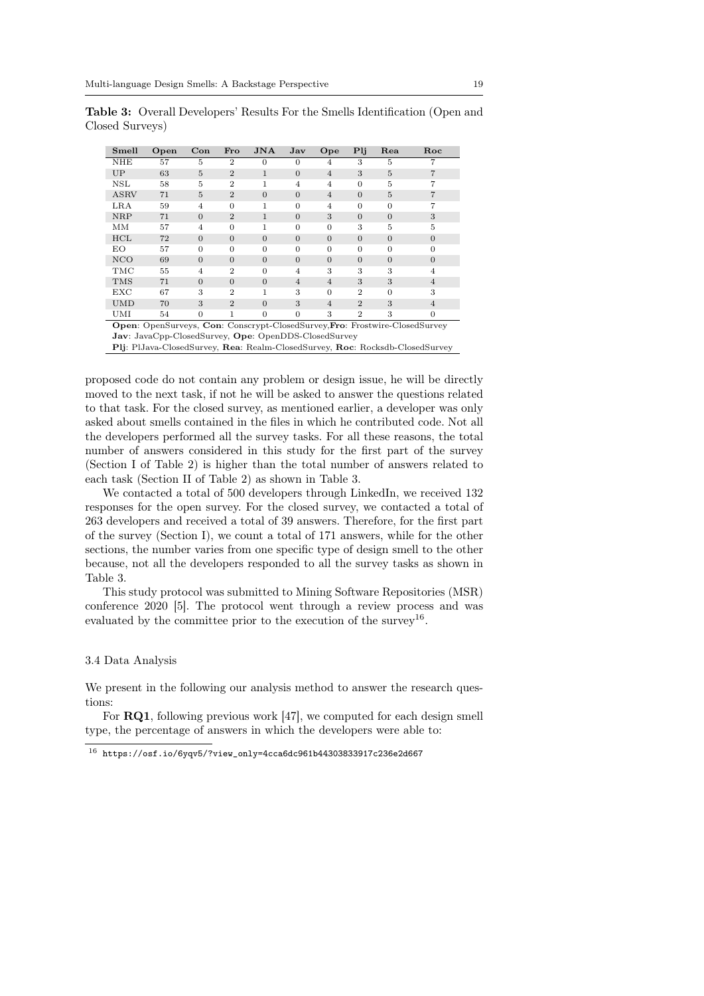| Smell      | Open                                                                        | $_{\rm Con}$ | Fro            | JNA            | $\mathbf{Jav}$ | Ope            | Plj            | Rea            | Roc            |  |
|------------|-----------------------------------------------------------------------------|--------------|----------------|----------------|----------------|----------------|----------------|----------------|----------------|--|
| NHE        | 57                                                                          | 5            | $\overline{2}$ | $\Omega$       | $\Omega$       | 4              | 3              | 5              | 7              |  |
| UP         | 63                                                                          | 5            | $\overline{2}$ | 1              | $\theta$       | $\overline{4}$ | 3              | 5              | $\overline{7}$ |  |
| NSL        | 58                                                                          | 5            | $\overline{2}$ | 1              | 4              | $\overline{4}$ | $\overline{0}$ | 5              | 7              |  |
| ASRV       | 71                                                                          | 5            | $\overline{2}$ | $\overline{0}$ | $\Omega$       | $\overline{4}$ | $\theta$       | 5              | 7              |  |
| LRA        | 59                                                                          | 4            | $\Omega$       | 1              | $\Omega$       | $\overline{4}$ | $\overline{0}$ | $\overline{0}$ | 7              |  |
| <b>NRP</b> | 71                                                                          | $\theta$     | $\overline{2}$ | 1              | $\overline{0}$ | 3              | $\overline{0}$ | $\overline{0}$ | 3              |  |
| MМ         | 57                                                                          | 4            | $\Omega$       |                | $\Omega$       | $\Omega$       | 3              | 5              | 5              |  |
| <b>HCL</b> | 72                                                                          | $\theta$     | $\Omega$       | $\overline{0}$ | $\theta$       | $\theta$       | $\overline{0}$ | $\overline{0}$ | $\overline{0}$ |  |
| EО         | 57                                                                          | $\theta$     | $\Omega$       | $\overline{0}$ | $\Omega$       | $\Omega$       | $\overline{0}$ | $\theta$       | 0              |  |
| <b>NCO</b> | 69                                                                          | $\theta$     | $\Omega$       | $\overline{0}$ | $\Omega$       | $\theta$       | $\theta$       | $\overline{0}$ | $\theta$       |  |
| TMC        | 55                                                                          | 4            | $\overline{2}$ | $\Omega$       | 4              | 3              | 3              | 3              | 4              |  |
| <b>TMS</b> | 71                                                                          | $\theta$     | $\Omega$       | $\overline{0}$ | $\overline{4}$ | $\overline{4}$ | 3              | 3              | $\overline{4}$ |  |
| EXC        | 67                                                                          | 3            | $\overline{2}$ | 1              | 3              | $\Omega$       | $\overline{2}$ | $\Omega$       | 3              |  |
| <b>UMD</b> | 70                                                                          | 3            | $\overline{2}$ | $\Omega$       | 3              | $\overline{4}$ | $\overline{2}$ | 3              | $\overline{4}$ |  |
| UMI        | 54                                                                          | $\theta$     | 1              | $\overline{0}$ | $\overline{0}$ | 3              | $\overline{2}$ | 3              | $\overline{0}$ |  |
|            | Open: OpenSurveys, Con: Conscrypt-ClosedSurvey, Fro: Frostwire-ClosedSurvey |              |                |                |                |                |                |                |                |  |
|            | <b>Jay:</b> JavaCpp-ClosedSurvey, Ope: OpenDDS-ClosedSurvey                 |              |                |                |                |                |                |                |                |  |

Table 3: Overall Developers' Results For the Smells Identification (Open and Closed Surveys)

Plj: PlJava-ClosedSurvey, Rea: Realm-ClosedSurvey, Roc: Rocksdb-ClosedSurvey

proposed code do not contain any problem or design issue, he will be directly moved to the next task, if not he will be asked to answer the questions related to that task. For the closed survey, as mentioned earlier, a developer was only asked about smells contained in the files in which he contributed code. Not all the developers performed all the survey tasks. For all these reasons, the total number of answers considered in this study for the first part of the survey (Section I of Table 2) is higher than the total number of answers related to each task (Section II of Table 2) as shown in Table 3.

We contacted a total of 500 developers through LinkedIn, we received 132 responses for the open survey. For the closed survey, we contacted a total of 263 developers and received a total of 39 answers. Therefore, for the first part of the survey (Section I), we count a total of 171 answers, while for the other sections, the number varies from one specific type of design smell to the other because, not all the developers responded to all the survey tasks as shown in Table 3.

This study protocol was submitted to Mining Software Repositories (MSR) conference 2020 [5]. The protocol went through a review process and was evaluated by the committee prior to the execution of the survey<sup>16</sup>.

#### 3.4 Data Analysis

We present in the following our analysis method to answer the research questions:

For RQ1, following previous work [47], we computed for each design smell type, the percentage of answers in which the developers were able to:

 $^{16}$ https://osf.io/6yqv5/?view\_only=4cca6dc961b44303833917c236e2d667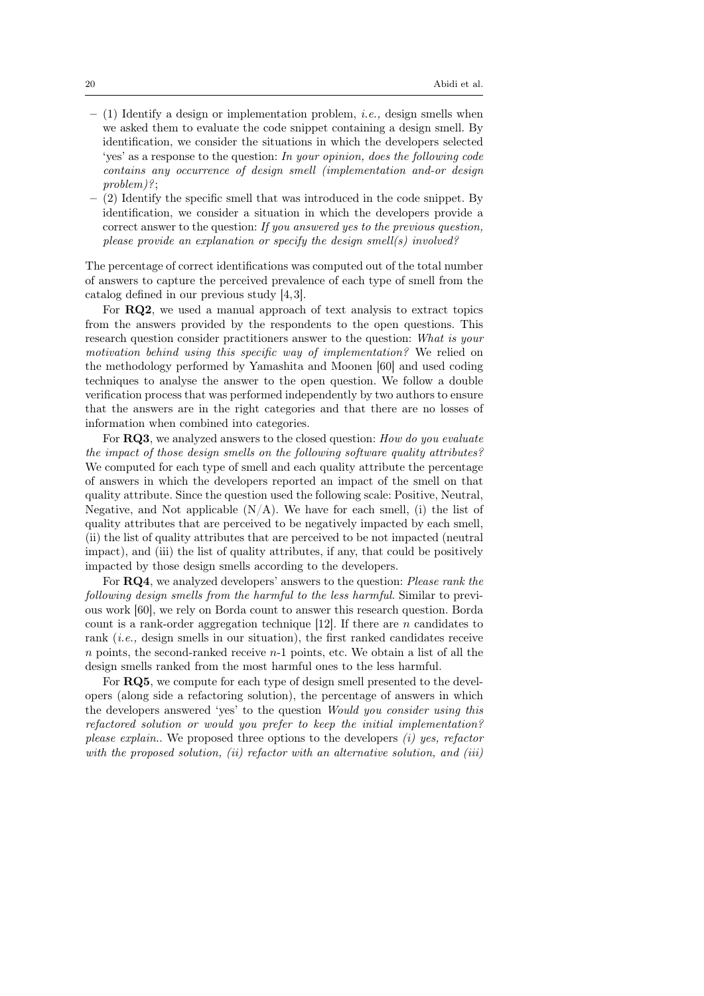- $-$  (1) Identify a design or implementation problem, *i.e.*, design smells when we asked them to evaluate the code snippet containing a design smell. By identification, we consider the situations in which the developers selected 'yes' as a response to the question: In your opinion, does the following code contains any occurrence of design smell (implementation and-or design problem)?;
- (2) Identify the specific smell that was introduced in the code snippet. By identification, we consider a situation in which the developers provide a correct answer to the question: If you answered yes to the previous question, please provide an explanation or specify the design smell(s) involved?

The percentage of correct identifications was computed out of the total number of answers to capture the perceived prevalence of each type of smell from the catalog defined in our previous study [4,3].

For RQ2, we used a manual approach of text analysis to extract topics from the answers provided by the respondents to the open questions. This research question consider practitioners answer to the question: What is your motivation behind using this specific way of implementation? We relied on the methodology performed by Yamashita and Moonen [60] and used coding techniques to analyse the answer to the open question. We follow a double verification process that was performed independently by two authors to ensure that the answers are in the right categories and that there are no losses of information when combined into categories.

For **RQ3**, we analyzed answers to the closed question: How do you evaluate the impact of those design smells on the following software quality attributes? We computed for each type of smell and each quality attribute the percentage of answers in which the developers reported an impact of the smell on that quality attribute. Since the question used the following scale: Positive, Neutral, Negative, and Not applicable  $(N/A)$ . We have for each smell, (i) the list of quality attributes that are perceived to be negatively impacted by each smell, (ii) the list of quality attributes that are perceived to be not impacted (neutral impact), and (iii) the list of quality attributes, if any, that could be positively impacted by those design smells according to the developers.

For RQ4, we analyzed developers' answers to the question: Please rank the following design smells from the harmful to the less harmful. Similar to previous work [60], we rely on Borda count to answer this research question. Borda count is a rank-order aggregation technique [12]. If there are  $n$  candidates to rank (i.e., design smells in our situation), the first ranked candidates receive  $n$  points, the second-ranked receive  $n-1$  points, etc. We obtain a list of all the design smells ranked from the most harmful ones to the less harmful.

For RQ5, we compute for each type of design smell presented to the developers (along side a refactoring solution), the percentage of answers in which the developers answered 'yes' to the question Would you consider using this refactored solution or would you prefer to keep the initial implementation? please explain.. We proposed three options to the developers  $(i)$  yes, refactor with the proposed solution, (ii) refactor with an alternative solution, and (iii)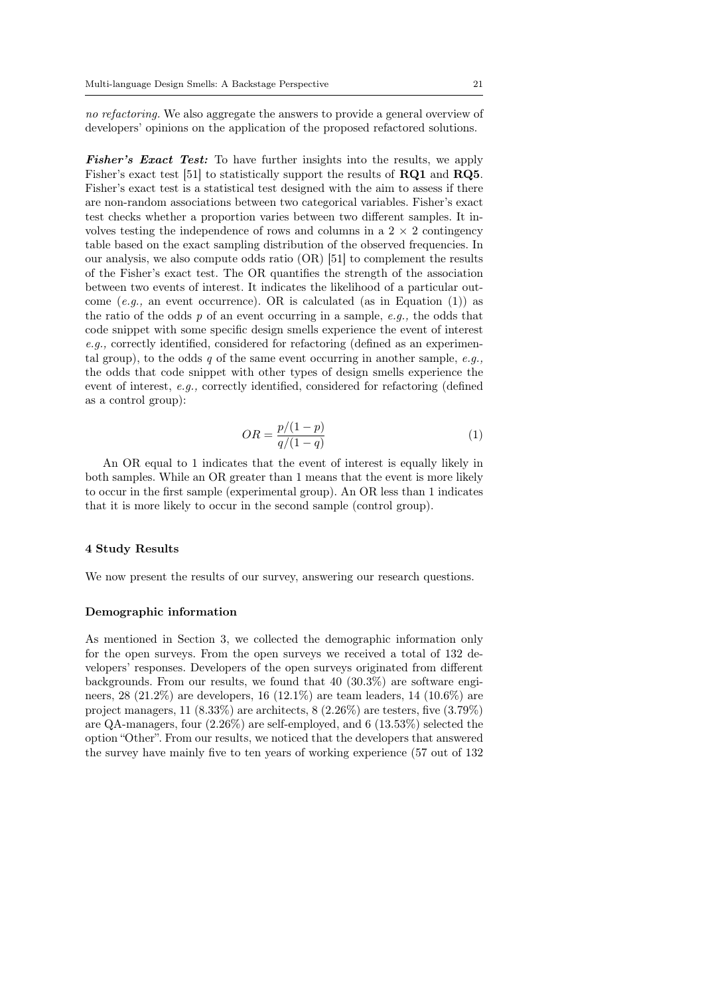no refactoring. We also aggregate the answers to provide a general overview of developers' opinions on the application of the proposed refactored solutions.

Fisher's Exact Test: To have further insights into the results, we apply Fisher's exact test [51] to statistically support the results of RQ1 and RQ5. Fisher's exact test is a statistical test designed with the aim to assess if there are non-random associations between two categorical variables. Fisher's exact test checks whether a proportion varies between two different samples. It involves testing the independence of rows and columns in a  $2 \times 2$  contingency table based on the exact sampling distribution of the observed frequencies. In our analysis, we also compute odds ratio (OR) [51] to complement the results of the Fisher's exact test. The OR quantifies the strength of the association between two events of interest. It indicates the likelihood of a particular outcome (e.g., an event occurrence). OR is calculated (as in Equation (1)) as the ratio of the odds  $p$  of an event occurring in a sample,  $e.q.$ , the odds that code snippet with some specific design smells experience the event of interest e.g., correctly identified, considered for refactoring (defined as an experimental group), to the odds q of the same event occurring in another sample,  $e.a.,$ the odds that code snippet with other types of design smells experience the event of interest, e.g., correctly identified, considered for refactoring (defined as a control group):

$$
OR = \frac{p/(1-p)}{q/(1-q)}
$$
 (1)

An OR equal to 1 indicates that the event of interest is equally likely in both samples. While an OR greater than 1 means that the event is more likely to occur in the first sample (experimental group). An OR less than 1 indicates that it is more likely to occur in the second sample (control group).

### 4 Study Results

We now present the results of our survey, answering our research questions.

#### Demographic information

As mentioned in Section 3, we collected the demographic information only for the open surveys. From the open surveys we received a total of 132 developers' responses. Developers of the open surveys originated from different backgrounds. From our results, we found that 40 (30.3%) are software engineers, 28 (21.2%) are developers, 16 (12.1%) are team leaders, 14 (10.6%) are project managers,  $11$   $(8.33\%)$  are architects,  $8$   $(2.26\%)$  are testers, five  $(3.79\%)$ are QA-managers, four (2.26%) are self-employed, and 6 (13.53%) selected the option "Other". From our results, we noticed that the developers that answered the survey have mainly five to ten years of working experience (57 out of 132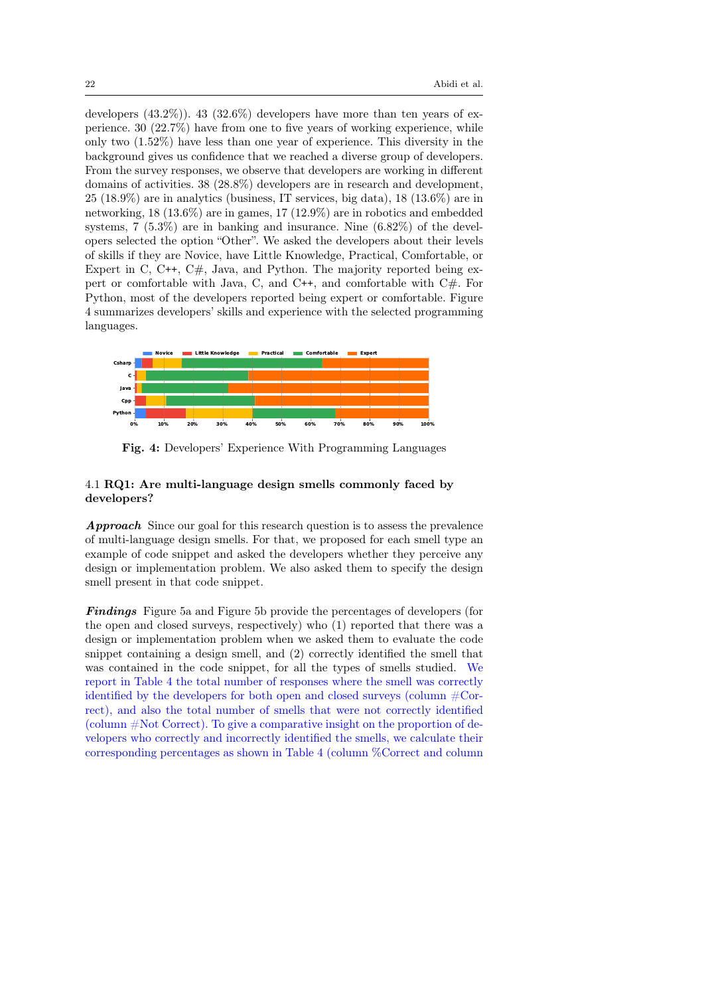developers  $(43.2\%)$ .  $43$   $(32.6\%)$  developers have more than ten years of experience. 30 (22.7%) have from one to five years of working experience, while only two (1.52%) have less than one year of experience. This diversity in the background gives us confidence that we reached a diverse group of developers. From the survey responses, we observe that developers are working in different domains of activities. 38 (28.8%) developers are in research and development,  $25$  (18.9%) are in analytics (business, IT services, big data), 18 (13.6%) are in networking, 18 (13.6%) are in games, 17 (12.9%) are in robotics and embedded systems, 7 (5.3%) are in banking and insurance. Nine (6.82%) of the developers selected the option "Other". We asked the developers about their levels of skills if they are Novice, have Little Knowledge, Practical, Comfortable, or Expert in C,  $C_{++}$ ,  $C_{\#}$ , Java, and Python. The majority reported being expert or comfortable with Java, C, and C++, and comfortable with C#. For Python, most of the developers reported being expert or comfortable. Figure 4 summarizes developers' skills and experience with the selected programming languages.



Fig. 4: Developers' Experience With Programming Languages

# 4.1 RQ1: Are multi-language design smells commonly faced by developers?

Approach Since our goal for this research question is to assess the prevalence of multi-language design smells. For that, we proposed for each smell type an example of code snippet and asked the developers whether they perceive any design or implementation problem. We also asked them to specify the design smell present in that code snippet.

**Findings** Figure 5a and Figure 5b provide the percentages of developers (for the open and closed surveys, respectively) who (1) reported that there was a design or implementation problem when we asked them to evaluate the code snippet containing a design smell, and (2) correctly identified the smell that was contained in the code snippet, for all the types of smells studied. We report in Table 4 the total number of responses where the smell was correctly identified by the developers for both open and closed surveys (column #Correct), and also the total number of smells that were not correctly identified (column #Not Correct). To give a comparative insight on the proportion of developers who correctly and incorrectly identified the smells, we calculate their corresponding percentages as shown in Table 4 (column %Correct and column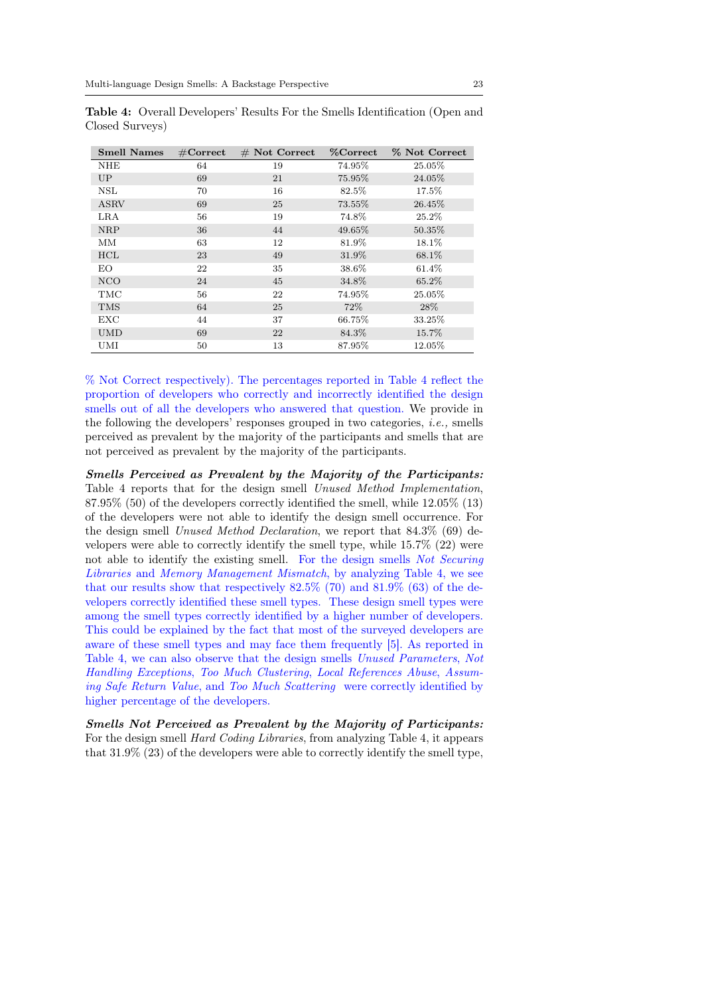| <b>Smell Names</b> | $\#\mathrm{Correct}$ | $#$ Not Correct | <b>%Correct</b> | % Not Correct |
|--------------------|----------------------|-----------------|-----------------|---------------|
| NHE                | 64                   | 19              | 74.95%          | 25.05%        |
| UP                 | 69                   | 21              | 75.95%          | 24.05%        |
| <b>NSL</b>         | 70                   | 16              | 82.5%           | 17.5%         |
| <b>ASRV</b>        | 69                   | 25              | 73.55%          | 26.45%        |
| LRA                | 56                   | 19              | 74.8%           | 25.2%         |
| <b>NRP</b>         | 36                   | 44              | 49.65%          | 50.35%        |
| MМ                 | 63                   | 12              | 81.9%           | 18.1%         |
| HCL                | 23                   | 49              | 31.9%           | 68.1%         |
| EO                 | 22                   | 35              | 38.6%           | 61.4%         |
| <b>NCO</b>         | 24                   | 45              | 34.8%           | 65.2%         |
| TMC                | 56                   | 22              | 74.95%          | 25.05%        |
| <b>TMS</b>         | 64                   | 25              | 72\%            | 28\%          |
| <b>EXC</b>         | 44                   | 37              | 66.75%          | 33.25%        |
| <b>UMD</b>         | 69                   | 22              | 84.3%           | 15.7%         |
| UMI                | 50                   | 13              | 87.95%          | 12.05%        |

Table 4: Overall Developers' Results For the Smells Identification (Open and Closed Surveys)

% Not Correct respectively). The percentages reported in Table 4 reflect the proportion of developers who correctly and incorrectly identified the design smells out of all the developers who answered that question. We provide in the following the developers' responses grouped in two categories, *i.e.*, smells perceived as prevalent by the majority of the participants and smells that are not perceived as prevalent by the majority of the participants.

Smells Perceived as Prevalent by the Majority of the Participants: Table 4 reports that for the design smell Unused Method Implementation, 87.95% (50) of the developers correctly identified the smell, while 12.05% (13) of the developers were not able to identify the design smell occurrence. For the design smell Unused Method Declaration, we report that 84.3% (69) developers were able to correctly identify the smell type, while 15.7% (22) were not able to identify the existing smell. For the design smells Not Securing Libraries and Memory Management Mismatch, by analyzing Table 4, we see that our results show that respectively 82.5% (70) and 81.9% (63) of the developers correctly identified these smell types. These design smell types were among the smell types correctly identified by a higher number of developers. This could be explained by the fact that most of the surveyed developers are aware of these smell types and may face them frequently [5]. As reported in Table 4, we can also observe that the design smells Unused Parameters, Not Handling Exceptions, Too Much Clustering, Local References Abuse, Assuming Safe Return Value, and Too Much Scattering were correctly identified by higher percentage of the developers.

Smells Not Perceived as Prevalent by the Majority of Participants: For the design smell Hard Coding Libraries, from analyzing Table 4, it appears that 31.9% (23) of the developers were able to correctly identify the smell type,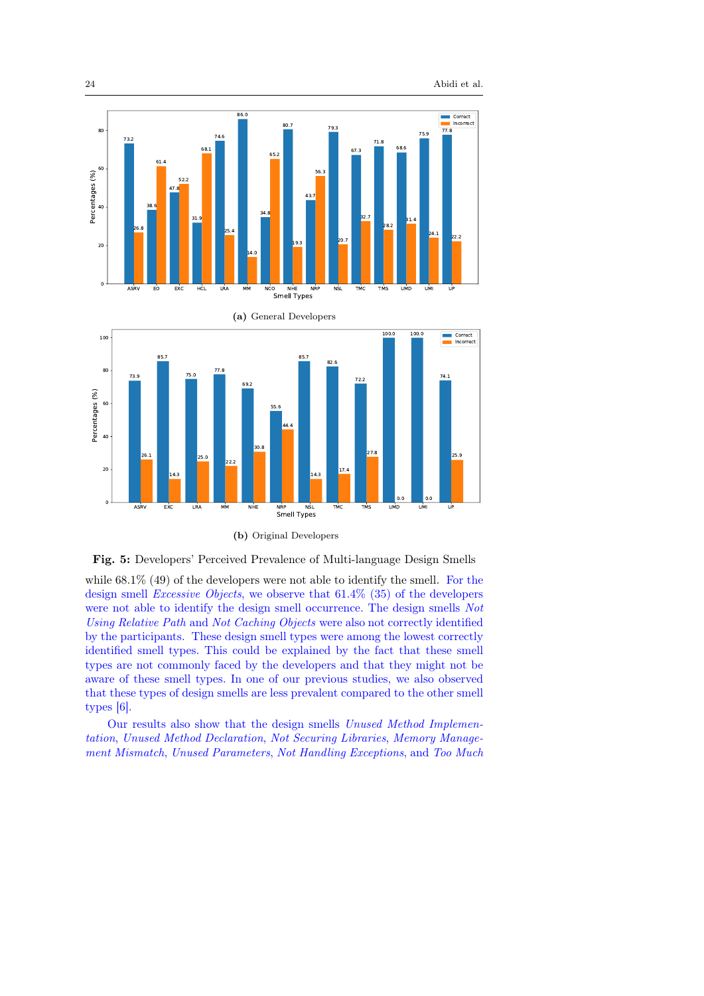



(b) Original Developers



while 68.1% (49) of the developers were not able to identify the smell. For the design smell Excessive Objects, we observe that 61.4% (35) of the developers were not able to identify the design smell occurrence. The design smells  $Not$ Using Relative Path and Not Caching Objects were also not correctly identified by the participants. These design smell types were among the lowest correctly identified smell types. This could be explained by the fact that these smell types are not commonly faced by the developers and that they might not be aware of these smell types. In one of our previous studies, we also observed that these types of design smells are less prevalent compared to the other smell types [6].

Our results also show that the design smells Unused Method Implementation, Unused Method Declaration, Not Securing Libraries, Memory Management Mismatch, Unused Parameters, Not Handling Exceptions, and Too Much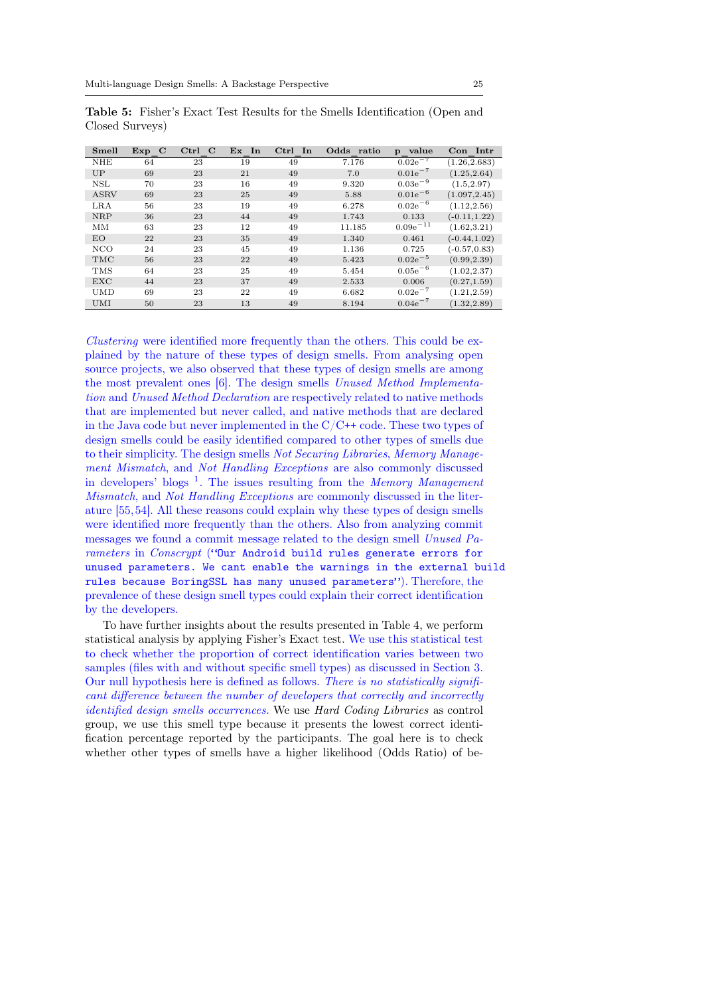| Smell       | Exp<br>$\mathbf C$ | Ctrl<br>$\mathbf C$ | Ex In | $_{\rm Ctrl}$<br>$\mathbf{In}$ | Odds ratio | value<br>$\mathbf{p}$ | Con Intr        |
|-------------|--------------------|---------------------|-------|--------------------------------|------------|-----------------------|-----------------|
| <b>NHE</b>  | 64                 | 23                  | 19    | 49                             | 7.176      | $0.02e^{-7}$          | (1.26, 2.683)   |
| UP          | 69                 | 23                  | 21    | 49                             | 7.0        | $0.01e^{-7}$          | (1.25, 2.64)    |
| <b>NSL</b>  | 70                 | 23                  | 16    | 49                             | 9.320      | $0.03e^{-9}$          | (1.5, 2.97)     |
| <b>ASRV</b> | 69                 | 23                  | 25    | 49                             | 5.88       | $0.01e^{-6}$          | (1.097, 2.45)   |
| LRA         | 56                 | 23                  | 19    | 49                             | 6.278      | $0.02e^{-6}$          | (1.12, 2.56)    |
| <b>NRP</b>  | 36                 | 23                  | 44    | 49                             | 1.743      | 0.133                 | $(-0.11, 1.22)$ |
| MM          | 63                 | 23                  | 12    | 49                             | 11.185     | $0.09e^{-11}$         | (1.62, 3.21)    |
| EO          | 22                 | 23                  | 35    | 49                             | 1.340      | 0.461                 | $(-0.44, 1.02)$ |
| NCO         | 24                 | 23                  | 45    | 49                             | 1.136      | 0.725                 | $(-0.57, 0.83)$ |
| <b>TMC</b>  | 56                 | 23                  | 22    | 49                             | 5.423      | $0.02e^{-5}$          | (0.99, 2.39)    |
| <b>TMS</b>  | 64                 | 23                  | 25    | 49                             | 5.454      | $0.05e^{-6}$          | (1.02, 2.37)    |
| <b>EXC</b>  | 44                 | 23                  | 37    | 49                             | 2.533      | 0.006                 | (0.27, 1.59)    |
| <b>UMD</b>  | 69                 | 23                  | 22    | 49                             | 6.682      | $0.02e^{-7}$          | (1.21, 2.59)    |
| <b>UMI</b>  | 50                 | 23                  | 13    | 49                             | 8.194      | $0.04e^{-7}$          | (1.32, 2.89)    |

Table 5: Fisher's Exact Test Results for the Smells Identification (Open and Closed Surveys)

Clustering were identified more frequently than the others. This could be explained by the nature of these types of design smells. From analysing open source projects, we also observed that these types of design smells are among the most prevalent ones [6]. The design smells Unused Method Implementation and Unused Method Declaration are respectively related to native methods that are implemented but never called, and native methods that are declared in the Java code but never implemented in the  $C/C$ ++ code. These two types of design smells could be easily identified compared to other types of smells due to their simplicity. The design smells Not Securing Libraries, Memory Management Mismatch, and Not Handling Exceptions are also commonly discussed in developers' blogs<sup>1</sup>. The issues resulting from the Memory Management Mismatch, and Not Handling Exceptions are commonly discussed in the literature [55,54]. All these reasons could explain why these types of design smells were identified more frequently than the others. Also from analyzing commit messages we found a commit message related to the design smell Unused Parameters in Conscrypt ("Our Android build rules generate errors for unused parameters. We cant enable the warnings in the external build rules because BoringSSL has many unused parameters"). Therefore, the prevalence of these design smell types could explain their correct identification by the developers.

To have further insights about the results presented in Table 4, we perform statistical analysis by applying Fisher's Exact test. We use this statistical test to check whether the proportion of correct identification varies between two samples (files with and without specific smell types) as discussed in Section 3. Our null hypothesis here is defined as follows. There is no statistically significant difference between the number of developers that correctly and incorrectly identified design smells occurrences. We use Hard Coding Libraries as control group, we use this smell type because it presents the lowest correct identification percentage reported by the participants. The goal here is to check whether other types of smells have a higher likelihood (Odds Ratio) of be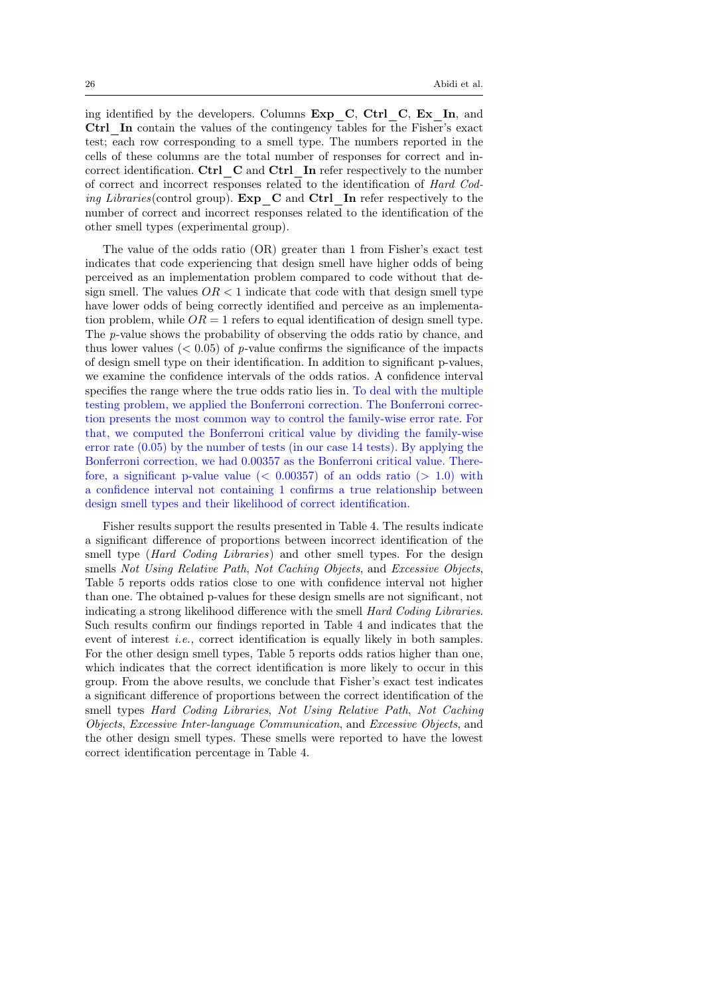ing identified by the developers. Columns  $Exp$  C, Ctrl C,  $Ex$  In, and Ctrl\_In contain the values of the contingency tables for the Fisher's exact test; each row corresponding to a smell type. The numbers reported in the cells of these columns are the total number of responses for correct and incorrect identification. Ctrl  $C$  and Ctrl In refer respectively to the number of correct and incorrect responses related to the identification of Hard Coding Libraries (control group). Exp  $C$  and Ctrl In refer respectively to the number of correct and incorrect responses related to the identification of the other smell types (experimental group).

The value of the odds ratio (OR) greater than 1 from Fisher's exact test indicates that code experiencing that design smell have higher odds of being perceived as an implementation problem compared to code without that design smell. The values  $OR < 1$  indicate that code with that design smell type have lower odds of being correctly identified and perceive as an implementation problem, while  $OR = 1$  refers to equal identification of design smell type. The p-value shows the probability of observing the odds ratio by chance, and thus lower values ( $\leq 0.05$ ) of p-value confirms the significance of the impacts of design smell type on their identification. In addition to significant p-values, we examine the confidence intervals of the odds ratios. A confidence interval specifies the range where the true odds ratio lies in. To deal with the multiple testing problem, we applied the Bonferroni correction. The Bonferroni correction presents the most common way to control the family-wise error rate. For that, we computed the Bonferroni critical value by dividing the family-wise error rate  $(0.05)$  by the number of tests (in our case 14 tests). By applying the Bonferroni correction, we had 0.00357 as the Bonferroni critical value. Therefore, a significant p-value value  $( $0.00357$ )$  of an odds ratio  $(>1.0)$  with a confidence interval not containing 1 confirms a true relationship between design smell types and their likelihood of correct identification.

Fisher results support the results presented in Table 4. The results indicate a significant difference of proportions between incorrect identification of the smell type (*Hard Coding Libraries*) and other smell types. For the design smells Not Using Relative Path, Not Caching Objects, and Excessive Objects, Table 5 reports odds ratios close to one with confidence interval not higher than one. The obtained p-values for these design smells are not significant, not indicating a strong likelihood difference with the smell Hard Coding Libraries. Such results confirm our findings reported in Table 4 and indicates that the event of interest *i.e.*, correct identification is equally likely in both samples. For the other design smell types, Table 5 reports odds ratios higher than one, which indicates that the correct identification is more likely to occur in this group. From the above results, we conclude that Fisher's exact test indicates a significant difference of proportions between the correct identification of the smell types Hard Coding Libraries, Not Using Relative Path, Not Caching Objects, Excessive Inter-language Communication, and Excessive Objects, and the other design smell types. These smells were reported to have the lowest correct identification percentage in Table 4.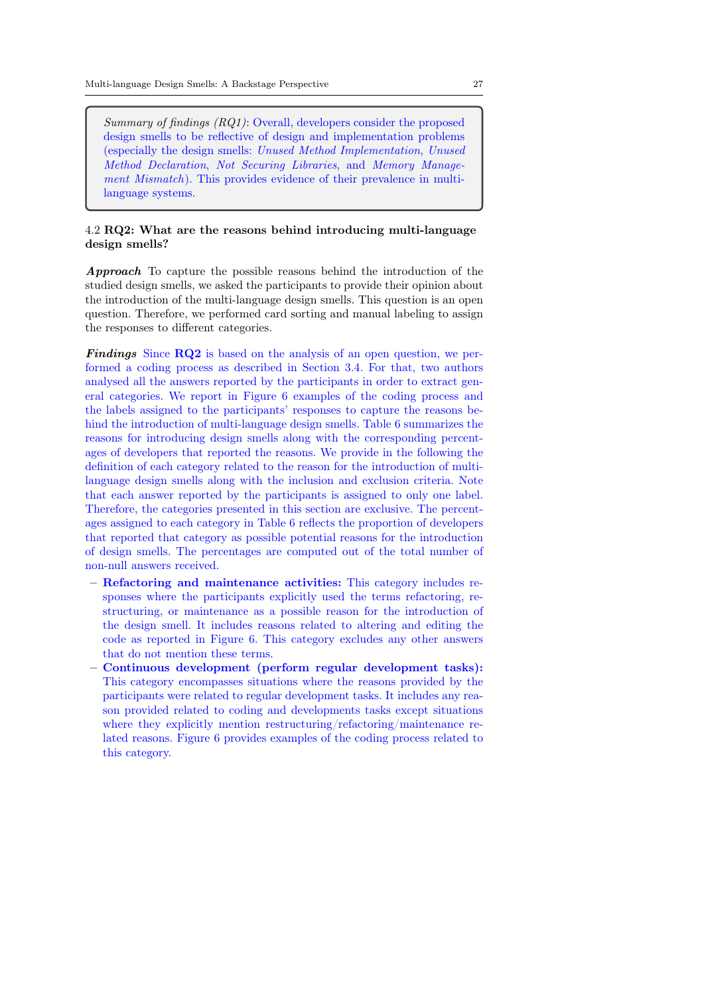Summary of findings (RQ1): Overall, developers consider the proposed design smells to be reflective of design and implementation problems (especially the design smells: Unused Method Implementation, Unused Method Declaration, Not Securing Libraries, and Memory Management Mismatch). This provides evidence of their prevalence in multilanguage systems.

# 4.2 RQ2: What are the reasons behind introducing multi-language design smells?

Approach To capture the possible reasons behind the introduction of the studied design smells, we asked the participants to provide their opinion about the introduction of the multi-language design smells. This question is an open question. Therefore, we performed card sorting and manual labeling to assign the responses to different categories.

Findings Since RQ2 is based on the analysis of an open question, we performed a coding process as described in Section 3.4. For that, two authors analysed all the answers reported by the participants in order to extract general categories. We report in Figure 6 examples of the coding process and the labels assigned to the participants' responses to capture the reasons behind the introduction of multi-language design smells. Table 6 summarizes the reasons for introducing design smells along with the corresponding percentages of developers that reported the reasons. We provide in the following the definition of each category related to the reason for the introduction of multilanguage design smells along with the inclusion and exclusion criteria. Note that each answer reported by the participants is assigned to only one label. Therefore, the categories presented in this section are exclusive. The percentages assigned to each category in Table 6 reflects the proportion of developers that reported that category as possible potential reasons for the introduction of design smells. The percentages are computed out of the total number of non-null answers received.

- Refactoring and maintenance activities: This category includes responses where the participants explicitly used the terms refactoring, restructuring, or maintenance as a possible reason for the introduction of the design smell. It includes reasons related to altering and editing the code as reported in Figure 6. This category excludes any other answers that do not mention these terms.
- Continuous development (perform regular development tasks): This category encompasses situations where the reasons provided by the participants were related to regular development tasks. It includes any reason provided related to coding and developments tasks except situations where they explicitly mention restructuring/refactoring/maintenance related reasons. Figure 6 provides examples of the coding process related to this category.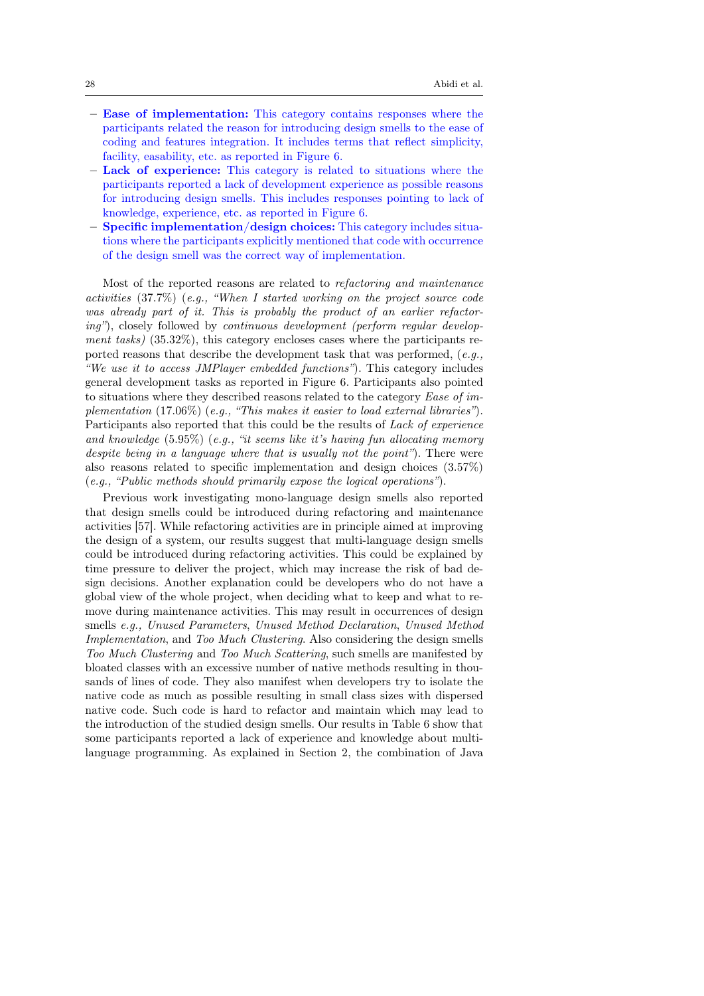- Ease of implementation: This category contains responses where the participants related the reason for introducing design smells to the ease of coding and features integration. It includes terms that reflect simplicity, facility, easability, etc. as reported in Figure 6.
- Lack of experience: This category is related to situations where the participants reported a lack of development experience as possible reasons for introducing design smells. This includes responses pointing to lack of knowledge, experience, etc. as reported in Figure 6.
- Specific implementation/design choices: This category includes situations where the participants explicitly mentioned that code with occurrence of the design smell was the correct way of implementation.

Most of the reported reasons are related to refactoring and maintenance activities (37.7%) (e.g., "When I started working on the project source code was already part of it. This is probably the product of an earlier refactoring"), closely followed by continuous development (perform regular development tasks) (35.32%), this category encloses cases where the participants reported reasons that describe the development task that was performed, (e.g., "We use it to access JMPlayer embedded functions"). This category includes general development tasks as reported in Figure 6. Participants also pointed to situations where they described reasons related to the category Ease of implementation (17.06%) (e.g., "This makes it easier to load external libraries"). Participants also reported that this could be the results of *Lack of experience* and knowledge (5.95%) (e.g., "it seems like it's having fun allocating memory despite being in a language where that is usually not the point"). There were also reasons related to specific implementation and design choices (3.57%) (e.g., "Public methods should primarily expose the logical operations").

Previous work investigating mono-language design smells also reported that design smells could be introduced during refactoring and maintenance activities [57]. While refactoring activities are in principle aimed at improving the design of a system, our results suggest that multi-language design smells could be introduced during refactoring activities. This could be explained by time pressure to deliver the project, which may increase the risk of bad design decisions. Another explanation could be developers who do not have a global view of the whole project, when deciding what to keep and what to remove during maintenance activities. This may result in occurrences of design smells e.g., Unused Parameters, Unused Method Declaration, Unused Method Implementation, and Too Much Clustering. Also considering the design smells Too Much Clustering and Too Much Scattering, such smells are manifested by bloated classes with an excessive number of native methods resulting in thousands of lines of code. They also manifest when developers try to isolate the native code as much as possible resulting in small class sizes with dispersed native code. Such code is hard to refactor and maintain which may lead to the introduction of the studied design smells. Our results in Table 6 show that some participants reported a lack of experience and knowledge about multilanguage programming. As explained in Section 2, the combination of Java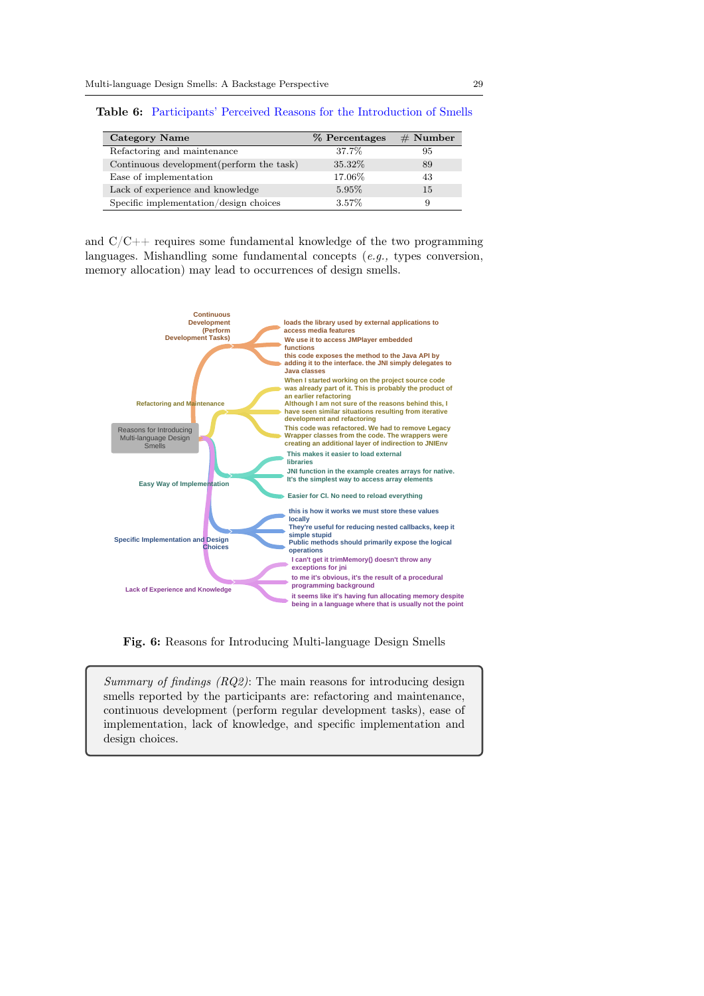| Category Name                             | % Percentages | $#$ Number |
|-------------------------------------------|---------------|------------|
| Refactoring and maintenance               | 37.7%         | 95         |
| Continuous development (perform the task) | 35.32%        | 89         |
| Ease of implementation                    | 17.06%        | 43         |
| Lack of experience and knowledge          | 5.95%         | 15         |
| Specific implementation/design choices    | 3.57%         | 9          |

Table 6: Participants' Perceived Reasons for the Introduction of Smells

and  $C/C++$  requires some fundamental knowledge of the two programming languages. Mishandling some fundamental concepts (e.g., types conversion, memory allocation) may lead to occurrences of design smells.



Fig. 6: Reasons for Introducing Multi-language Design Smells

Summary of findings (RQ2): The main reasons for introducing design smells reported by the participants are: refactoring and maintenance, continuous development (perform regular development tasks), ease of implementation, lack of knowledge, and specific implementation and design choices.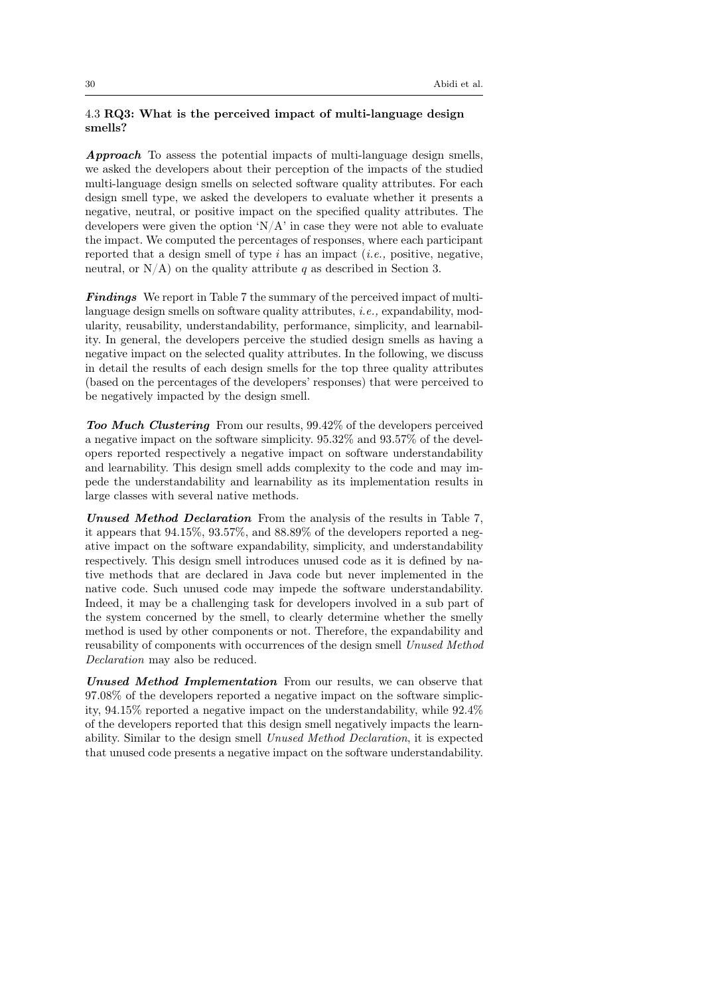# 4.3 RQ3: What is the perceived impact of multi-language design smells?

Approach To assess the potential impacts of multi-language design smells, we asked the developers about their perception of the impacts of the studied multi-language design smells on selected software quality attributes. For each design smell type, we asked the developers to evaluate whether it presents a negative, neutral, or positive impact on the specified quality attributes. The developers were given the option ' $N/A$ ' in case they were not able to evaluate the impact. We computed the percentages of responses, where each participant reported that a design smell of type  $i$  has an impact (*i.e.*, positive, negative, neutral, or  $N/A$ ) on the quality attribute q as described in Section 3.

**Findings** We report in Table 7 the summary of the perceived impact of multilanguage design smells on software quality attributes, i.e., expandability, modularity, reusability, understandability, performance, simplicity, and learnability. In general, the developers perceive the studied design smells as having a negative impact on the selected quality attributes. In the following, we discuss in detail the results of each design smells for the top three quality attributes (based on the percentages of the developers' responses) that were perceived to be negatively impacted by the design smell.

Too Much Clustering From our results, 99.42% of the developers perceived a negative impact on the software simplicity. 95.32% and 93.57% of the developers reported respectively a negative impact on software understandability and learnability. This design smell adds complexity to the code and may impede the understandability and learnability as its implementation results in large classes with several native methods.

Unused Method Declaration From the analysis of the results in Table 7, it appears that 94.15%, 93.57%, and 88.89% of the developers reported a negative impact on the software expandability, simplicity, and understandability respectively. This design smell introduces unused code as it is defined by native methods that are declared in Java code but never implemented in the native code. Such unused code may impede the software understandability. Indeed, it may be a challenging task for developers involved in a sub part of the system concerned by the smell, to clearly determine whether the smelly method is used by other components or not. Therefore, the expandability and reusability of components with occurrences of the design smell Unused Method Declaration may also be reduced.

Unused Method Implementation From our results, we can observe that 97.08% of the developers reported a negative impact on the software simplicity, 94.15% reported a negative impact on the understandability, while 92.4% of the developers reported that this design smell negatively impacts the learnability. Similar to the design smell Unused Method Declaration, it is expected that unused code presents a negative impact on the software understandability.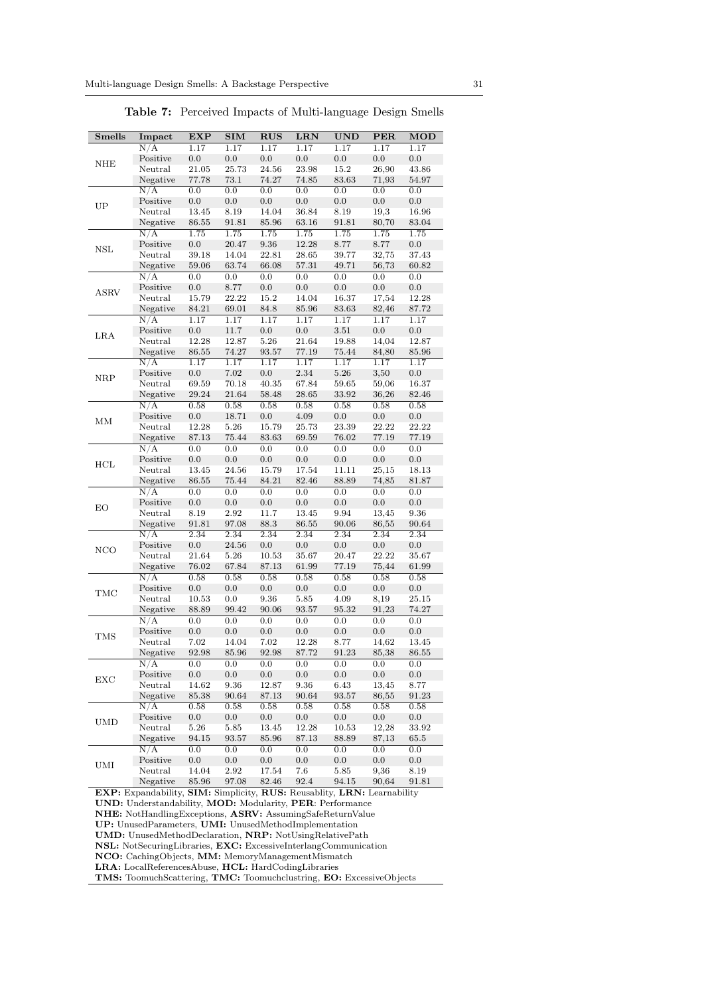| <b>Smells</b>               | Impact               | <b>EXP</b> | <b>SIM</b> | <b>RUS</b> | LRN       | <b>UND</b> | <b>PER</b>     | MOD       |
|-----------------------------|----------------------|------------|------------|------------|-----------|------------|----------------|-----------|
|                             | $\overline{N/A}$     | 1.17       | 1.17       | 1.17       | 1.17      | 1.17       | 1.17           | 1.17      |
|                             | Positive             | 0.0        | $0.0\,$    | $0.0\,$    | 0.0       | $0.0\,$    | 0.0            | 0.0       |
| $\rm{NHE}$                  | Neutral              | 21.05      | 25.73      | 24.56      | 23.98     | $15.2\,$   | 26,90          | 43.86     |
|                             | Negative             | 77.78      | 73.1       | 74.27      | $74.85\,$ | 83.63      | 71,93          | $54.97\,$ |
|                             | N/A                  | 0.0        | 0.0        | 0.0        | 0.0       | 0.0        | 0.0            | $_{0.0}$  |
|                             | Positive             | 0.0        | 0.0        | 0.0        | 0.0       | $0.0\,$    | 0.0            | 0.0       |
| UP                          | Neutral              | 13.45      | 8.19       | 14.04      | 36.84     | $8.19\,$   | 19,3           | 16.96     |
|                             | Negative             | 86.55      | 91.81      | 85.96      | 63.16     | 91.81      | 80,70          | 83.04     |
|                             | N/A                  | 1.75       | 1.75       | 1.75       | 1.75      | 1.75       | 1.75           | 1.75      |
|                             | Positive             | 0.0        | 20.47      | 9.36       | 12.28     | 8.77       | 8.77           | 0.0       |
| <b>NSL</b>                  | Neutral              | 39.18      | 14.04      | 22.81      | $28.65\,$ | 39.77      |                | 37.43     |
|                             | Negative             | 59.06      |            | 66.08      | 57.31     | 49.71      | 32,75<br>56,73 |           |
|                             |                      |            | 63.74      |            |           |            |                | 60.82     |
|                             | N/A                  | 0.0        | 0.0        | 0.0        | 0.0       | 0.0        | 0.0            | 0.0       |
| <b>ASRV</b>                 | Positive             | $0.0\,$    | 8.77       | $0.0\,$    | 0.0       | 0.0        | $0.0\,$        | $0.0\,$   |
|                             | Neutral              | 15.79      | 22.22      | $15.2\,$   | 14.04     | 16.37      | 17,54          | 12.28     |
|                             | Negative             | 84.21      | 69.01      | 84.8       | 85.96     | 83.63      | 82,46          | 87.72     |
|                             | N/A                  | 1.17       | 1.17       | 1.17       | 1.17      | 1.17       | 1.17           | 1.17      |
| LRA                         | Positive             | $0.0\,$    | $11.7\,$   | $0.0\,$    | $0.0\,$   | $3.51\,$   | $0.0\,$        | $0.0\,$   |
|                             | Neutral              | 12.28      | 12.87      | 5.26       | 21.64     | 19.88      | 14,04          | 12.87     |
|                             | Negative             | $86.55\,$  | 74.27      | 93.57      | 77.19     | 75.44      | 84,80          | 85.96     |
|                             | $\overline{N/A}$     | 1.17       | 1.17       | 1.17       | 1.17      | 1.17       | 1.17           | 1.17      |
| <b>NRP</b>                  | Positive             | 0.0        | 7.02       | $0.0\,$    | $2.34\,$  | $5.26\,$   | 3,50           | $0.0\,$   |
|                             | Neutral              | 69.59      | 70.18      | 40.35      | 67.84     | 59.65      | 59,06          | 16.37     |
|                             | Negative             | $29.24\,$  | $21.64\,$  | $58.48\,$  | $28.65\,$ | 33.92      | 36,26          | 82.46     |
|                             | N/A                  | 0.58       | 0.58       | 0.58       | 0.58      | 0.58       | 0.58           | 0.58      |
| MМ                          | Positive             | $0.0\,$    | 18.71      | $0.0\,$    | $4.09\,$  | $0.0\,$    | $0.0\,$        | $0.0\,$   |
|                             | Neutral              | 12.28      | 5.26       | 15.79      | 25.73     | 23.39      | 22.22          | 22.22     |
|                             | Negative             | 87.13      | 75.44      | 83.63      | 69.59     | $76.02\,$  | 77.19          | 77.19     |
|                             | N/A                  | 0.0        | 0.0        | 0.0        | 0.0       | 0.0        | 0.0            | 0.0       |
|                             | Positive             | $0.0\,$    | $0.0\,$    | $0.0\,$    | $0.0\,$   | $0.0\,$    | $0.0\,$        | $0.0\,$   |
| $\rm HCL$                   | Neutral              | 13.45      | 24.56      | 15.79      | 17.54     | 11.11      | 25,15          | 18.13     |
|                             | Negative             | $86.55\,$  | $75.44\,$  | 84.21      | 82.46     | 88.89      | 74,85          | 81.87     |
|                             | N/A                  | 0.0        | 0.0        | 0.0        | 0.0       | 0.0        | 0.0            | $_{0.0}$  |
|                             | Positive             | $0.0\,$    | $0.0\,$    | $0.0\,$    | $0.0\,$   | $0.0\,$    | $0.0\,$        | $0.0\,$   |
| EO                          | Neutral              | 8.19       | 2.92       | 11.7       | 13.45     | 9.94       | 13,45          | 9.36      |
|                             |                      |            |            |            |           |            |                |           |
|                             | Negative             | 91.81      | 97.08      | $88.3\,$   | 86.55     | 90.06      | 86,55          | 90.64     |
|                             | N/A                  | 2.34       | 2.34       | 2.34       | 2.34      | 2.34       | 2.34           | 2.34      |
| <b>NCO</b>                  | Positive             | 0.0        | 24.56      | $0.0\,$    | 0.0       | 0.0        | $0.0\,$        | 0.0       |
|                             | Neutral              | 21.64      | $5.26\,$   | 10.53      | 35.67     | 20.47      | 22.22          | 35.67     |
|                             | Negative             | 76.02      | 67.84      | 87.13      | 61.99     | 77.19      | 75,44          | 61.99     |
|                             | N/A                  | 0.58       | 0.58       | 0.58       | 0.58      | 0.58       | 0.58           | 0.58      |
| TMC                         | Positive             | $0.0\,$    | 0.0        | $0.0\,$    | $0.0\,$   | $0.0\,$    | 0.0            | $0.0\,$   |
|                             | Neutral              | 10.53      | 0.0        | 9.36       | 5.85      | 4.09       | 8,19           | 25.15     |
|                             | Negative             | 88.89      | 99.42      | 90.06      | 93.57     | 95.32      | 91,23          | 74.27     |
|                             | N/A                  | 0.0        | 0.0        | 0.0        | 0.0       | 0.0        | 0.0            | 0.0       |
| TMS                         | Positive             | 0.0        | 0.0        | 0.0        | 0.0       | $0.0\,$    | 0.0            | 0.0       |
|                             | Neutral              | 7.02       | 14.04      | 7.02       | 12.28     | 8.77       | 14,62          | 13.45     |
|                             | Negative             | 92.98      | 85.96      | 92.98      | 87.72     | 91.23      | 85,38          | 86.55     |
|                             | $\overline{\rm N/A}$ | 0.0        | 0.0        | 0.0        | 0.0       | 0.0        | 0.0            | 0.0       |
|                             | Positive             | 0.0        | 0.0        | 0.0        | $0.0\,$   | 0.0        | 0.0            | 0.0       |
| EXC                         | Neutral              | 14.62      | 9.36       | 12.87      | 9.36      | 6.43       | 13,45          | 8.77      |
|                             | Negative             | 85.38      | 90.64      | 87.13      | 90.64     | 93.57      | 86,55          | 91.23     |
|                             | N/A                  | 0.58       | 0.58       | 0.58       | 0.58      | 0.58       | 0.58           | $0.58\,$  |
|                             | Positive             | 0.0        | 0.0        | 0.0        | $0.0\,$   | $0.0\,$    | 0.0            | 0.0       |
| $\ensuremath{\mathrm{UMD}}$ | Neutral              | $5.26\,$   | 5.85       | 13.45      | 12.28     | 10.53      | 12,28          | 33.92     |
|                             | Negative             | 94.15      | 93.57      | 85.96      | 87.13     | 88.89      | 87,13          | 65.5      |
|                             | $\overline{\rm N/A}$ | 0.0        | 0.0        | 0.0        | 0.0       | $0.0\,$    | $0.0\,$        | $0.0\,$   |
|                             | Positive             | 0.0        | 0.0        | 0.0        | 0.0       | $0.0\,$    | 0.0            | $0.0\,$   |
| UMI                         | Neutral              | 14.04      | 2.92       | 17.54      | 7.6       | 5.85       | 9,36           | 8.19      |
|                             | Negative             | 85.96      | 97.08      | $82.46\,$  | 92.4      | 94.15      | 90,64          | 91.81     |
|                             |                      |            |            |            |           |            |                |           |

Table 7: Perceived Impacts of Multi-language Design Smells

EXP: Expandability, SIM: Simplicity, RUS: Reusablity, LRN: Learnability UND: Understandability, MOD: Modularity, PER: Performance NHE: NotHandlingExceptions, ASRV: AssumingSafeReturnValue UP: UnusedParameters, UMI: UnusedMethodImplementation UMD: UnusedMethodDeclaration, NRP: NotUsingRelativePath NSL: NotSecuringLibraries, EXC: ExcessiveInterlangCommunication NCO: CachingObjects, MM: MemoryManagementMismatch LRA: LocalReferencesAbuse, HCL: HardCodingLibraries

TMS: ToomuchScattering, TMC: Toomuchclustring, EO: ExcessiveObjects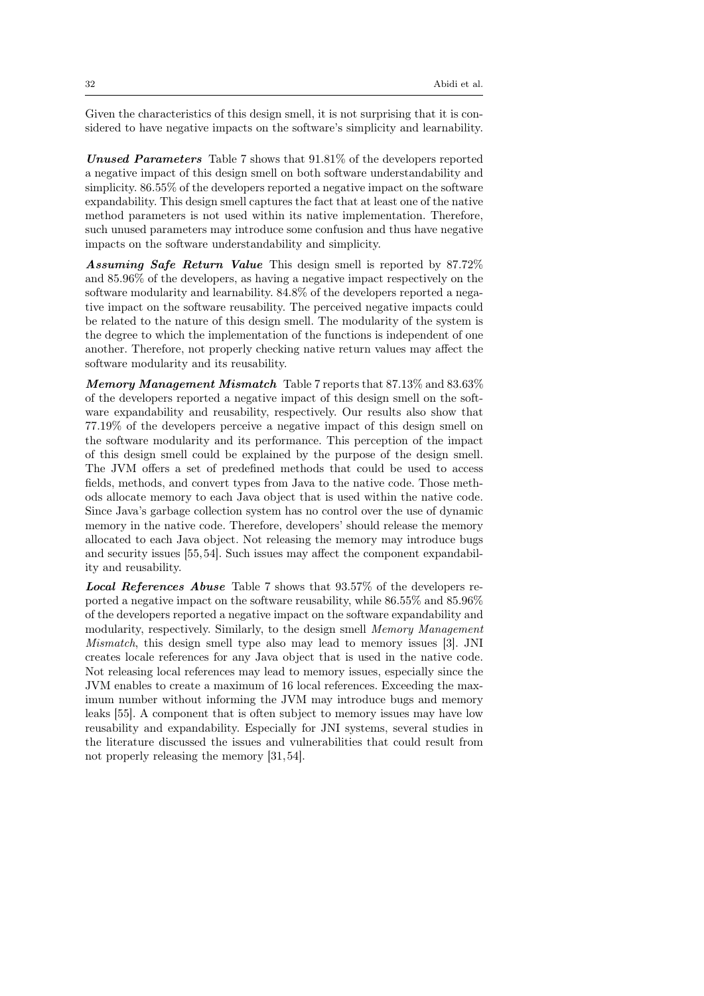Given the characteristics of this design smell, it is not surprising that it is considered to have negative impacts on the software's simplicity and learnability.

Unused Parameters Table 7 shows that  $91.81\%$  of the developers reported a negative impact of this design smell on both software understandability and simplicity. 86.55% of the developers reported a negative impact on the software expandability. This design smell captures the fact that at least one of the native method parameters is not used within its native implementation. Therefore, such unused parameters may introduce some confusion and thus have negative impacts on the software understandability and simplicity.

Assuming Safe Return Value This design smell is reported by 87.72% and 85.96% of the developers, as having a negative impact respectively on the software modularity and learnability. 84.8% of the developers reported a negative impact on the software reusability. The perceived negative impacts could be related to the nature of this design smell. The modularity of the system is the degree to which the implementation of the functions is independent of one another. Therefore, not properly checking native return values may affect the software modularity and its reusability.

Memory Management Mismatch Table 7 reports that 87.13% and 83.63% of the developers reported a negative impact of this design smell on the software expandability and reusability, respectively. Our results also show that 77.19% of the developers perceive a negative impact of this design smell on the software modularity and its performance. This perception of the impact of this design smell could be explained by the purpose of the design smell. The JVM offers a set of predefined methods that could be used to access fields, methods, and convert types from Java to the native code. Those methods allocate memory to each Java object that is used within the native code. Since Java's garbage collection system has no control over the use of dynamic memory in the native code. Therefore, developers' should release the memory allocated to each Java object. Not releasing the memory may introduce bugs and security issues [55,54]. Such issues may affect the component expandability and reusability.

Local References Abuse Table 7 shows that 93.57% of the developers reported a negative impact on the software reusability, while 86.55% and 85.96% of the developers reported a negative impact on the software expandability and modularity, respectively. Similarly, to the design smell Memory Management Mismatch, this design smell type also may lead to memory issues [3]. JNI creates locale references for any Java object that is used in the native code. Not releasing local references may lead to memory issues, especially since the JVM enables to create a maximum of 16 local references. Exceeding the maximum number without informing the JVM may introduce bugs and memory leaks [55]. A component that is often subject to memory issues may have low reusability and expandability. Especially for JNI systems, several studies in the literature discussed the issues and vulnerabilities that could result from not properly releasing the memory [31,54].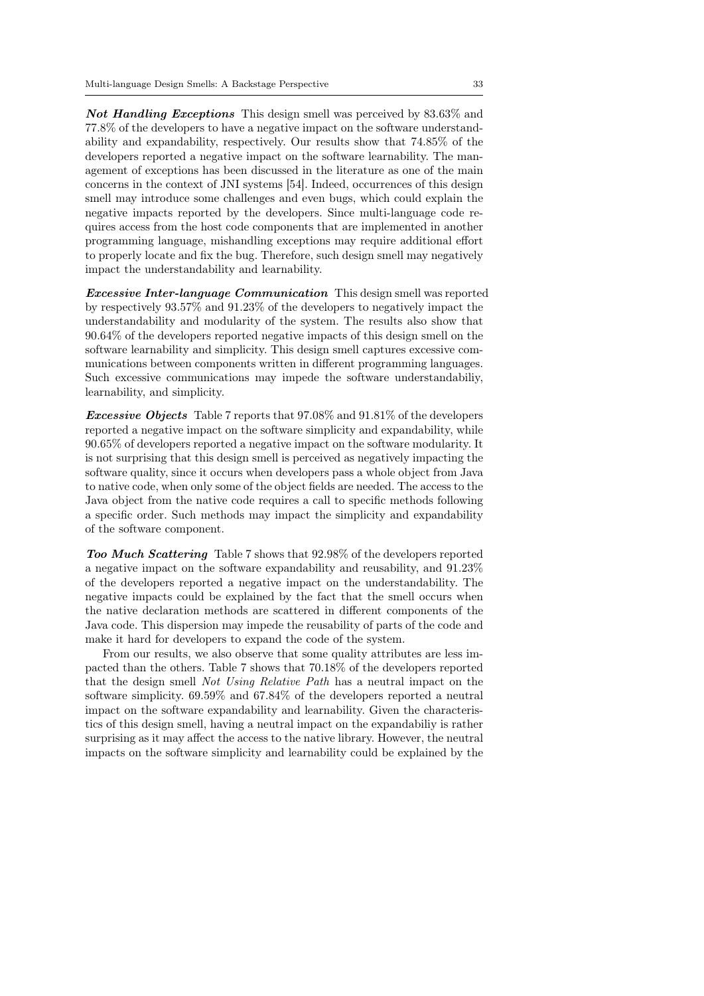Not Handling Exceptions This design smell was perceived by 83.63% and 77.8% of the developers to have a negative impact on the software understandability and expandability, respectively. Our results show that 74.85% of the developers reported a negative impact on the software learnability. The management of exceptions has been discussed in the literature as one of the main concerns in the context of JNI systems [54]. Indeed, occurrences of this design smell may introduce some challenges and even bugs, which could explain the negative impacts reported by the developers. Since multi-language code requires access from the host code components that are implemented in another programming language, mishandling exceptions may require additional effort to properly locate and fix the bug. Therefore, such design smell may negatively impact the understandability and learnability.

**Excessive Inter-language Communication** This design smell was reported by respectively 93.57% and 91.23% of the developers to negatively impact the understandability and modularity of the system. The results also show that 90.64% of the developers reported negative impacts of this design smell on the software learnability and simplicity. This design smell captures excessive communications between components written in different programming languages. Such excessive communications may impede the software understandabiliy, learnability, and simplicity.

**Excessive Objects** Table 7 reports that 97.08% and 91.81% of the developers reported a negative impact on the software simplicity and expandability, while 90.65% of developers reported a negative impact on the software modularity. It is not surprising that this design smell is perceived as negatively impacting the software quality, since it occurs when developers pass a whole object from Java to native code, when only some of the object fields are needed. The access to the Java object from the native code requires a call to specific methods following a specific order. Such methods may impact the simplicity and expandability of the software component.

Too Much Scattering Table 7 shows that 92.98% of the developers reported a negative impact on the software expandability and reusability, and 91.23% of the developers reported a negative impact on the understandability. The negative impacts could be explained by the fact that the smell occurs when the native declaration methods are scattered in different components of the Java code. This dispersion may impede the reusability of parts of the code and make it hard for developers to expand the code of the system.

From our results, we also observe that some quality attributes are less impacted than the others. Table 7 shows that 70.18% of the developers reported that the design smell Not Using Relative Path has a neutral impact on the software simplicity. 69.59% and 67.84% of the developers reported a neutral impact on the software expandability and learnability. Given the characteristics of this design smell, having a neutral impact on the expandabiliy is rather surprising as it may affect the access to the native library. However, the neutral impacts on the software simplicity and learnability could be explained by the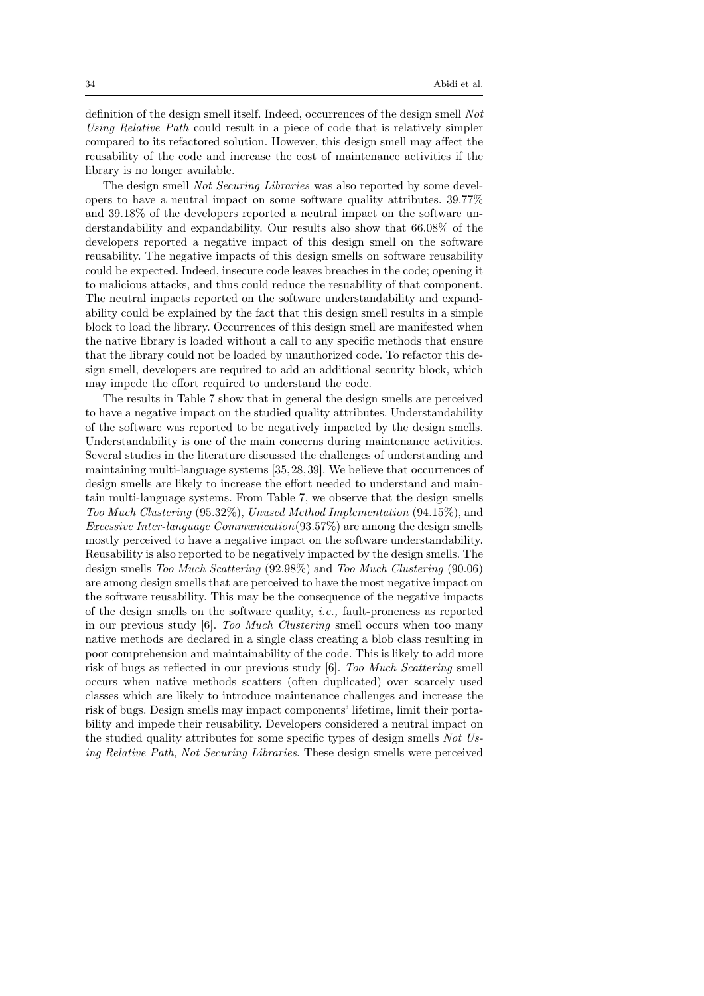definition of the design smell itself. Indeed, occurrences of the design smell Not Using Relative Path could result in a piece of code that is relatively simpler compared to its refactored solution. However, this design smell may affect the reusability of the code and increase the cost of maintenance activities if the library is no longer available.

The design smell Not Securing Libraries was also reported by some developers to have a neutral impact on some software quality attributes. 39.77% and 39.18% of the developers reported a neutral impact on the software understandability and expandability. Our results also show that 66.08% of the developers reported a negative impact of this design smell on the software reusability. The negative impacts of this design smells on software reusability could be expected. Indeed, insecure code leaves breaches in the code; opening it to malicious attacks, and thus could reduce the resuability of that component. The neutral impacts reported on the software understandability and expandability could be explained by the fact that this design smell results in a simple block to load the library. Occurrences of this design smell are manifested when the native library is loaded without a call to any specific methods that ensure that the library could not be loaded by unauthorized code. To refactor this design smell, developers are required to add an additional security block, which may impede the effort required to understand the code.

The results in Table 7 show that in general the design smells are perceived to have a negative impact on the studied quality attributes. Understandability of the software was reported to be negatively impacted by the design smells. Understandability is one of the main concerns during maintenance activities. Several studies in the literature discussed the challenges of understanding and maintaining multi-language systems [35,28,39]. We believe that occurrences of design smells are likely to increase the effort needed to understand and maintain multi-language systems. From Table 7, we observe that the design smells Too Much Clustering (95.32%), Unused Method Implementation (94.15%), and Excessive Inter-language Communication(93.57%) are among the design smells mostly perceived to have a negative impact on the software understandability. Reusability is also reported to be negatively impacted by the design smells. The design smells Too Much Scattering (92.98%) and Too Much Clustering (90.06) are among design smells that are perceived to have the most negative impact on the software reusability. This may be the consequence of the negative impacts of the design smells on the software quality, i.e., fault-proneness as reported in our previous study [6]. Too Much Clustering smell occurs when too many native methods are declared in a single class creating a blob class resulting in poor comprehension and maintainability of the code. This is likely to add more risk of bugs as reflected in our previous study [6]. Too Much Scattering smell occurs when native methods scatters (often duplicated) over scarcely used classes which are likely to introduce maintenance challenges and increase the risk of bugs. Design smells may impact components' lifetime, limit their portability and impede their reusability. Developers considered a neutral impact on the studied quality attributes for some specific types of design smells Not Using Relative Path, Not Securing Libraries. These design smells were perceived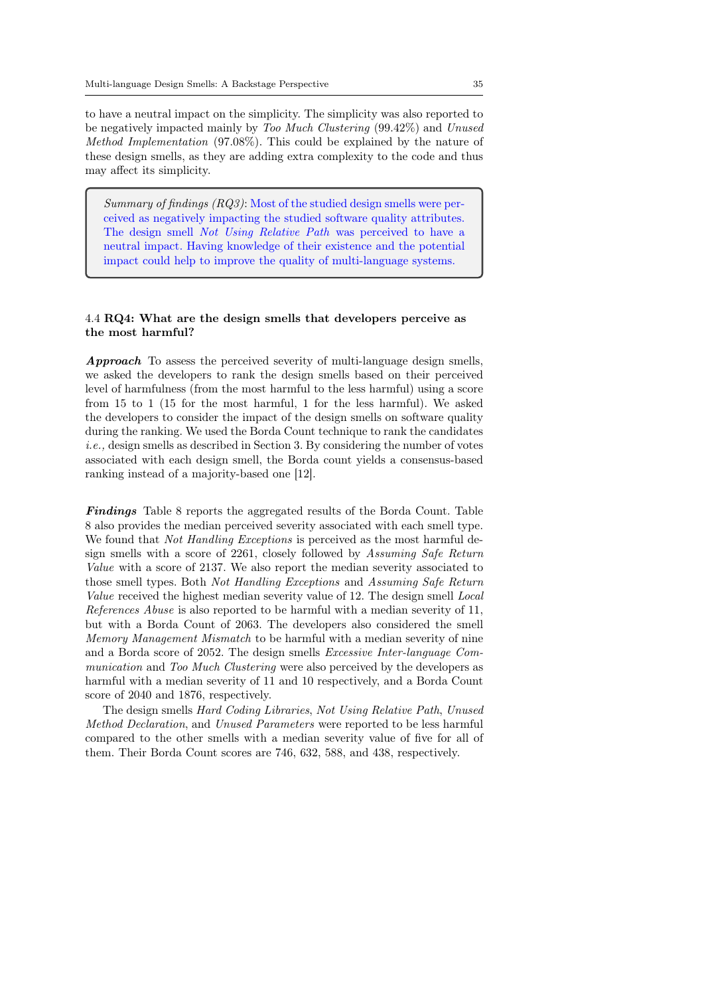to have a neutral impact on the simplicity. The simplicity was also reported to be negatively impacted mainly by Too Much Clustering (99.42%) and Unused Method Implementation (97.08%). This could be explained by the nature of these design smells, as they are adding extra complexity to the code and thus may affect its simplicity.

Summary of findings (RQ3): Most of the studied design smells were perceived as negatively impacting the studied software quality attributes. The design smell Not Using Relative Path was perceived to have a neutral impact. Having knowledge of their existence and the potential impact could help to improve the quality of multi-language systems.

# 4.4 RQ4: What are the design smells that developers perceive as the most harmful?

Approach To assess the perceived severity of multi-language design smells, we asked the developers to rank the design smells based on their perceived level of harmfulness (from the most harmful to the less harmful) using a score from 15 to 1 (15 for the most harmful, 1 for the less harmful). We asked the developers to consider the impact of the design smells on software quality during the ranking. We used the Borda Count technique to rank the candidates i.e., design smells as described in Section 3. By considering the number of votes associated with each design smell, the Borda count yields a consensus-based ranking instead of a majority-based one [12].

Findings Table 8 reports the aggregated results of the Borda Count. Table 8 also provides the median perceived severity associated with each smell type. We found that *Not Handling Exceptions* is perceived as the most harmful design smells with a score of 2261, closely followed by Assuming Safe Return Value with a score of 2137. We also report the median severity associated to those smell types. Both Not Handling Exceptions and Assuming Safe Return Value received the highest median severity value of 12. The design smell Local References Abuse is also reported to be harmful with a median severity of 11, but with a Borda Count of 2063. The developers also considered the smell Memory Management Mismatch to be harmful with a median severity of nine and a Borda score of 2052. The design smells Excessive Inter-language Communication and Too Much Clustering were also perceived by the developers as harmful with a median severity of 11 and 10 respectively, and a Borda Count score of 2040 and 1876, respectively.

The design smells Hard Coding Libraries, Not Using Relative Path, Unused Method Declaration, and Unused Parameters were reported to be less harmful compared to the other smells with a median severity value of five for all of them. Their Borda Count scores are 746, 632, 588, and 438, respectively.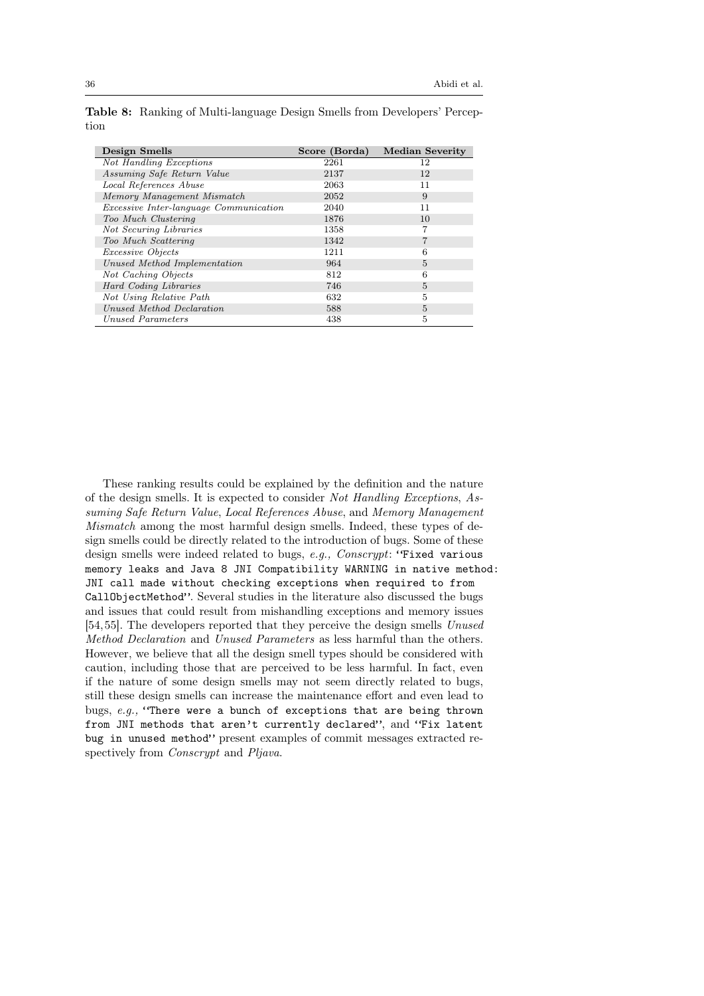| Design Smells                                 | Score (Borda) | <b>Median Severity</b> |
|-----------------------------------------------|---------------|------------------------|
| Not Handling Exceptions                       | 2261          | 12                     |
| Assuming Safe Return Value                    | 2137          | 12                     |
| Local References Abuse                        | 2063          | 11                     |
| Memory Management Mismatch                    | 2052          | 9                      |
| <i>Excessive Inter-language Communication</i> | 2040          | 11                     |
| Too Much Clustering                           | 1876          | 10                     |
| Not Securing Libraries                        | 1358          |                        |
| Too Much Scattering                           | 1342          |                        |
| <i>Excessive Objects</i>                      | 1211          | 6                      |
| Unused Method Implementation                  | 964           | 5                      |
| Not Caching Objects                           | 812           | 6                      |
| Hard Coding Libraries                         | 746           | 5                      |
| Not Using Relative Path                       | 632           | 5                      |
| Unused Method Declaration                     | 588           | 5                      |
| Unused Parameters                             | 438           | 5                      |

Table 8: Ranking of Multi-language Design Smells from Developers' Perception

These ranking results could be explained by the definition and the nature of the design smells. It is expected to consider Not Handling Exceptions, Assuming Safe Return Value, Local References Abuse, and Memory Management Mismatch among the most harmful design smells. Indeed, these types of design smells could be directly related to the introduction of bugs. Some of these design smells were indeed related to bugs, e.g., Conscrypt: "Fixed various memory leaks and Java 8 JNI Compatibility WARNING in native method: JNI call made without checking exceptions when required to from CallObjectMethod". Several studies in the literature also discussed the bugs and issues that could result from mishandling exceptions and memory issues [54,55]. The developers reported that they perceive the design smells Unused Method Declaration and Unused Parameters as less harmful than the others. However, we believe that all the design smell types should be considered with caution, including those that are perceived to be less harmful. In fact, even if the nature of some design smells may not seem directly related to bugs, still these design smells can increase the maintenance effort and even lead to bugs, e.g., "There were a bunch of exceptions that are being thrown from JNI methods that aren't currently declared", and "Fix latent bug in unused method" present examples of commit messages extracted respectively from *Conscrypt* and *Pljava*.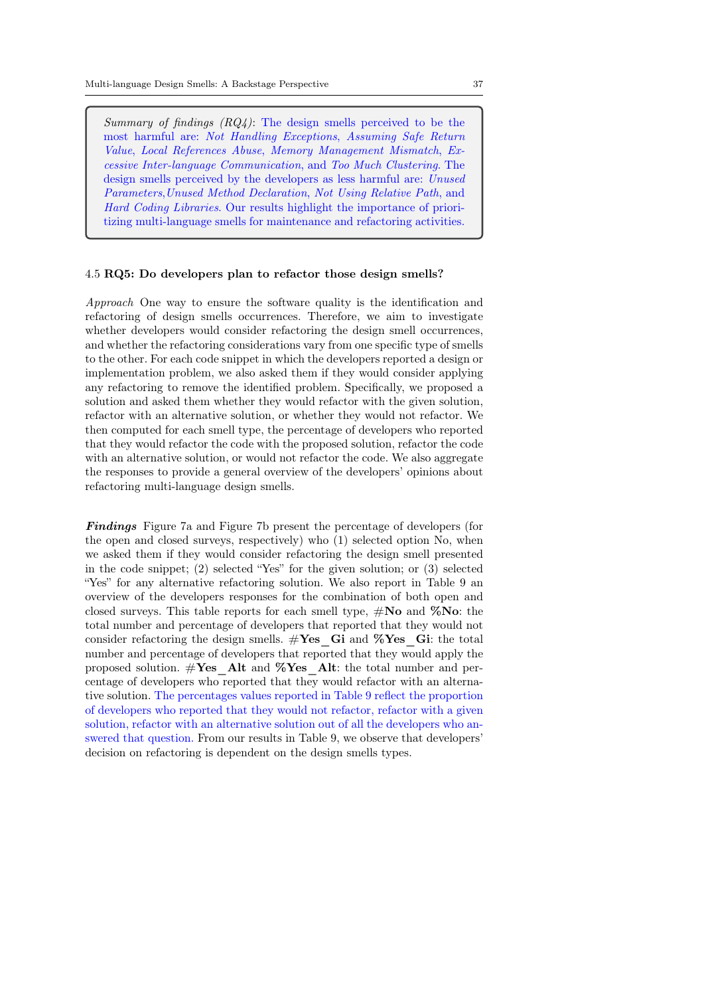Summary of findings  $(RQ_4)$ : The design smells perceived to be the most harmful are: Not Handling Exceptions, Assuming Safe Return Value, Local References Abuse, Memory Management Mismatch, Excessive Inter-language Communication, and Too Much Clustering. The design smells perceived by the developers as less harmful are: Unused Parameters,Unused Method Declaration, Not Using Relative Path, and Hard Coding Libraries. Our results highlight the importance of prioritizing multi-language smells for maintenance and refactoring activities.

#### 4.5 RQ5: Do developers plan to refactor those design smells?

Approach One way to ensure the software quality is the identification and refactoring of design smells occurrences. Therefore, we aim to investigate whether developers would consider refactoring the design smell occurrences, and whether the refactoring considerations vary from one specific type of smells to the other. For each code snippet in which the developers reported a design or implementation problem, we also asked them if they would consider applying any refactoring to remove the identified problem. Specifically, we proposed a solution and asked them whether they would refactor with the given solution, refactor with an alternative solution, or whether they would not refactor. We then computed for each smell type, the percentage of developers who reported that they would refactor the code with the proposed solution, refactor the code with an alternative solution, or would not refactor the code. We also aggregate the responses to provide a general overview of the developers' opinions about refactoring multi-language design smells.

Findings Figure 7a and Figure 7b present the percentage of developers (for the open and closed surveys, respectively) who (1) selected option No, when we asked them if they would consider refactoring the design smell presented in the code snippet; (2) selected "Yes" for the given solution; or (3) selected "Yes" for any alternative refactoring solution. We also report in Table 9 an overview of the developers responses for the combination of both open and closed surveys. This table reports for each smell type,  $\#\textbf{No}$  and  $\%\textbf{No}$ : the total number and percentage of developers that reported that they would not consider refactoring the design smells.  $\#\text{Yes}$  Gi and %Yes Gi: the total number and percentage of developers that reported that they would apply the proposed solution.  $\#\text{Yes}$  Alt and %Yes Alt: the total number and percentage of developers who reported that they would refactor with an alternative solution. The percentages values reported in Table 9 reflect the proportion of developers who reported that they would not refactor, refactor with a given solution, refactor with an alternative solution out of all the developers who answered that question. From our results in Table 9, we observe that developers' decision on refactoring is dependent on the design smells types.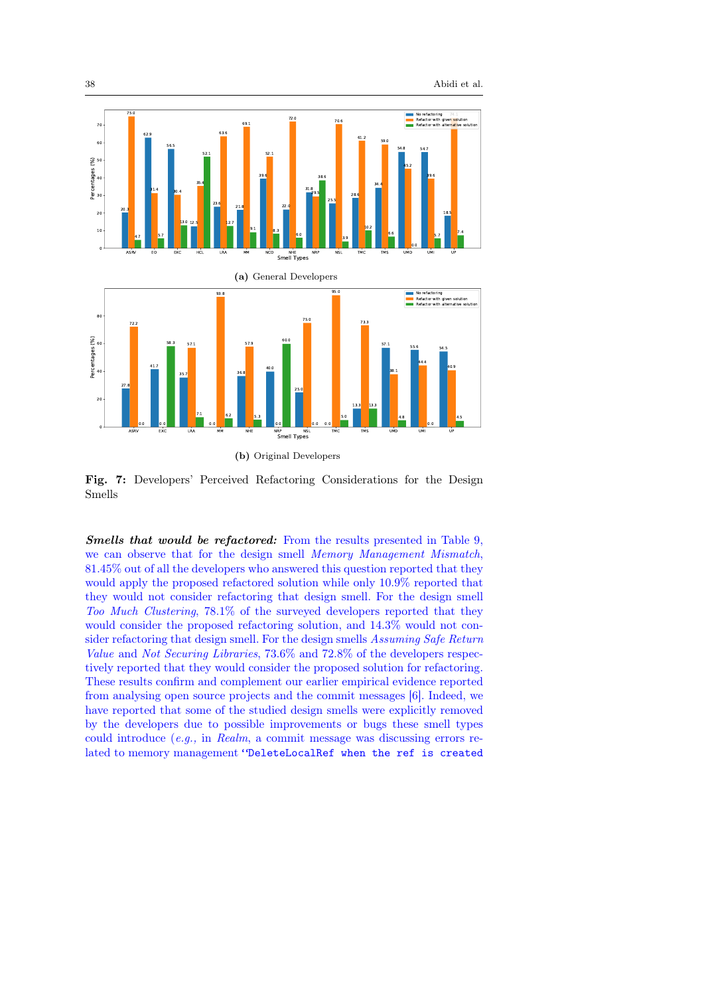

Fig. 7: Developers' Perceived Refactoring Considerations for the Design Smells

Smells that would be refactored: From the results presented in Table 9, we can observe that for the design smell Memory Management Mismatch, 81.45% out of all the developers who answered this question reported that they would apply the proposed refactored solution while only 10.9% reported that they would not consider refactoring that design smell. For the design smell Too Much Clustering, 78.1% of the surveyed developers reported that they would consider the proposed refactoring solution, and 14.3% would not consider refactoring that design smell. For the design smells Assuming Safe Return Value and Not Securing Libraries, 73.6% and 72.8% of the developers respectively reported that they would consider the proposed solution for refactoring. These results confirm and complement our earlier empirical evidence reported from analysing open source projects and the commit messages [6]. Indeed, we have reported that some of the studied design smells were explicitly removed by the developers due to possible improvements or bugs these smell types could introduce (e.g., in Realm, a commit message was discussing errors related to memory management "DeleteLocalRef when the ref is created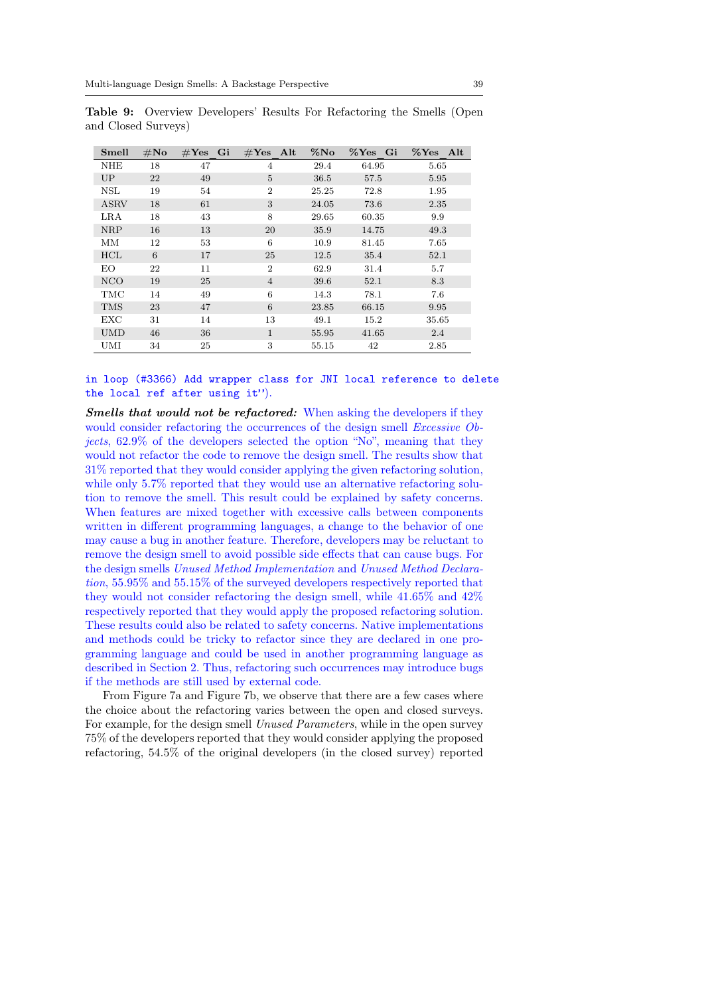| Smell       | $\#\mathrm{No}$ | $#Yes$ Gi | $\#\text{Yes}$ Alt | $\%$ No | %Yes Gi | %Yes Alt |
|-------------|-----------------|-----------|--------------------|---------|---------|----------|
| <b>NHE</b>  | 18              | 47        | $\overline{4}$     | 29.4    | 64.95   | 5.65     |
| UP          | 22              | 49        | 5                  | 36.5    | 57.5    | 5.95     |
| <b>NSL</b>  | 19              | 54        | $\overline{2}$     | 25.25   | 72.8    | 1.95     |
| <b>ASRV</b> | 18              | 61        | 3                  | 24.05   | 73.6    | 2.35     |
| LRA         | 18              | 43        | 8                  | 29.65   | 60.35   | 9.9      |
| <b>NRP</b>  | 16              | 13        | 20                 | 35.9    | 14.75   | 49.3     |
| MМ          | 12              | 53        | 6                  | 10.9    | 81.45   | 7.65     |
| <b>HCL</b>  | 6               | 17        | 25                 | 12.5    | 35.4    | 52.1     |
| EO          | 22              | 11        | $\overline{2}$     | 62.9    | 31.4    | 5.7      |
| <b>NCO</b>  | 19              | 25        | $\overline{4}$     | 39.6    | 52.1    | 8.3      |
| TMC         | 14              | 49        | 6                  | 14.3    | 78.1    | 7.6      |
| <b>TMS</b>  | 23              | 47        | 6                  | 23.85   | 66.15   | 9.95     |
| <b>EXC</b>  | 31              | 14        | 13                 | 49.1    | 15.2    | 35.65    |
| <b>UMD</b>  | 46              | 36        | $\mathbf{1}$       | 55.95   | 41.65   | 2.4      |
| UMI         | 34              | 25        | 3                  | 55.15   | 42      | 2.85     |

Table 9: Overview Developers' Results For Refactoring the Smells (Open and Closed Surveys)

in loop (#3366) Add wrapper class for JNI local reference to delete the local ref after using it").

Smells that would not be refactored: When asking the developers if they would consider refactoring the occurrences of the design smell *Excessive Ob*jects, 62.9% of the developers selected the option "No", meaning that they would not refactor the code to remove the design smell. The results show that 31% reported that they would consider applying the given refactoring solution, while only 5.7% reported that they would use an alternative refactoring solution to remove the smell. This result could be explained by safety concerns. When features are mixed together with excessive calls between components written in different programming languages, a change to the behavior of one may cause a bug in another feature. Therefore, developers may be reluctant to remove the design smell to avoid possible side effects that can cause bugs. For the design smells Unused Method Implementation and Unused Method Declaration, 55.95% and 55.15% of the surveyed developers respectively reported that they would not consider refactoring the design smell, while 41.65% and 42% respectively reported that they would apply the proposed refactoring solution. These results could also be related to safety concerns. Native implementations and methods could be tricky to refactor since they are declared in one programming language and could be used in another programming language as described in Section 2. Thus, refactoring such occurrences may introduce bugs if the methods are still used by external code.

From Figure 7a and Figure 7b, we observe that there are a few cases where the choice about the refactoring varies between the open and closed surveys. For example, for the design smell Unused Parameters, while in the open survey 75% of the developers reported that they would consider applying the proposed refactoring, 54.5% of the original developers (in the closed survey) reported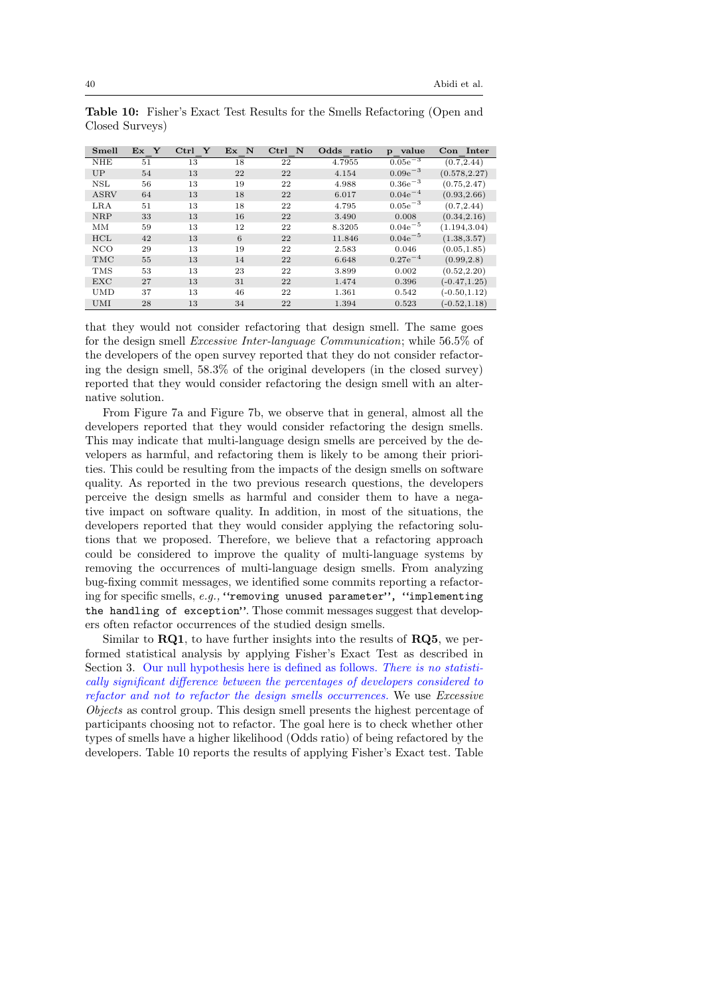| Smell       | Ex Y | $Ctrl \ Y$ | Ex N | $Ctrl$ N | Odds ratio | value<br>$\mathbf{p}$ | Con Inter       |
|-------------|------|------------|------|----------|------------|-----------------------|-----------------|
| <b>NHE</b>  | 51   | 13         | 18   | 22       | 4.7955     | $0.05e^{-3}$          | (0.7, 2.44)     |
| UP          | 54   | 13         | 22   | 22       | 4.154      | $0.09e^{-3}$          | (0.578, 2.27)   |
| NSL         | 56   | 13         | 19   | 22       | 4.988      | $0.36e^{-3}$          | (0.75, 2.47)    |
| <b>ASRV</b> | 64   | 13         | 18   | 22       | 6.017      | $0.04e^{-4}$          | (0.93, 2.66)    |
| LRA         | 51   | 13         | 18   | 22       | 4.795      | $0.05e^{-3}$          | (0.7, 2.44)     |
| <b>NRP</b>  | 33   | 13         | 16   | 22       | 3.490      | 0.008                 | (0.34, 2.16)    |
| MМ          | 59   | 13         | 12   | 22       | 8.3205     | $0.04e^{-5}$          | (1.194, 3.04)   |
| <b>HCL</b>  | 42   | 13         | 6    | 22       | 11.846     | $0.04e^{-5}$          | (1.38, 3.57)    |
| NCO         | 29   | 13         | 19   | 22       | 2.583      | 0.046                 | (0.05, 1.85)    |
| <b>TMC</b>  | 55   | 13         | 14   | 22       | 6.648      | $0.27e^{-4}$          | (0.99, 2.8)     |
| <b>TMS</b>  | 53   | 13         | 23   | 22       | 3.899      | 0.002                 | (0.52, 2.20)    |
| <b>EXC</b>  | 27   | 13         | 31   | 22       | 1.474      | 0.396                 | $(-0.47, 1.25)$ |
| <b>UMD</b>  | 37   | 13         | 46   | 22       | 1.361      | 0.542                 | $(-0.50, 1.12)$ |
| <b>UMI</b>  | 28   | 13         | 34   | 22       | 1.394      | 0.523                 | $(-0.52, 1.18)$ |

Table 10: Fisher's Exact Test Results for the Smells Refactoring (Open and Closed Surveys)

that they would not consider refactoring that design smell. The same goes for the design smell Excessive Inter-language Communication; while 56.5% of the developers of the open survey reported that they do not consider refactoring the design smell, 58.3% of the original developers (in the closed survey) reported that they would consider refactoring the design smell with an alternative solution.

From Figure 7a and Figure 7b, we observe that in general, almost all the developers reported that they would consider refactoring the design smells. This may indicate that multi-language design smells are perceived by the developers as harmful, and refactoring them is likely to be among their priorities. This could be resulting from the impacts of the design smells on software quality. As reported in the two previous research questions, the developers perceive the design smells as harmful and consider them to have a negative impact on software quality. In addition, in most of the situations, the developers reported that they would consider applying the refactoring solutions that we proposed. Therefore, we believe that a refactoring approach could be considered to improve the quality of multi-language systems by removing the occurrences of multi-language design smells. From analyzing bug-fixing commit messages, we identified some commits reporting a refactoring for specific smells, e.g., "removing unused parameter", "implementing the handling of exception". Those commit messages suggest that developers often refactor occurrences of the studied design smells.

Similar to  $RQ1$ , to have further insights into the results of  $RQ5$ , we performed statistical analysis by applying Fisher's Exact Test as described in Section 3. Our null hypothesis here is defined as follows. There is no statistically significant difference between the percentages of developers considered to refactor and not to refactor the design smells occurrences. We use Excessive Objects as control group. This design smell presents the highest percentage of participants choosing not to refactor. The goal here is to check whether other types of smells have a higher likelihood (Odds ratio) of being refactored by the developers. Table 10 reports the results of applying Fisher's Exact test. Table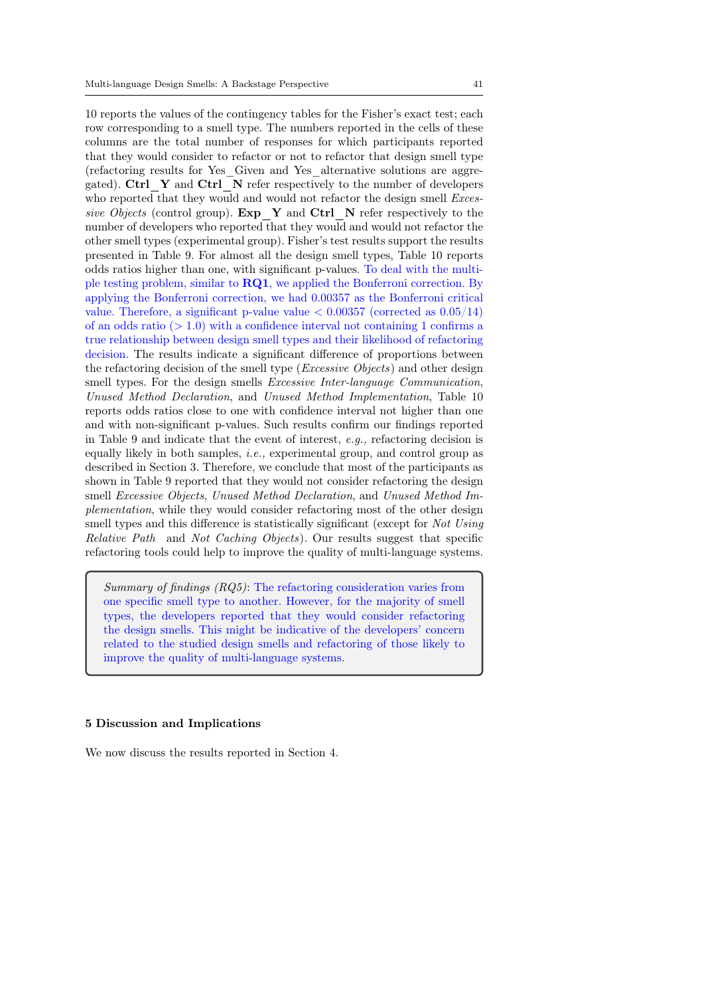10 reports the values of the contingency tables for the Fisher's exact test; each row corresponding to a smell type. The numbers reported in the cells of these columns are the total number of responses for which participants reported that they would consider to refactor or not to refactor that design smell type (refactoring results for Yes\_Given and Yes\_alternative solutions are aggregated). Ctrl\_Y and Ctrl\_N refer respectively to the number of developers who reported that they would and would not refactor the design smell *Exces*sive Objects (control group).  $Exp_Y$  and  $Ctrl$  N refer respectively to the number of developers who reported that they would and would not refactor the other smell types (experimental group). Fisher's test results support the results presented in Table 9. For almost all the design smell types, Table 10 reports odds ratios higher than one, with significant p-values. To deal with the multiple testing problem, similar to  $\bf RQ1$ , we applied the Bonferroni correction. By applying the Bonferroni correction, we had 0.00357 as the Bonferroni critical value. Therefore, a significant p-value value  $\lt 0.00357$  (corrected as  $0.05/14$ ) of an odds ratio  $(>1.0)$  with a confidence interval not containing 1 confirms a true relationship between design smell types and their likelihood of refactoring decision. The results indicate a significant difference of proportions between the refactoring decision of the smell type (Excessive Objects) and other design smell types. For the design smells *Excessive Inter-language Communication*, Unused Method Declaration, and Unused Method Implementation, Table 10 reports odds ratios close to one with confidence interval not higher than one and with non-significant p-values. Such results confirm our findings reported in Table 9 and indicate that the event of interest, e.g., refactoring decision is equally likely in both samples, *i.e.*, experimental group, and control group as described in Section 3. Therefore, we conclude that most of the participants as shown in Table 9 reported that they would not consider refactoring the design smell Excessive Objects, Unused Method Declaration, and Unused Method Implementation, while they would consider refactoring most of the other design smell types and this difference is statistically significant (except for Not Using Relative Path and Not Caching Objects). Our results suggest that specific refactoring tools could help to improve the quality of multi-language systems.

Summary of findings (RQ5): The refactoring consideration varies from one specific smell type to another. However, for the majority of smell types, the developers reported that they would consider refactoring the design smells. This might be indicative of the developers' concern related to the studied design smells and refactoring of those likely to improve the quality of multi-language systems.

# 5 Discussion and Implications

We now discuss the results reported in Section 4.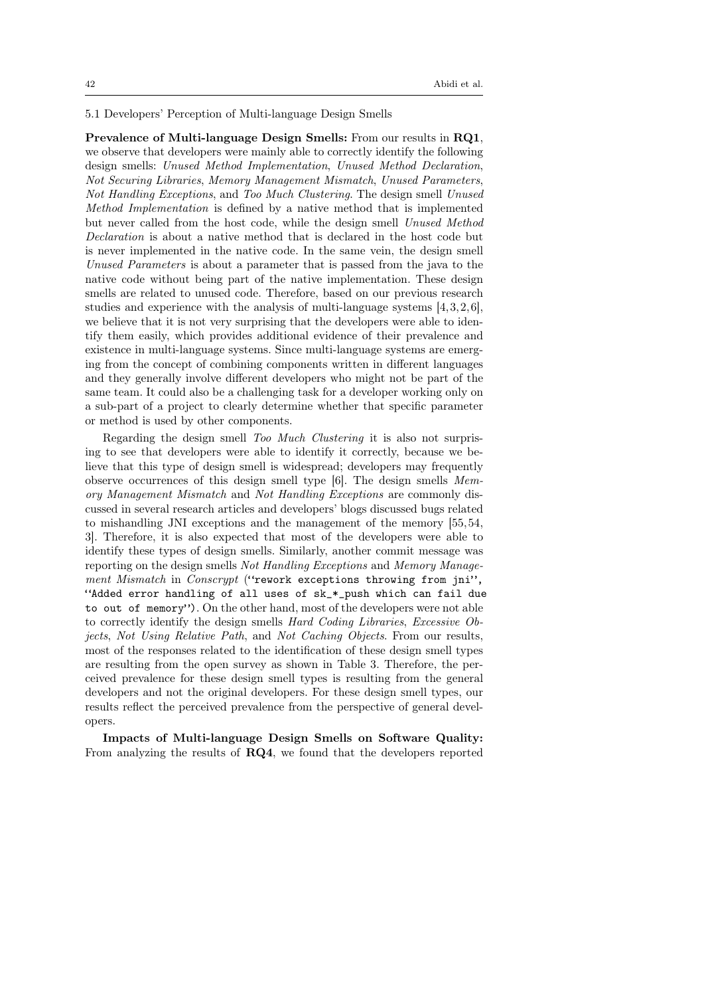5.1 Developers' Perception of Multi-language Design Smells

Prevalence of Multi-language Design Smells: From our results in RQ1, we observe that developers were mainly able to correctly identify the following design smells: Unused Method Implementation, Unused Method Declaration, Not Securing Libraries, Memory Management Mismatch, Unused Parameters, Not Handling Exceptions, and Too Much Clustering. The design smell Unused Method Implementation is defined by a native method that is implemented but never called from the host code, while the design smell Unused Method Declaration is about a native method that is declared in the host code but is never implemented in the native code. In the same vein, the design smell Unused Parameters is about a parameter that is passed from the java to the native code without being part of the native implementation. These design smells are related to unused code. Therefore, based on our previous research studies and experience with the analysis of multi-language systems [4,3,2,6], we believe that it is not very surprising that the developers were able to identify them easily, which provides additional evidence of their prevalence and existence in multi-language systems. Since multi-language systems are emerging from the concept of combining components written in different languages and they generally involve different developers who might not be part of the same team. It could also be a challenging task for a developer working only on a sub-part of a project to clearly determine whether that specific parameter or method is used by other components.

Regarding the design smell Too Much Clustering it is also not surprising to see that developers were able to identify it correctly, because we believe that this type of design smell is widespread; developers may frequently observe occurrences of this design smell type [6]. The design smells Memory Management Mismatch and Not Handling Exceptions are commonly discussed in several research articles and developers' blogs discussed bugs related to mishandling JNI exceptions and the management of the memory [55,54, 3]. Therefore, it is also expected that most of the developers were able to identify these types of design smells. Similarly, another commit message was reporting on the design smells Not Handling Exceptions and Memory Management Mismatch in Conscrypt ("rework exceptions throwing from jni", "Added error handling of all uses of sk\_\*\_push which can fail due to out of memory"). On the other hand, most of the developers were not able to correctly identify the design smells Hard Coding Libraries, Excessive Objects, Not Using Relative Path, and Not Caching Objects. From our results, most of the responses related to the identification of these design smell types are resulting from the open survey as shown in Table 3. Therefore, the perceived prevalence for these design smell types is resulting from the general developers and not the original developers. For these design smell types, our results reflect the perceived prevalence from the perspective of general developers.

Impacts of Multi-language Design Smells on Software Quality: From analyzing the results of RQ4, we found that the developers reported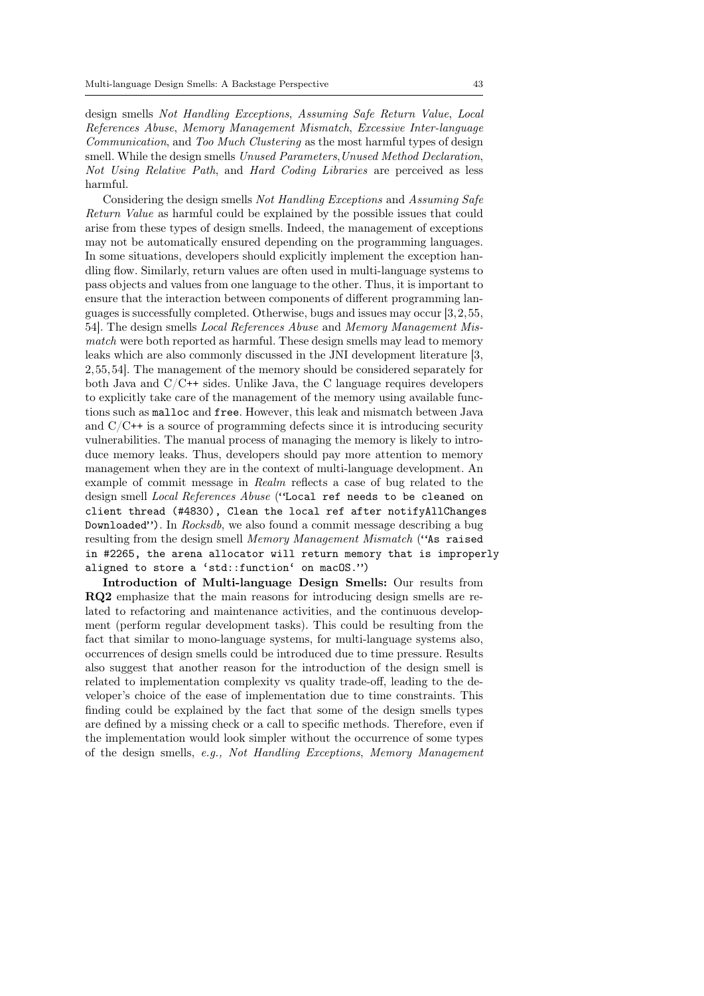design smells Not Handling Exceptions, Assuming Safe Return Value, Local References Abuse, Memory Management Mismatch, Excessive Inter-language Communication, and Too Much Clustering as the most harmful types of design smell. While the design smells Unused Parameters, Unused Method Declaration, Not Using Relative Path, and Hard Coding Libraries are perceived as less harmful.

Considering the design smells Not Handling Exceptions and Assuming Safe Return Value as harmful could be explained by the possible issues that could arise from these types of design smells. Indeed, the management of exceptions may not be automatically ensured depending on the programming languages. In some situations, developers should explicitly implement the exception handling flow. Similarly, return values are often used in multi-language systems to pass objects and values from one language to the other. Thus, it is important to ensure that the interaction between components of different programming languages is successfully completed. Otherwise, bugs and issues may occur [3,2,55, 54]. The design smells Local References Abuse and Memory Management Mismatch were both reported as harmful. These design smells may lead to memory leaks which are also commonly discussed in the JNI development literature [3, 2,55,54]. The management of the memory should be considered separately for both Java and  $C/C^{++}$  sides. Unlike Java, the C language requires developers to explicitly take care of the management of the memory using available functions such as malloc and free. However, this leak and mismatch between Java and  $C/C^{++}$  is a source of programming defects since it is introducing security vulnerabilities. The manual process of managing the memory is likely to introduce memory leaks. Thus, developers should pay more attention to memory management when they are in the context of multi-language development. An example of commit message in Realm reflects a case of bug related to the design smell Local References Abuse ("Local ref needs to be cleaned on client thread (#4830), Clean the local ref after notifyAllChanges Downloaded"). In Rocksdb, we also found a commit message describing a bug resulting from the design smell Memory Management Mismatch ("As raised in #2265, the arena allocator will return memory that is improperly aligned to store a 'std::function' on macOS.")

Introduction of Multi-language Design Smells: Our results from RQ2 emphasize that the main reasons for introducing design smells are related to refactoring and maintenance activities, and the continuous development (perform regular development tasks). This could be resulting from the fact that similar to mono-language systems, for multi-language systems also, occurrences of design smells could be introduced due to time pressure. Results also suggest that another reason for the introduction of the design smell is related to implementation complexity vs quality trade-off, leading to the developer's choice of the ease of implementation due to time constraints. This finding could be explained by the fact that some of the design smells types are defined by a missing check or a call to specific methods. Therefore, even if the implementation would look simpler without the occurrence of some types of the design smells, e.g., Not Handling Exceptions, Memory Management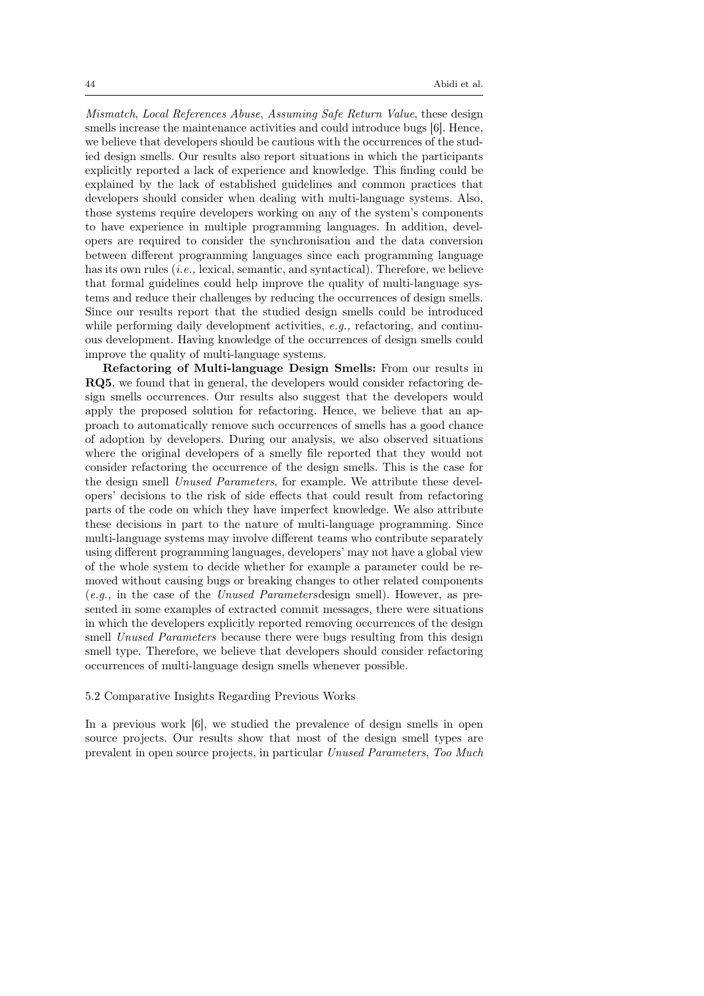Mismatch, Local References Abuse, Assuming Safe Return Value, these design smells increase the maintenance activities and could introduce bugs [6]. Hence, we believe that developers should be cautious with the occurrences of the studied design smells. Our results also report situations in which the participants explicitly reported a lack of experience and knowledge. This finding could be explained by the lack of established guidelines and common practices that developers should consider when dealing with multi-language systems. Also, those systems require developers working on any of the system's components to have experience in multiple programming languages. In addition, developers are required to consider the synchronisation and the data conversion between different programming languages since each programming language has its own rules *(i.e.*, lexical, semantic, and syntactical). Therefore, we believe that formal guidelines could help improve the quality of multi-language systems and reduce their challenges by reducing the occurrences of design smells. Since our results report that the studied design smells could be introduced while performing daily development activities,  $e.g.,$  refactoring, and continuous development. Having knowledge of the occurrences of design smells could improve the quality of multi-language systems.

Refactoring of Multi-language Design Smells: From our results in RQ5, we found that in general, the developers would consider refactoring design smells occurrences. Our results also suggest that the developers would apply the proposed solution for refactoring. Hence, we believe that an approach to automatically remove such occurrences of smells has a good chance of adoption by developers. During our analysis, we also observed situations where the original developers of a smelly file reported that they would not consider refactoring the occurrence of the design smells. This is the case for the design smell Unused Parameters, for example. We attribute these developers' decisions to the risk of side effects that could result from refactoring parts of the code on which they have imperfect knowledge. We also attribute these decisions in part to the nature of multi-language programming. Since multi-language systems may involve different teams who contribute separately using different programming languages, developers' may not have a global view of the whole system to decide whether for example a parameter could be removed without causing bugs or breaking changes to other related components (e.g., in the case of the Unused Parametersdesign smell). However, as presented in some examples of extracted commit messages, there were situations in which the developers explicitly reported removing occurrences of the design smell Unused Parameters because there were bugs resulting from this design smell type. Therefore, we believe that developers should consider refactoring occurrences of multi-language design smells whenever possible.

### 5.2 Comparative Insights Regarding Previous Works

In a previous work [6], we studied the prevalence of design smells in open source projects. Our results show that most of the design smell types are prevalent in open source projects, in particular Unused Parameters, Too Much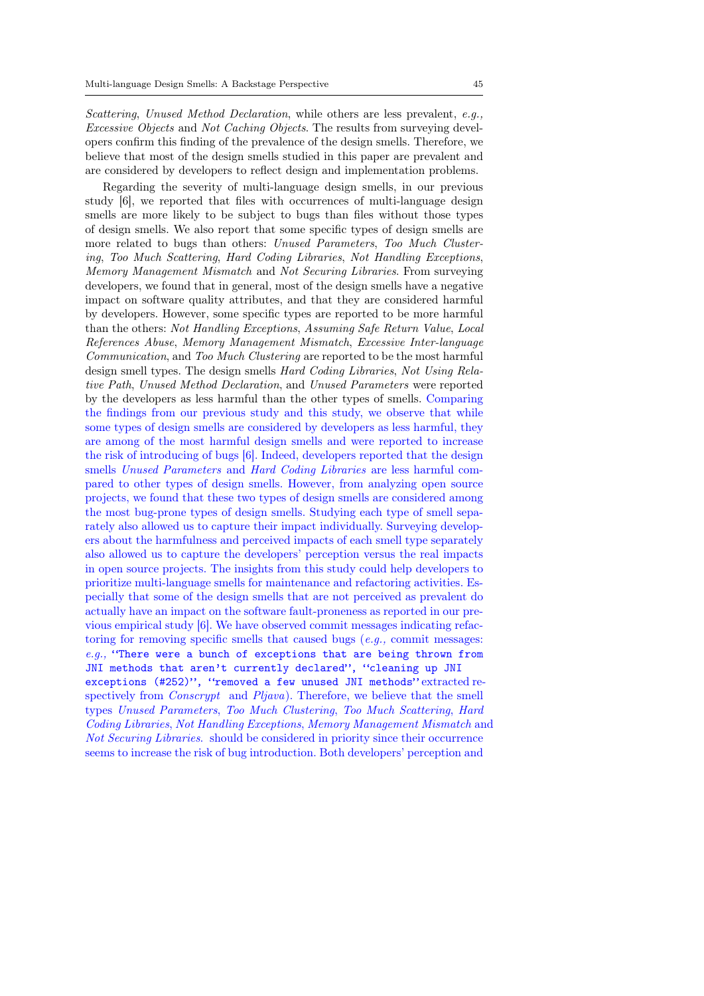Scattering, Unused Method Declaration, while others are less prevalent, e.g., Excessive Objects and Not Caching Objects. The results from surveying developers confirm this finding of the prevalence of the design smells. Therefore, we believe that most of the design smells studied in this paper are prevalent and are considered by developers to reflect design and implementation problems.

Regarding the severity of multi-language design smells, in our previous study [6], we reported that files with occurrences of multi-language design smells are more likely to be subject to bugs than files without those types of design smells. We also report that some specific types of design smells are more related to bugs than others: Unused Parameters, Too Much Clustering, Too Much Scattering, Hard Coding Libraries, Not Handling Exceptions, Memory Management Mismatch and Not Securing Libraries. From surveying developers, we found that in general, most of the design smells have a negative impact on software quality attributes, and that they are considered harmful by developers. However, some specific types are reported to be more harmful than the others: Not Handling Exceptions, Assuming Safe Return Value, Local References Abuse, Memory Management Mismatch, Excessive Inter-language Communication, and Too Much Clustering are reported to be the most harmful design smell types. The design smells Hard Coding Libraries, Not Using Relative Path, Unused Method Declaration, and Unused Parameters were reported by the developers as less harmful than the other types of smells. Comparing the findings from our previous study and this study, we observe that while some types of design smells are considered by developers as less harmful, they are among of the most harmful design smells and were reported to increase the risk of introducing of bugs [6]. Indeed, developers reported that the design smells Unused Parameters and Hard Coding Libraries are less harmful compared to other types of design smells. However, from analyzing open source projects, we found that these two types of design smells are considered among the most bug-prone types of design smells. Studying each type of smell separately also allowed us to capture their impact individually. Surveying developers about the harmfulness and perceived impacts of each smell type separately also allowed us to capture the developers' perception versus the real impacts in open source projects. The insights from this study could help developers to prioritize multi-language smells for maintenance and refactoring activities. Especially that some of the design smells that are not perceived as prevalent do actually have an impact on the software fault-proneness as reported in our previous empirical study [6]. We have observed commit messages indicating refactoring for removing specific smells that caused bugs  $(e.g.,$  commit messages:  $e.g.,$  "There were a bunch of exceptions that are being thrown from JNI methods that aren't currently declared", "cleaning up JNI exceptions (#252)", "removed a few unused JNI methods" extracted respectively from *Conscrypt* and *Pljava*). Therefore, we believe that the smell types Unused Parameters, Too Much Clustering, Too Much Scattering, Hard Coding Libraries, Not Handling Exceptions, Memory Management Mismatch and Not Securing Libraries. should be considered in priority since their occurrence seems to increase the risk of bug introduction. Both developers' perception and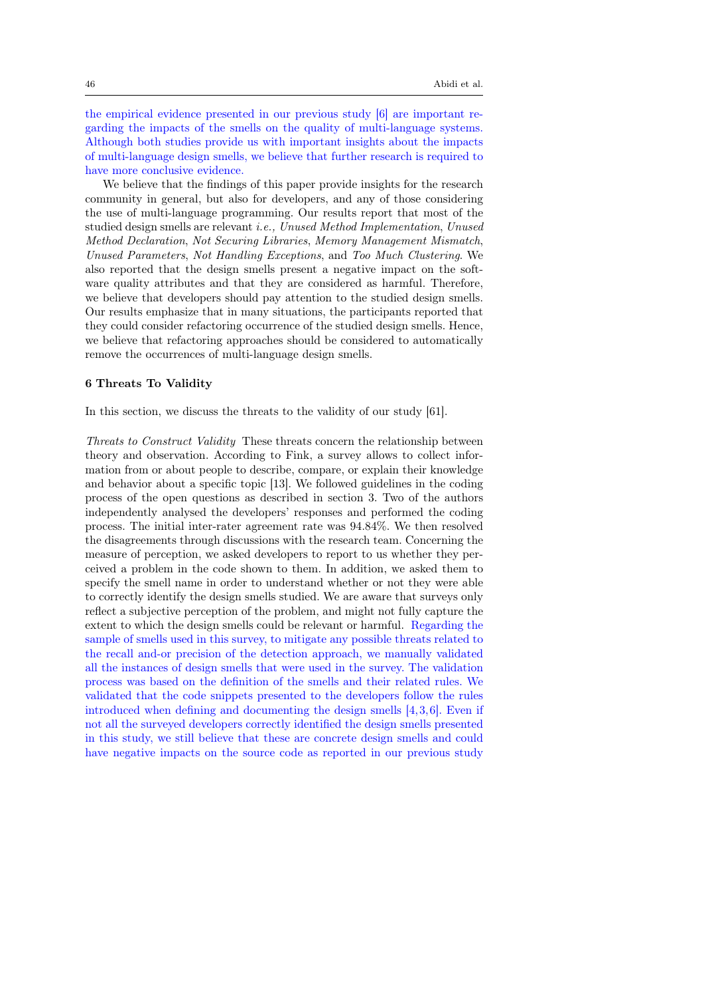the empirical evidence presented in our previous study [6] are important regarding the impacts of the smells on the quality of multi-language systems. Although both studies provide us with important insights about the impacts of multi-language design smells, we believe that further research is required to have more conclusive evidence.

We believe that the findings of this paper provide insights for the research community in general, but also for developers, and any of those considering the use of multi-language programming. Our results report that most of the studied design smells are relevant i.e., Unused Method Implementation, Unused Method Declaration, Not Securing Libraries, Memory Management Mismatch, Unused Parameters, Not Handling Exceptions, and Too Much Clustering. We also reported that the design smells present a negative impact on the software quality attributes and that they are considered as harmful. Therefore, we believe that developers should pay attention to the studied design smells. Our results emphasize that in many situations, the participants reported that they could consider refactoring occurrence of the studied design smells. Hence, we believe that refactoring approaches should be considered to automatically remove the occurrences of multi-language design smells.

### 6 Threats To Validity

In this section, we discuss the threats to the validity of our study [61].

Threats to Construct Validity These threats concern the relationship between theory and observation. According to Fink, a survey allows to collect information from or about people to describe, compare, or explain their knowledge and behavior about a specific topic [13]. We followed guidelines in the coding process of the open questions as described in section 3. Two of the authors independently analysed the developers' responses and performed the coding process. The initial inter-rater agreement rate was 94.84%. We then resolved the disagreements through discussions with the research team. Concerning the measure of perception, we asked developers to report to us whether they perceived a problem in the code shown to them. In addition, we asked them to specify the smell name in order to understand whether or not they were able to correctly identify the design smells studied. We are aware that surveys only reflect a subjective perception of the problem, and might not fully capture the extent to which the design smells could be relevant or harmful. Regarding the sample of smells used in this survey, to mitigate any possible threats related to the recall and-or precision of the detection approach, we manually validated all the instances of design smells that were used in the survey. The validation process was based on the definition of the smells and their related rules. We validated that the code snippets presented to the developers follow the rules introduced when defining and documenting the design smells [4,3,6]. Even if not all the surveyed developers correctly identified the design smells presented in this study, we still believe that these are concrete design smells and could have negative impacts on the source code as reported in our previous study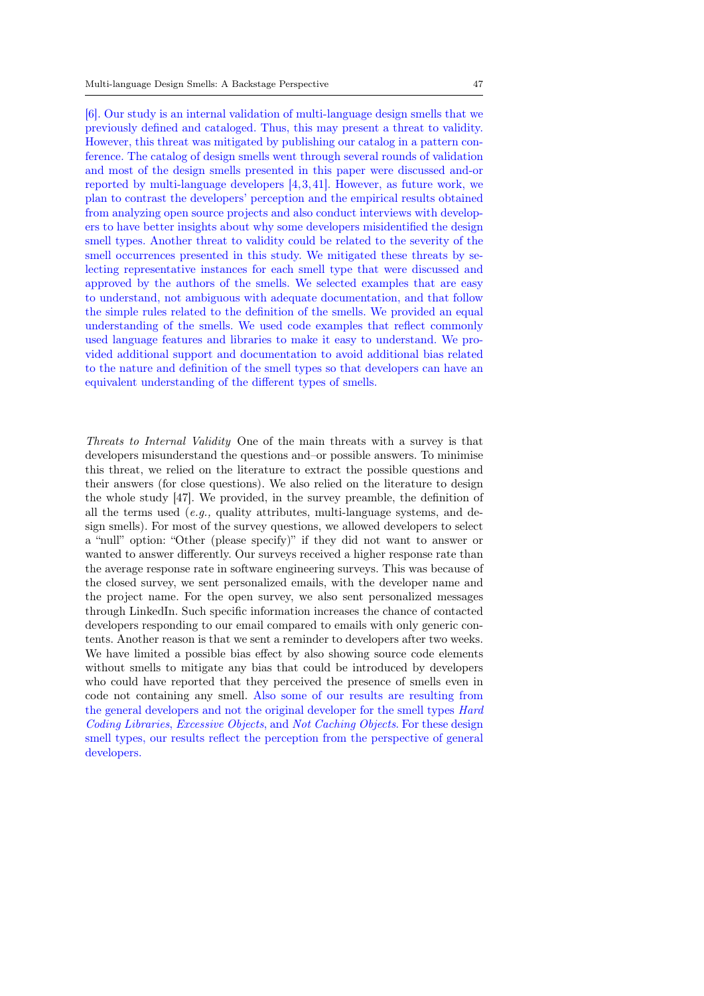[6]. Our study is an internal validation of multi-language design smells that we previously defined and cataloged. Thus, this may present a threat to validity. However, this threat was mitigated by publishing our catalog in a pattern conference. The catalog of design smells went through several rounds of validation and most of the design smells presented in this paper were discussed and-or reported by multi-language developers [4,3,41]. However, as future work, we plan to contrast the developers' perception and the empirical results obtained from analyzing open source projects and also conduct interviews with developers to have better insights about why some developers misidentified the design smell types. Another threat to validity could be related to the severity of the smell occurrences presented in this study. We mitigated these threats by selecting representative instances for each smell type that were discussed and approved by the authors of the smells. We selected examples that are easy to understand, not ambiguous with adequate documentation, and that follow the simple rules related to the definition of the smells. We provided an equal understanding of the smells. We used code examples that reflect commonly used language features and libraries to make it easy to understand. We provided additional support and documentation to avoid additional bias related to the nature and definition of the smell types so that developers can have an equivalent understanding of the different types of smells.

Threats to Internal Validity One of the main threats with a survey is that developers misunderstand the questions and–or possible answers. To minimise this threat, we relied on the literature to extract the possible questions and their answers (for close questions). We also relied on the literature to design the whole study [47]. We provided, in the survey preamble, the definition of all the terms used  $(e.g.,$  quality attributes, multi-language systems, and design smells). For most of the survey questions, we allowed developers to select a "null" option: "Other (please specify)" if they did not want to answer or wanted to answer differently. Our surveys received a higher response rate than the average response rate in software engineering surveys. This was because of the closed survey, we sent personalized emails, with the developer name and the project name. For the open survey, we also sent personalized messages through LinkedIn. Such specific information increases the chance of contacted developers responding to our email compared to emails with only generic contents. Another reason is that we sent a reminder to developers after two weeks. We have limited a possible bias effect by also showing source code elements without smells to mitigate any bias that could be introduced by developers who could have reported that they perceived the presence of smells even in code not containing any smell. Also some of our results are resulting from the general developers and not the original developer for the smell types Hard Coding Libraries, Excessive Objects, and Not Caching Objects. For these design smell types, our results reflect the perception from the perspective of general developers.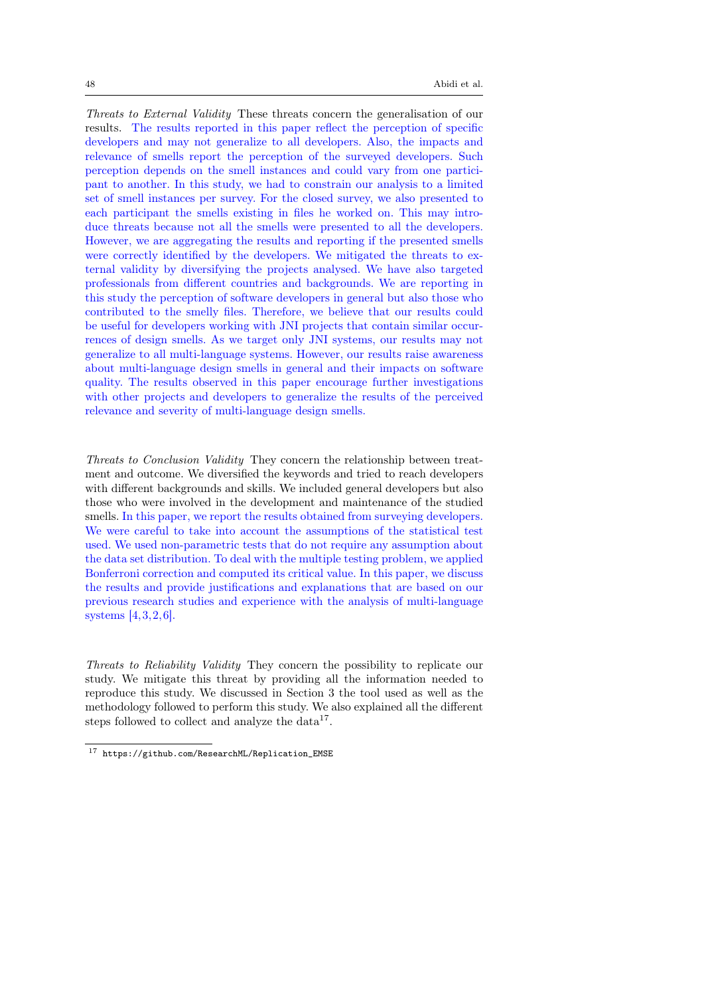Threats to External Validity These threats concern the generalisation of our results. The results reported in this paper reflect the perception of specific developers and may not generalize to all developers. Also, the impacts and relevance of smells report the perception of the surveyed developers. Such perception depends on the smell instances and could vary from one participant to another. In this study, we had to constrain our analysis to a limited set of smell instances per survey. For the closed survey, we also presented to each participant the smells existing in files he worked on. This may introduce threats because not all the smells were presented to all the developers. However, we are aggregating the results and reporting if the presented smells were correctly identified by the developers. We mitigated the threats to external validity by diversifying the projects analysed. We have also targeted professionals from different countries and backgrounds. We are reporting in this study the perception of software developers in general but also those who contributed to the smelly files. Therefore, we believe that our results could be useful for developers working with JNI projects that contain similar occurrences of design smells. As we target only JNI systems, our results may not generalize to all multi-language systems. However, our results raise awareness about multi-language design smells in general and their impacts on software quality. The results observed in this paper encourage further investigations with other projects and developers to generalize the results of the perceived relevance and severity of multi-language design smells.

Threats to Conclusion Validity They concern the relationship between treatment and outcome. We diversified the keywords and tried to reach developers with different backgrounds and skills. We included general developers but also those who were involved in the development and maintenance of the studied smells. In this paper, we report the results obtained from surveying developers. We were careful to take into account the assumptions of the statistical test used. We used non-parametric tests that do not require any assumption about the data set distribution. To deal with the multiple testing problem, we applied Bonferroni correction and computed its critical value. In this paper, we discuss the results and provide justifications and explanations that are based on our previous research studies and experience with the analysis of multi-language systems [4,3,2,6].

Threats to Reliability Validity They concern the possibility to replicate our study. We mitigate this threat by providing all the information needed to reproduce this study. We discussed in Section 3 the tool used as well as the methodology followed to perform this study. We also explained all the different steps followed to collect and analyze the  $data^{17}$ .

<sup>17</sup> https://github.com/ResearchML/Replication\_EMSE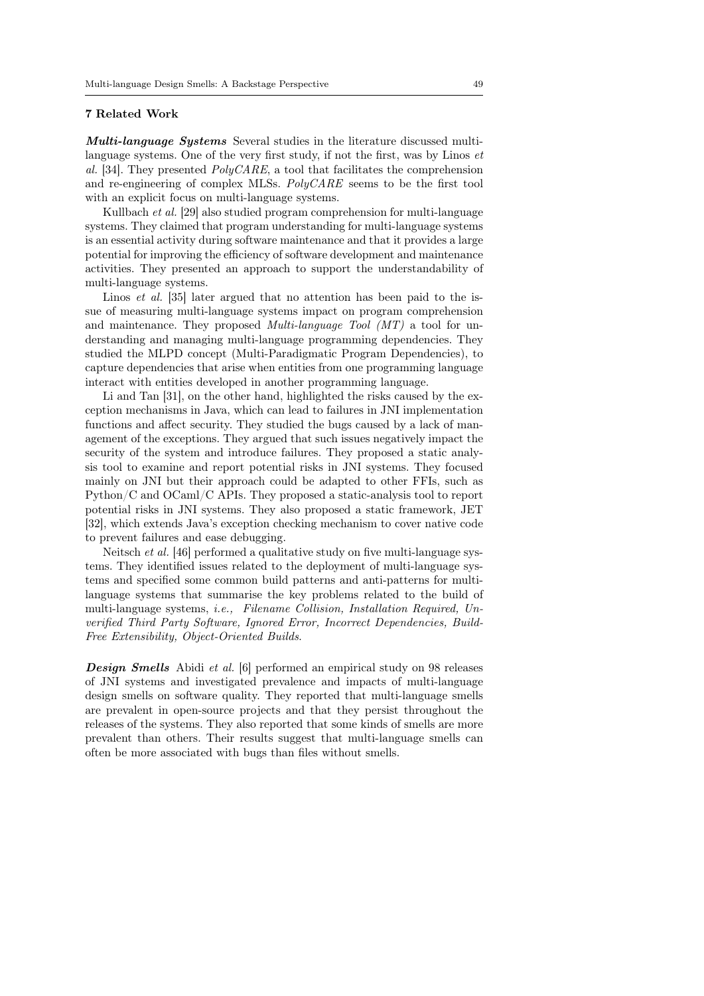### 7 Related Work

Multi-language Systems Several studies in the literature discussed multilanguage systems. One of the very first study, if not the first, was by Linos et al. [34]. They presented  $PolyCARE$ , a tool that facilitates the comprehension and re-engineering of complex MLSs. PolyCARE seems to be the first tool with an explicit focus on multi-language systems.

Kullbach et al. [29] also studied program comprehension for multi-language systems. They claimed that program understanding for multi-language systems is an essential activity during software maintenance and that it provides a large potential for improving the efficiency of software development and maintenance activities. They presented an approach to support the understandability of multi-language systems.

Linos *et al.* [35] later argued that no attention has been paid to the issue of measuring multi-language systems impact on program comprehension and maintenance. They proposed *Multi-language Tool (MT)* a tool for understanding and managing multi-language programming dependencies. They studied the MLPD concept (Multi-Paradigmatic Program Dependencies), to capture dependencies that arise when entities from one programming language interact with entities developed in another programming language.

Li and Tan [31], on the other hand, highlighted the risks caused by the exception mechanisms in Java, which can lead to failures in JNI implementation functions and affect security. They studied the bugs caused by a lack of management of the exceptions. They argued that such issues negatively impact the security of the system and introduce failures. They proposed a static analysis tool to examine and report potential risks in JNI systems. They focused mainly on JNI but their approach could be adapted to other FFIs, such as Python/C and OCaml/C APIs. They proposed a static-analysis tool to report potential risks in JNI systems. They also proposed a static framework, JET [32], which extends Java's exception checking mechanism to cover native code to prevent failures and ease debugging.

Neitsch et al. [46] performed a qualitative study on five multi-language systems. They identified issues related to the deployment of multi-language systems and specified some common build patterns and anti-patterns for multilanguage systems that summarise the key problems related to the build of multi-language systems, i.e., Filename Collision, Installation Required, Unverified Third Party Software, Ignored Error, Incorrect Dependencies, Build-Free Extensibility, Object-Oriented Builds.

**Design Smells** Abidi et al. [6] performed an empirical study on 98 releases of JNI systems and investigated prevalence and impacts of multi-language design smells on software quality. They reported that multi-language smells are prevalent in open-source projects and that they persist throughout the releases of the systems. They also reported that some kinds of smells are more prevalent than others. Their results suggest that multi-language smells can often be more associated with bugs than files without smells.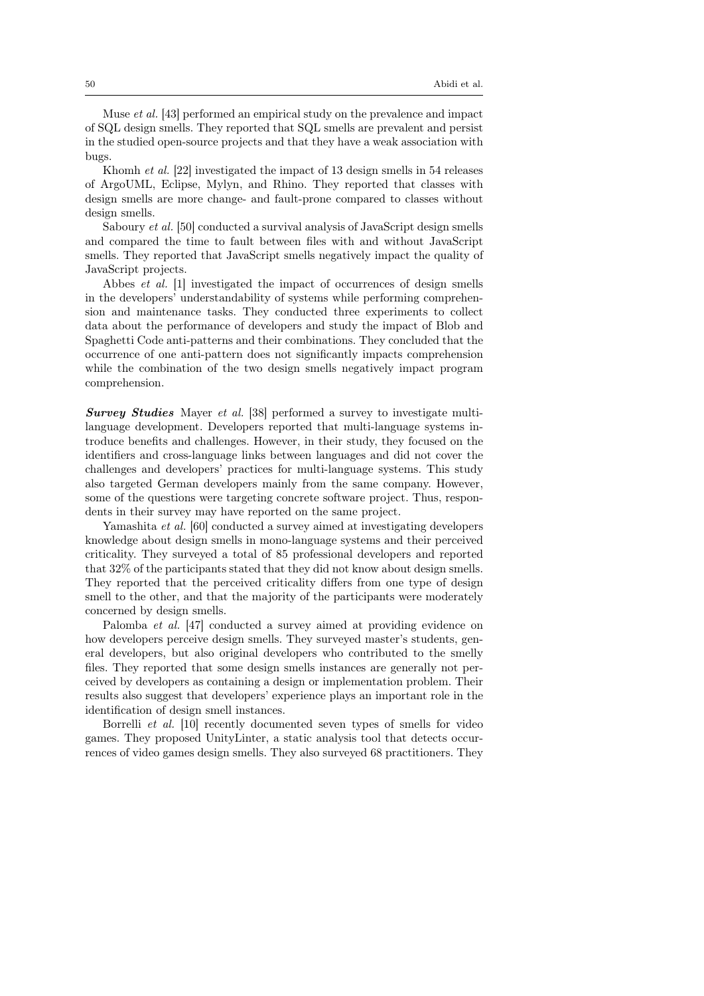Muse et al. [43] performed an empirical study on the prevalence and impact of SQL design smells. They reported that SQL smells are prevalent and persist in the studied open-source projects and that they have a weak association with bugs.

Khomh et al. [22] investigated the impact of 13 design smells in 54 releases of ArgoUML, Eclipse, Mylyn, and Rhino. They reported that classes with design smells are more change- and fault-prone compared to classes without design smells.

Saboury *et al.* [50] conducted a survival analysis of JavaScript design smells and compared the time to fault between files with and without JavaScript smells. They reported that JavaScript smells negatively impact the quality of JavaScript projects.

Abbes et al. [1] investigated the impact of occurrences of design smells in the developers' understandability of systems while performing comprehension and maintenance tasks. They conducted three experiments to collect data about the performance of developers and study the impact of Blob and Spaghetti Code anti-patterns and their combinations. They concluded that the occurrence of one anti-pattern does not significantly impacts comprehension while the combination of the two design smells negatively impact program comprehension.

Survey Studies Mayer et al. [38] performed a survey to investigate multilanguage development. Developers reported that multi-language systems introduce benefits and challenges. However, in their study, they focused on the identifiers and cross-language links between languages and did not cover the challenges and developers' practices for multi-language systems. This study also targeted German developers mainly from the same company. However, some of the questions were targeting concrete software project. Thus, respondents in their survey may have reported on the same project.

Yamashita *et al.* [60] conducted a survey aimed at investigating developers knowledge about design smells in mono-language systems and their perceived criticality. They surveyed a total of 85 professional developers and reported that 32% of the participants stated that they did not know about design smells. They reported that the perceived criticality differs from one type of design smell to the other, and that the majority of the participants were moderately concerned by design smells.

Palomba et al. [47] conducted a survey aimed at providing evidence on how developers perceive design smells. They surveyed master's students, general developers, but also original developers who contributed to the smelly files. They reported that some design smells instances are generally not perceived by developers as containing a design or implementation problem. Their results also suggest that developers' experience plays an important role in the identification of design smell instances.

Borrelli et al. [10] recently documented seven types of smells for video games. They proposed UnityLinter, a static analysis tool that detects occurrences of video games design smells. They also surveyed 68 practitioners. They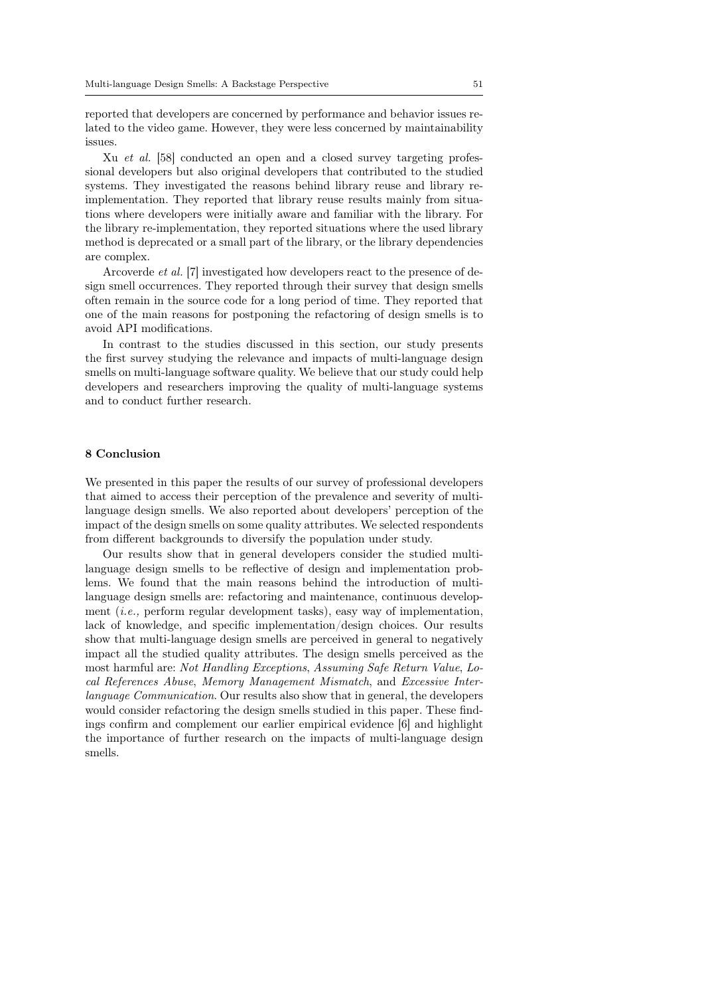reported that developers are concerned by performance and behavior issues related to the video game. However, they were less concerned by maintainability issues.

Xu *et al.* [58] conducted an open and a closed survey targeting professional developers but also original developers that contributed to the studied systems. They investigated the reasons behind library reuse and library reimplementation. They reported that library reuse results mainly from situations where developers were initially aware and familiar with the library. For the library re-implementation, they reported situations where the used library method is deprecated or a small part of the library, or the library dependencies are complex.

Arcoverde et al. [7] investigated how developers react to the presence of design smell occurrences. They reported through their survey that design smells often remain in the source code for a long period of time. They reported that one of the main reasons for postponing the refactoring of design smells is to avoid API modifications.

In contrast to the studies discussed in this section, our study presents the first survey studying the relevance and impacts of multi-language design smells on multi-language software quality. We believe that our study could help developers and researchers improving the quality of multi-language systems and to conduct further research.

#### 8 Conclusion

We presented in this paper the results of our survey of professional developers that aimed to access their perception of the prevalence and severity of multilanguage design smells. We also reported about developers' perception of the impact of the design smells on some quality attributes. We selected respondents from different backgrounds to diversify the population under study.

Our results show that in general developers consider the studied multilanguage design smells to be reflective of design and implementation problems. We found that the main reasons behind the introduction of multilanguage design smells are: refactoring and maintenance, continuous development  $(i.e.,$  perform regular development tasks), easy way of implementation, lack of knowledge, and specific implementation/design choices. Our results show that multi-language design smells are perceived in general to negatively impact all the studied quality attributes. The design smells perceived as the most harmful are: Not Handling Exceptions, Assuming Safe Return Value, Local References Abuse, Memory Management Mismatch, and Excessive Interlanguage Communication. Our results also show that in general, the developers would consider refactoring the design smells studied in this paper. These findings confirm and complement our earlier empirical evidence [6] and highlight the importance of further research on the impacts of multi-language design smells.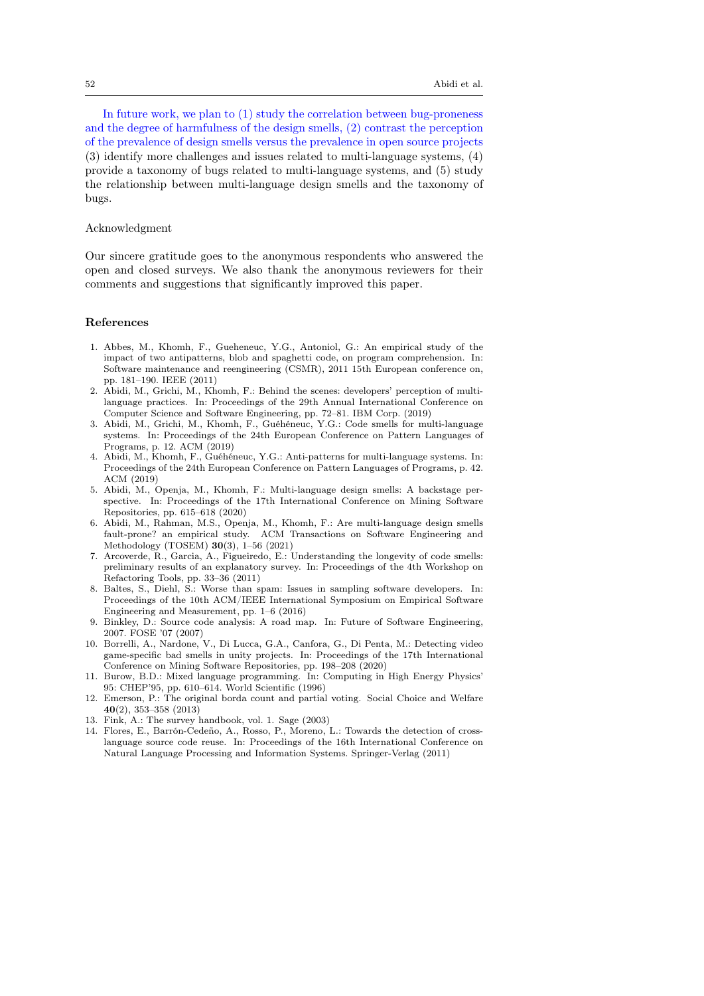In future work, we plan to (1) study the correlation between bug-proneness and the degree of harmfulness of the design smells, (2) contrast the perception of the prevalence of design smells versus the prevalence in open source projects (3) identify more challenges and issues related to multi-language systems, (4) provide a taxonomy of bugs related to multi-language systems, and (5) study the relationship between multi-language design smells and the taxonomy of bugs.

### Acknowledgment

Our sincere gratitude goes to the anonymous respondents who answered the open and closed surveys. We also thank the anonymous reviewers for their comments and suggestions that significantly improved this paper.

### References

- 1. Abbes, M., Khomh, F., Gueheneuc, Y.G., Antoniol, G.: An empirical study of the impact of two antipatterns, blob and spaghetti code, on program comprehension. In: Software maintenance and reengineering (CSMR), 2011 15th European conference on, pp. 181–190. IEEE (2011)
- 2. Abidi, M., Grichi, M., Khomh, F.: Behind the scenes: developers' perception of multilanguage practices. In: Proceedings of the 29th Annual International Conference on Computer Science and Software Engineering, pp. 72–81. IBM Corp. (2019)
- 3. Abidi, M., Grichi, M., Khomh, F., Guéhéneuc, Y.G.: Code smells for multi-language systems. In: Proceedings of the 24th European Conference on Pattern Languages of Programs, p. 12. ACM (2019)
- 4. Abidi, M., Khomh, F., Guéhéneuc, Y.G.: Anti-patterns for multi-language systems. In: Proceedings of the 24th European Conference on Pattern Languages of Programs, p. 42. ACM (2019)
- 5. Abidi, M., Openja, M., Khomh, F.: Multi-language design smells: A backstage perspective. In: Proceedings of the 17th International Conference on Mining Software Repositories, pp. 615–618 (2020)
- 6. Abidi, M., Rahman, M.S., Openja, M., Khomh, F.: Are multi-language design smells fault-prone? an empirical study. ACM Transactions on Software Engineering and Methodology (TOSEM) 30(3), 1–56 (2021)
- 7. Arcoverde, R., Garcia, A., Figueiredo, E.: Understanding the longevity of code smells: preliminary results of an explanatory survey. In: Proceedings of the 4th Workshop on Refactoring Tools, pp. 33–36 (2011)
- 8. Baltes, S., Diehl, S.: Worse than spam: Issues in sampling software developers. In: Proceedings of the 10th ACM/IEEE International Symposium on Empirical Software Engineering and Measurement, pp. 1–6 (2016)
- 9. Binkley, D.: Source code analysis: A road map. In: Future of Software Engineering, 2007. FOSE '07 (2007)
- 10. Borrelli, A., Nardone, V., Di Lucca, G.A., Canfora, G., Di Penta, M.: Detecting video game-specific bad smells in unity projects. In: Proceedings of the 17th International Conference on Mining Software Repositories, pp. 198–208 (2020)
- 11. Burow, B.D.: Mixed language programming. In: Computing in High Energy Physics' 95: CHEP'95, pp. 610–614. World Scientific (1996)
- 12. Emerson, P.: The original borda count and partial voting. Social Choice and Welfare 40(2), 353–358 (2013)
- 13. Fink, A.: The survey handbook, vol. 1. Sage (2003)
- 14. Flores, E., Barrón-Cedeño, A., Rosso, P., Moreno, L.: Towards the detection of crosslanguage source code reuse. In: Proceedings of the 16th International Conference on Natural Language Processing and Information Systems. Springer-Verlag (2011)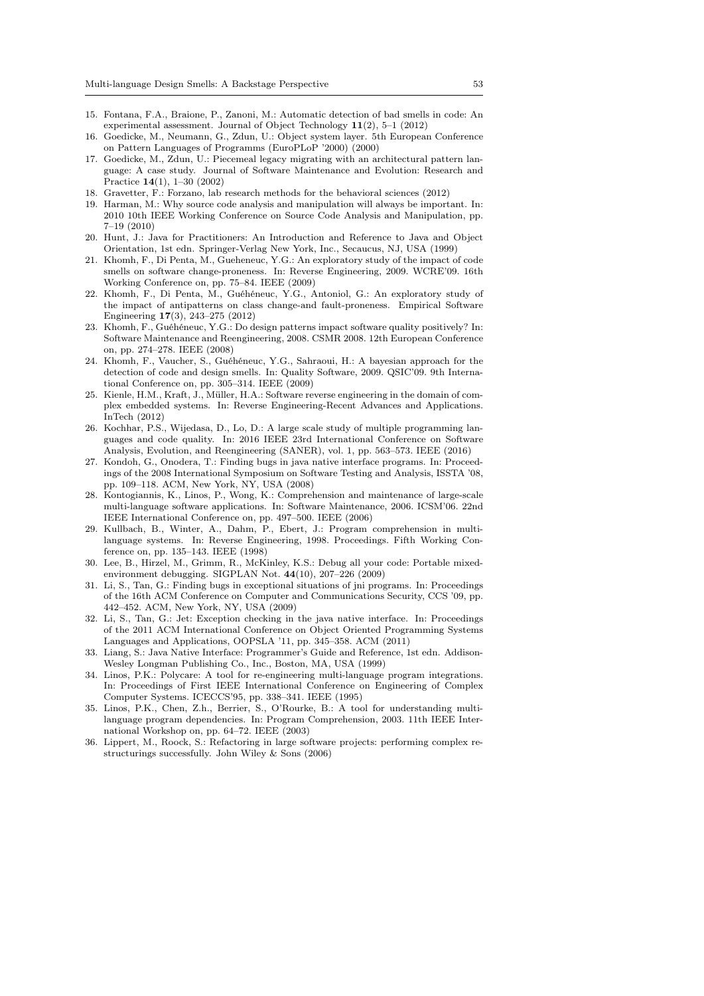- 15. Fontana, F.A., Braione, P., Zanoni, M.: Automatic detection of bad smells in code: An experimental assessment. Journal of Object Technology 11(2), 5–1 (2012)
- 16. Goedicke, M., Neumann, G., Zdun, U.: Object system layer. 5th European Conference on Pattern Languages of Programms (EuroPLoP '2000) (2000)
- 17. Goedicke, M., Zdun, U.: Piecemeal legacy migrating with an architectural pattern language: A case study. Journal of Software Maintenance and Evolution: Research and Practice 14(1), 1–30 (2002)
- 18. Gravetter, F.: Forzano, lab research methods for the behavioral sciences (2012)
- 19. Harman, M.: Why source code analysis and manipulation will always be important. In: 2010 10th IEEE Working Conference on Source Code Analysis and Manipulation, pp. 7–19 (2010)
- 20. Hunt, J.: Java for Practitioners: An Introduction and Reference to Java and Object Orientation, 1st edn. Springer-Verlag New York, Inc., Secaucus, NJ, USA (1999)
- 21. Khomh, F., Di Penta, M., Gueheneuc, Y.G.: An exploratory study of the impact of code smells on software change-proneness. In: Reverse Engineering, 2009. WCRE'09. 16th Working Conference on, pp. 75–84. IEEE (2009)
- 22. Khomh, F., Di Penta, M., Guéhéneuc, Y.G., Antoniol, G.: An exploratory study of the impact of antipatterns on class change-and fault-proneness. Empirical Software Engineering 17(3), 243–275 (2012)
- 23. Khomh, F., Guéhéneuc, Y.G.: Do design patterns impact software quality positively? In: Software Maintenance and Reengineering, 2008. CSMR 2008. 12th European Conference on, pp. 274–278. IEEE (2008)
- 24. Khomh, F., Vaucher, S., Guéhéneuc, Y.G., Sahraoui, H.: A bayesian approach for the detection of code and design smells. In: Quality Software, 2009. QSIC'09. 9th International Conference on, pp. 305–314. IEEE (2009)
- 25. Kienle, H.M., Kraft, J., Müller, H.A.: Software reverse engineering in the domain of complex embedded systems. In: Reverse Engineering-Recent Advances and Applications. InTech (2012)
- 26. Kochhar, P.S., Wijedasa, D., Lo, D.: A large scale study of multiple programming languages and code quality. In: 2016 IEEE 23rd International Conference on Software Analysis, Evolution, and Reengineering (SANER), vol. 1, pp. 563–573. IEEE (2016)
- 27. Kondoh, G., Onodera, T.: Finding bugs in java native interface programs. In: Proceedings of the 2008 International Symposium on Software Testing and Analysis, ISSTA '08, pp. 109–118. ACM, New York, NY, USA (2008)
- 28. Kontogiannis, K., Linos, P., Wong, K.: Comprehension and maintenance of large-scale multi-language software applications. In: Software Maintenance, 2006. ICSM'06. 22nd IEEE International Conference on, pp. 497–500. IEEE (2006)
- 29. Kullbach, B., Winter, A., Dahm, P., Ebert, J.: Program comprehension in multilanguage systems. In: Reverse Engineering, 1998. Proceedings. Fifth Working Conference on, pp. 135–143. IEEE (1998)
- 30. Lee, B., Hirzel, M., Grimm, R., McKinley, K.S.: Debug all your code: Portable mixedenvironment debugging. SIGPLAN Not. 44(10), 207–226 (2009)
- 31. Li, S., Tan, G.: Finding bugs in exceptional situations of jni programs. In: Proceedings of the 16th ACM Conference on Computer and Communications Security, CCS '09, pp. 442–452. ACM, New York, NY, USA (2009)
- 32. Li, S., Tan, G.: Jet: Exception checking in the java native interface. In: Proceedings of the 2011 ACM International Conference on Object Oriented Programming Systems Languages and Applications, OOPSLA '11, pp. 345–358. ACM (2011)
- 33. Liang, S.: Java Native Interface: Programmer's Guide and Reference, 1st edn. Addison-Wesley Longman Publishing Co., Inc., Boston, MA, USA (1999)
- 34. Linos, P.K.: Polycare: A tool for re-engineering multi-language program integrations. In: Proceedings of First IEEE International Conference on Engineering of Complex Computer Systems. ICECCS'95, pp. 338–341. IEEE (1995)
- 35. Linos, P.K., Chen, Z.h., Berrier, S., O'Rourke, B.: A tool for understanding multilanguage program dependencies. In: Program Comprehension, 2003. 11th IEEE International Workshop on, pp. 64–72. IEEE (2003)
- 36. Lippert, M., Roock, S.: Refactoring in large software projects: performing complex restructurings successfully. John Wiley & Sons (2006)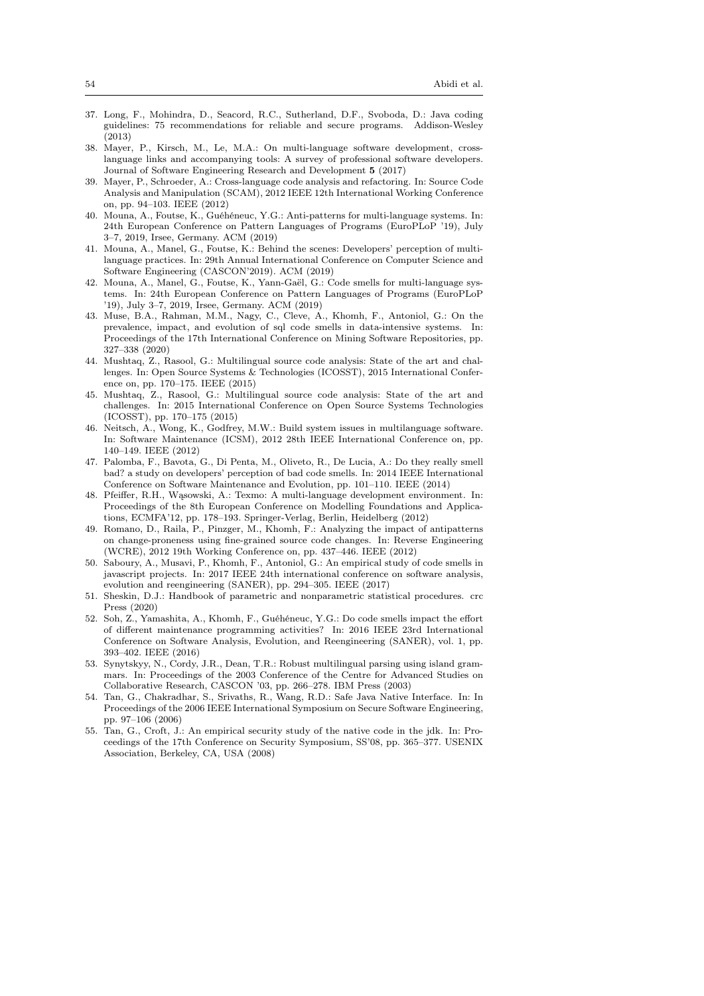- 37. Long, F., Mohindra, D., Seacord, R.C., Sutherland, D.F., Svoboda, D.: Java coding guidelines: 75 recommendations for reliable and secure programs. Addison-Wesley (2013)
- 38. Mayer, P., Kirsch, M., Le, M.A.: On multi-language software development, crosslanguage links and accompanying tools: A survey of professional software developers. Journal of Software Engineering Research and Development 5 (2017)
- 39. Mayer, P., Schroeder, A.: Cross-language code analysis and refactoring. In: Source Code Analysis and Manipulation (SCAM), 2012 IEEE 12th International Working Conference on, pp. 94–103. IEEE (2012)
- 40. Mouna, A., Foutse, K., Guéhéneuc, Y.G.: Anti-patterns for multi-language systems. In: 24th European Conference on Pattern Languages of Programs (EuroPLoP '19), July 3–7, 2019, Irsee, Germany. ACM (2019)
- 41. Mouna, A., Manel, G., Foutse, K.: Behind the scenes: Developers' perception of multilanguage practices. In: 29th Annual International Conference on Computer Science and Software Engineering (CASCON'2019). ACM (2019)
- 42. Mouna, A., Manel, G., Foutse, K., Yann-Gaël, G.: Code smells for multi-language systems. In: 24th European Conference on Pattern Languages of Programs (EuroPLoP '19), July 3–7, 2019, Irsee, Germany. ACM (2019)
- 43. Muse, B.A., Rahman, M.M., Nagy, C., Cleve, A., Khomh, F., Antoniol, G.: On the prevalence, impact, and evolution of sql code smells in data-intensive systems. In: Proceedings of the 17th International Conference on Mining Software Repositories, pp. 327–338 (2020)
- 44. Mushtaq, Z., Rasool, G.: Multilingual source code analysis: State of the art and challenges. In: Open Source Systems & Technologies (ICOSST), 2015 International Conference on, pp. 170–175. IEEE (2015)
- 45. Mushtaq, Z., Rasool, G.: Multilingual source code analysis: State of the art and challenges. In: 2015 International Conference on Open Source Systems Technologies (ICOSST), pp. 170–175 (2015)
- 46. Neitsch, A., Wong, K., Godfrey, M.W.: Build system issues in multilanguage software. In: Software Maintenance (ICSM), 2012 28th IEEE International Conference on, pp. 140–149. IEEE (2012)
- 47. Palomba, F., Bavota, G., Di Penta, M., Oliveto, R., De Lucia, A.: Do they really smell bad? a study on developers' perception of bad code smells. In: 2014 IEEE International Conference on Software Maintenance and Evolution, pp. 101–110. IEEE (2014)
- 48. Pfeiffer, R.H., Wąsowski, A.: Texmo: A multi-language development environment. In: Proceedings of the 8th European Conference on Modelling Foundations and Applications, ECMFA'12, pp. 178–193. Springer-Verlag, Berlin, Heidelberg (2012)
- 49. Romano, D., Raila, P., Pinzger, M., Khomh, F.: Analyzing the impact of antipatterns on change-proneness using fine-grained source code changes. In: Reverse Engineering (WCRE), 2012 19th Working Conference on, pp. 437–446. IEEE (2012)
- 50. Saboury, A., Musavi, P., Khomh, F., Antoniol, G.: An empirical study of code smells in javascript projects. In: 2017 IEEE 24th international conference on software analysis, evolution and reengineering (SANER), pp. 294–305. IEEE (2017)
- 51. Sheskin, D.J.: Handbook of parametric and nonparametric statistical procedures. crc Press (2020)
- 52. Soh, Z., Yamashita, A., Khomh, F., Guéhéneuc, Y.G.: Do code smells impact the effort of different maintenance programming activities? In: 2016 IEEE 23rd International Conference on Software Analysis, Evolution, and Reengineering (SANER), vol. 1, pp. 393–402. IEEE (2016)
- 53. Synytskyy, N., Cordy, J.R., Dean, T.R.: Robust multilingual parsing using island grammars. In: Proceedings of the 2003 Conference of the Centre for Advanced Studies on Collaborative Research, CASCON '03, pp. 266–278. IBM Press (2003)
- 54. Tan, G., Chakradhar, S., Srivaths, R., Wang, R.D.: Safe Java Native Interface. In: In Proceedings of the 2006 IEEE International Symposium on Secure Software Engineering, pp. 97–106 (2006)
- 55. Tan, G., Croft, J.: An empirical security study of the native code in the jdk. In: Proceedings of the 17th Conference on Security Symposium, SS'08, pp. 365–377. USENIX Association, Berkeley, CA, USA (2008)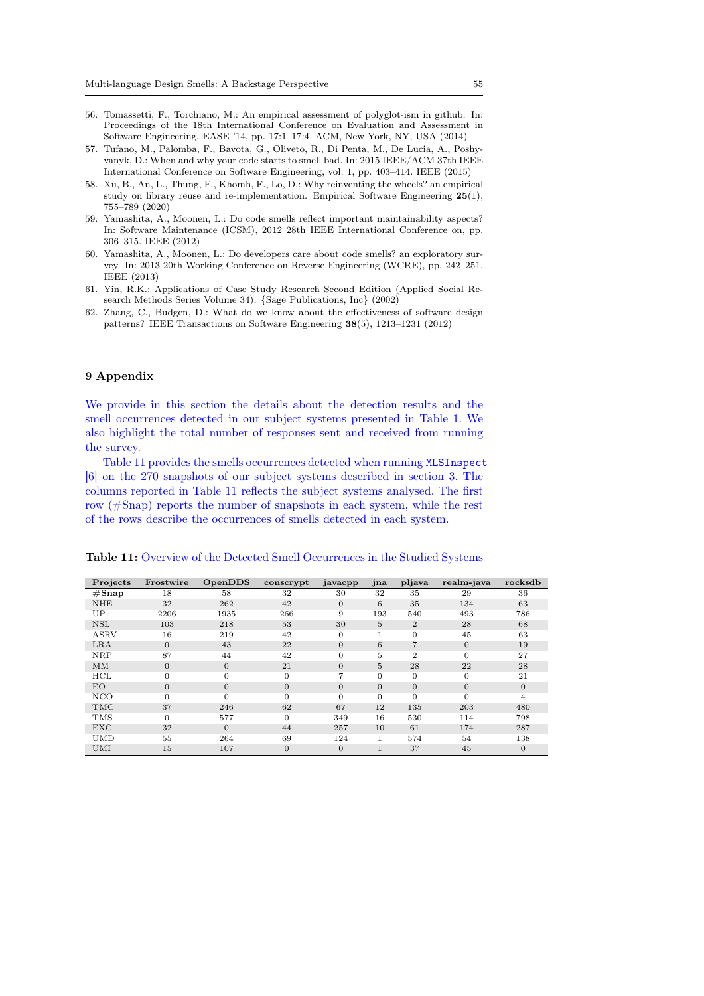- 56. Tomassetti, F., Torchiano, M.: An empirical assessment of polyglot-ism in github. In: Proceedings of the 18th International Conference on Evaluation and Assessment in Software Engineering, EASE '14, pp. 17:1–17:4. ACM, New York, NY, USA (2014)
- 57. Tufano, M., Palomba, F., Bavota, G., Oliveto, R., Di Penta, M., De Lucia, A., Poshyvanyk, D.: When and why your code starts to smell bad. In: 2015 IEEE/ACM 37th IEEE International Conference on Software Engineering, vol. 1, pp. 403–414. IEEE (2015)
- 58. Xu, B., An, L., Thung, F., Khomh, F., Lo, D.: Why reinventing the wheels? an empirical study on library reuse and re-implementation. Empirical Software Engineering 25(1), 755–789 (2020)
- 59. Yamashita, A., Moonen, L.: Do code smells reflect important maintainability aspects? In: Software Maintenance (ICSM), 2012 28th IEEE International Conference on, pp. 306–315. IEEE (2012)
- 60. Yamashita, A., Moonen, L.: Do developers care about code smells? an exploratory survey. In: 2013 20th Working Conference on Reverse Engineering (WCRE), pp. 242–251. IEEE (2013)
- 61. Yin, R.K.: Applications of Case Study Research Second Edition (Applied Social Research Methods Series Volume 34). {Sage Publications, Inc} (2002)
- 62. Zhang, C., Budgen, D.: What do we know about the effectiveness of software design patterns? IEEE Transactions on Software Engineering 38(5), 1213–1231 (2012)

# 9 Appendix

We provide in this section the details about the detection results and the smell occurrences detected in our subject systems presented in Table 1. We also highlight the total number of responses sent and received from running the survey.

Table 11 provides the smells occurrences detected when running MLSInspect [6] on the 270 snapshots of our subject systems described in section 3. The columns reported in Table 11 reflects the subject systems analysed. The first row (#Snap) reports the number of snapshots in each system, while the rest of the rows describe the occurrences of smells detected in each system.

| Projects          | Frostwire | OpenDDS        | conscrypt    | javacpp        | jna            | pljava         | realm-java     | rocksdb  |
|-------------------|-----------|----------------|--------------|----------------|----------------|----------------|----------------|----------|
| $\#\mathbf{Snap}$ | 18        | 58             | 32           | 30             | 32             | 35             | 29             | 36       |
| <b>NHE</b>        | 32        | 262            | 42           | $\Omega$       | 6              | 35             | 134            | 63       |
| UP                | 2206      | 1935           | 266          | 9              | 193            | 540            | 493            | 786      |
| <b>NSL</b>        | 103       | 218            | 53           | 30             | 5              | $\mathbf{2}$   | 28             | 68       |
| <b>ASRV</b>       | 16        | 219            | 42           | $\Omega$       | 1              | $\Omega$       | 45             | 63       |
| LRA               | $\Omega$  | 43             | 22           | $\Omega$       | 6              | 7              | $\overline{0}$ | 19       |
| <b>NRP</b>        | 87        | 44             | 42           | $\Omega$       | 5              | $\overline{2}$ | $\Omega$       | 27       |
| MM                | $\Omega$  | $\overline{0}$ | 21           | $\Omega$       | $\overline{5}$ | 28             | 22             | 28       |
| HCL               | $\Omega$  | $\Omega$       | $\theta$     |                | $\overline{0}$ | $\Omega$       | $\theta$       | 21       |
| EO                | $\Omega$  | $\Omega$       | $\theta$     | $\Omega$       | $\Omega$       | $\Omega$       | $\overline{0}$ | $\theta$ |
| <b>NCO</b>        | $\Omega$  | $\Omega$       | $\Omega$     | $\Omega$       | $\Omega$       | $\Omega$       | $\Omega$       | 4        |
| <b>TMC</b>        | 37        | 246            | 62           | 67             | 12             | 135            | 203            | 480      |
| TMS               | $\Omega$  | 577            | $\Omega$     | 349            | 16             | 530            | 114            | 798      |
| <b>EXC</b>        | 32        | $\Omega$       | 44           | 257            | 10             | 61             | 174            | 287      |
| <b>UMD</b>        | 55        | 264            | 69           | 124            |                | 574            | 54             | 138      |
| <b>UMI</b>        | 15        | 107            | $\mathbf{0}$ | $\overline{0}$ | $\mathbf{1}$   | 37             | 45             | $\theta$ |

Table 11: Overview of the Detected Smell Occurrences in the Studied Systems